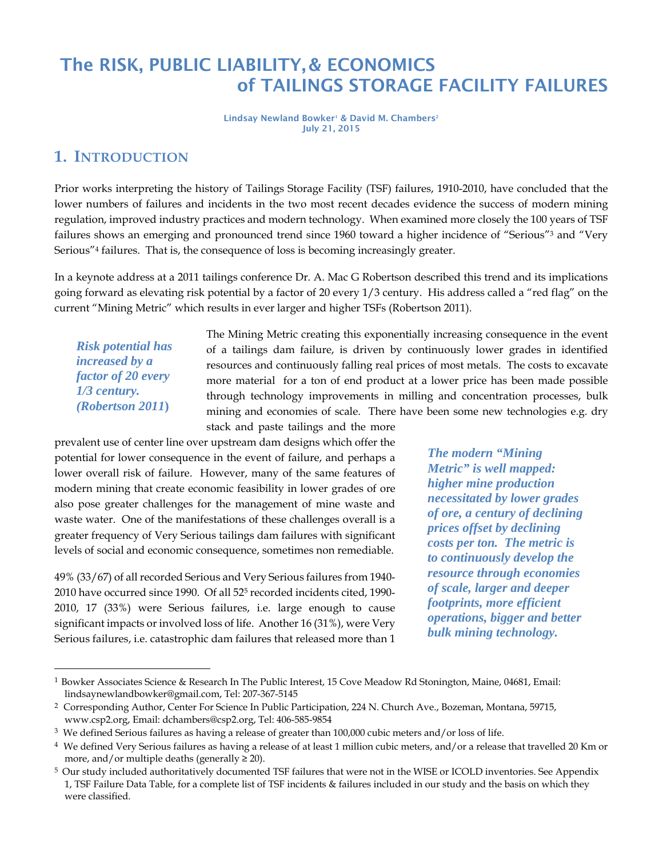# The RISK, PUBLIC LIABILITY, & ECONOMICS of TAILINGS STORAGE FACILITY FAILURES

Lindsay Newland Bowker<sup>1</sup> & David M. Chambers<sup>2</sup> July 21, 2015

# **1. INTRODUCTION**

Prior works interpreting the history of Tailings Storage Facility (TSF) failures, 1910-2010, have concluded that the lower numbers of failures and incidents in the two most recent decades evidence the success of modern mining regulation, improved industry practices and modern technology. When examined more closely the 100 years of TSF failures shows an emerging and pronounced trend since 1960 toward a higher incidence of "Serious"3 and "Very Serious"4 failures. That is, the consequence of loss is becoming increasingly greater.

In a keynote address at a 2011 tailings conference Dr. A. Mac G Robertson described this trend and its implications going forward as elevating risk potential by a factor of 20 every 1/3 century. His address called a "red flag" on the current "Mining Metric" which results in ever larger and higher TSFs (Robertson 2011).

*Risk potential has increased by a factor of 20 every 1/3 century. (Robertson 2011***)** 

 $\overline{a}$ 

The Mining Metric creating this exponentially increasing consequence in the event of a tailings dam failure, is driven by continuously lower grades in identified resources and continuously falling real prices of most metals. The costs to excavate more material for a ton of end product at a lower price has been made possible through technology improvements in milling and concentration processes, bulk mining and economies of scale. There have been some new technologies e.g. dry stack and paste tailings and the more

prevalent use of center line over upstream dam designs which offer the potential for lower consequence in the event of failure, and perhaps a lower overall risk of failure. However, many of the same features of modern mining that create economic feasibility in lower grades of ore also pose greater challenges for the management of mine waste and waste water. One of the manifestations of these challenges overall is a greater frequency of Very Serious tailings dam failures with significant levels of social and economic consequence, sometimes non remediable.

49% (33/67) of all recorded Serious and Very Serious failures from 1940- 2010 have occurred since 1990. Of all 525 recorded incidents cited, 1990- 2010, 17 (33%) were Serious failures, i.e. large enough to cause significant impacts or involved loss of life. Another 16 (31%), were Very Serious failures, i.e. catastrophic dam failures that released more than 1

*The modern "Mining Metric" is well mapped: higher mine production necessitated by lower grades of ore, a century of declining prices offset by declining costs per ton. The metric is to continuously develop the resource through economies of scale, larger and deeper footprints, more efficient operations, bigger and better bulk mining technology.* 

<sup>1</sup> Bowker Associates Science & Research In The Public Interest, 15 Cove Meadow Rd Stonington, Maine, 04681, Email: lindsaynewlandbowker@gmail.com, Tel: 207-367-5145

<sup>&</sup>lt;sup>2</sup> Corresponding Author, Center For Science In Public Participation, 224 N. Church Ave., Bozeman, Montana, 59715, www.csp2.org, Email: dchambers@csp2.org, Tel: 406-585-9854

<sup>3</sup> We defined Serious failures as having a release of greater than 100,000 cubic meters and/or loss of life.

<sup>4</sup> We defined Very Serious failures as having a release of at least 1 million cubic meters, and/or a release that travelled 20 Km or more, and/or multiple deaths (generally  $\geq$  20).

<sup>5</sup> Our study included authoritatively documented TSF failures that were not in the WISE or ICOLD inventories. See Appendix 1, TSF Failure Data Table, for a complete list of TSF incidents & failures included in our study and the basis on which they were classified.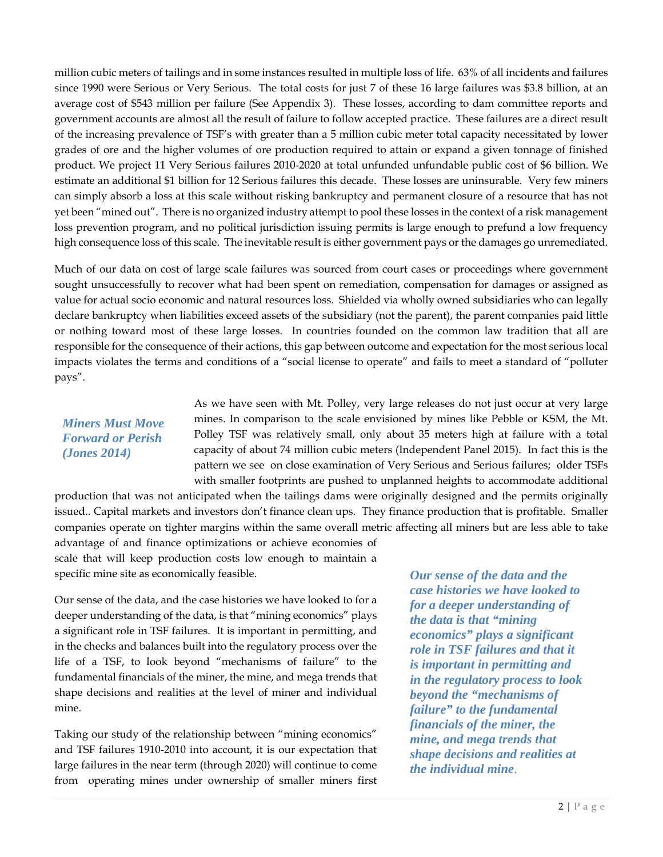million cubic meters of tailings and in some instances resulted in multiple loss of life. 63% of all incidents and failures since 1990 were Serious or Very Serious. The total costs for just 7 of these 16 large failures was \$3.8 billion, at an average cost of \$543 million per failure (See Appendix 3). These losses, according to dam committee reports and government accounts are almost all the result of failure to follow accepted practice. These failures are a direct result of the increasing prevalence of TSF's with greater than a 5 million cubic meter total capacity necessitated by lower grades of ore and the higher volumes of ore production required to attain or expand a given tonnage of finished product. We project 11 Very Serious failures 2010-2020 at total unfunded unfundable public cost of \$6 billion. We estimate an additional \$1 billion for 12 Serious failures this decade. These losses are uninsurable. Very few miners can simply absorb a loss at this scale without risking bankruptcy and permanent closure of a resource that has not yet been "mined out". There is no organized industry attempt to pool these losses in the context of a risk management loss prevention program, and no political jurisdiction issuing permits is large enough to prefund a low frequency high consequence loss of this scale. The inevitable result is either government pays or the damages go unremediated.

Much of our data on cost of large scale failures was sourced from court cases or proceedings where government sought unsuccessfully to recover what had been spent on remediation, compensation for damages or assigned as value for actual socio economic and natural resources loss. Shielded via wholly owned subsidiaries who can legally declare bankruptcy when liabilities exceed assets of the subsidiary (not the parent), the parent companies paid little or nothing toward most of these large losses. In countries founded on the common law tradition that all are responsible for the consequence of their actions, this gap between outcome and expectation for the most serious local impacts violates the terms and conditions of a "social license to operate" and fails to meet a standard of "polluter pays".

# *Miners Must Move Forward or Perish (Jones 2014)*

As we have seen with Mt. Polley, very large releases do not just occur at very large mines. In comparison to the scale envisioned by mines like Pebble or KSM, the Mt. Polley TSF was relatively small, only about 35 meters high at failure with a total capacity of about 74 million cubic meters (Independent Panel 2015). In fact this is the pattern we see on close examination of Very Serious and Serious failures; older TSFs with smaller footprints are pushed to unplanned heights to accommodate additional

production that was not anticipated when the tailings dams were originally designed and the permits originally issued.. Capital markets and investors don't finance clean ups. They finance production that is profitable. Smaller companies operate on tighter margins within the same overall metric affecting all miners but are less able to take

advantage of and finance optimizations or achieve economies of scale that will keep production costs low enough to maintain a specific mine site as economically feasible.

Our sense of the data, and the case histories we have looked to for a deeper understanding of the data, is that "mining economics" plays a significant role in TSF failures. It is important in permitting, and in the checks and balances built into the regulatory process over the life of a TSF, to look beyond "mechanisms of failure" to the fundamental financials of the miner, the mine, and mega trends that shape decisions and realities at the level of miner and individual mine.

Taking our study of the relationship between "mining economics" and TSF failures 1910-2010 into account, it is our expectation that large failures in the near term (through 2020) will continue to come from operating mines under ownership of smaller miners first

*Our sense of the data and the case histories we have looked to for a deeper understanding of the data is that "mining economics" plays a significant role in TSF failures and that it is important in permitting and in the regulatory process to look beyond the "mechanisms of failure" to the fundamental financials of the miner, the mine, and mega trends that shape decisions and realities at the individual mine*.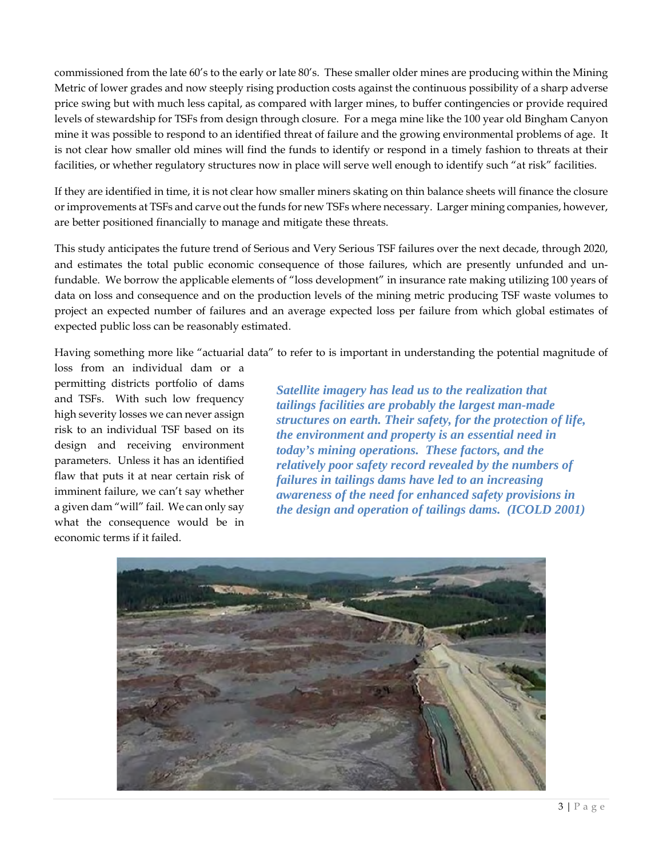commissioned from the late 60's to the early or late 80's. These smaller older mines are producing within the Mining Metric of lower grades and now steeply rising production costs against the continuous possibility of a sharp adverse price swing but with much less capital, as compared with larger mines, to buffer contingencies or provide required levels of stewardship for TSFs from design through closure. For a mega mine like the 100 year old Bingham Canyon mine it was possible to respond to an identified threat of failure and the growing environmental problems of age. It is not clear how smaller old mines will find the funds to identify or respond in a timely fashion to threats at their facilities, or whether regulatory structures now in place will serve well enough to identify such "at risk" facilities.

If they are identified in time, it is not clear how smaller miners skating on thin balance sheets will finance the closure or improvements at TSFs and carve out the funds for new TSFs where necessary. Larger mining companies, however, are better positioned financially to manage and mitigate these threats.

This study anticipates the future trend of Serious and Very Serious TSF failures over the next decade, through 2020, and estimates the total public economic consequence of those failures, which are presently unfunded and unfundable. We borrow the applicable elements of "loss development" in insurance rate making utilizing 100 years of data on loss and consequence and on the production levels of the mining metric producing TSF waste volumes to project an expected number of failures and an average expected loss per failure from which global estimates of expected public loss can be reasonably estimated.

Having something more like "actuarial data" to refer to is important in understanding the potential magnitude of

loss from an individual dam or a permitting districts portfolio of dams and TSFs. With such low frequency high severity losses we can never assign risk to an individual TSF based on its design and receiving environment parameters. Unless it has an identified flaw that puts it at near certain risk of imminent failure, we can't say whether a given dam "will" fail. We can only say what the consequence would be in economic terms if it failed.

*Satellite imagery has lead us to the realization that tailings facilities are probably the largest man-made structures on earth. Their safety, for the protection of life, the environment and property is an essential need in today's mining operations. These factors, and the relatively poor safety record revealed by the numbers of failures in tailings dams have led to an increasing awareness of the need for enhanced safety provisions in the design and operation of tailings dams. (ICOLD 2001)*

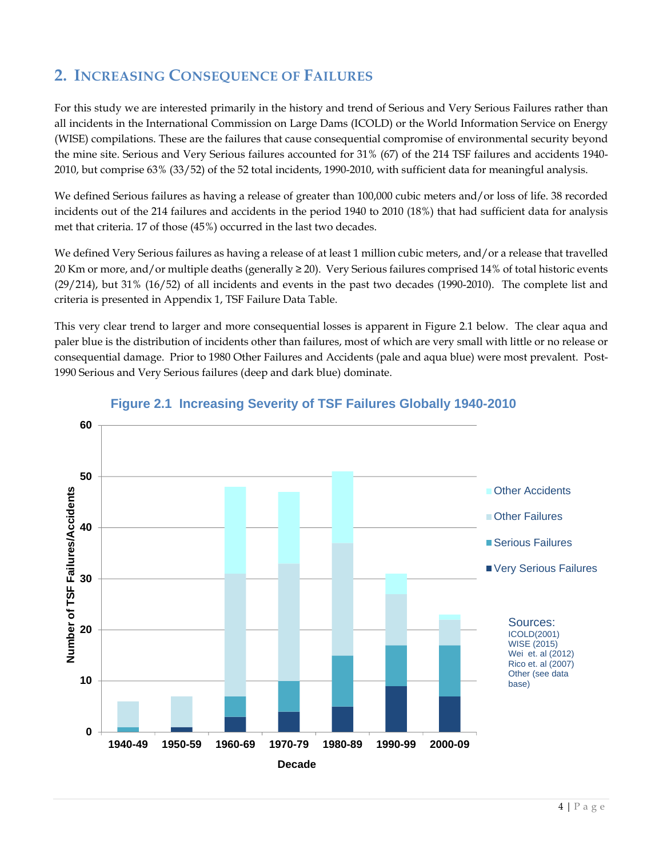# **2. INCREASING CONSEQUENCE OF FAILURES**

For this study we are interested primarily in the history and trend of Serious and Very Serious Failures rather than all incidents in the International Commission on Large Dams (ICOLD) or the World Information Service on Energy (WISE) compilations. These are the failures that cause consequential compromise of environmental security beyond the mine site. Serious and Very Serious failures accounted for 31% (67) of the 214 TSF failures and accidents 1940- 2010, but comprise 63% (33/52) of the 52 total incidents, 1990-2010, with sufficient data for meaningful analysis.

We defined Serious failures as having a release of greater than 100,000 cubic meters and/or loss of life. 38 recorded incidents out of the 214 failures and accidents in the period 1940 to 2010 (18%) that had sufficient data for analysis met that criteria. 17 of those (45%) occurred in the last two decades.

We defined Very Serious failures as having a release of at least 1 million cubic meters, and/or a release that travelled 20 Km or more, and/or multiple deaths (generally ≥ 20). Very Serious failures comprised 14% of total historic events (29/214), but 31% (16/52) of all incidents and events in the past two decades (1990-2010). The complete list and criteria is presented in Appendix 1, TSF Failure Data Table.

This very clear trend to larger and more consequential losses is apparent in Figure 2.1 below. The clear aqua and paler blue is the distribution of incidents other than failures, most of which are very small with little or no release or consequential damage. Prior to 1980 Other Failures and Accidents (pale and aqua blue) were most prevalent. Post-1990 Serious and Very Serious failures (deep and dark blue) dominate.



# **Figure 2.1 Increasing Severity of TSF Failures Globally 1940-2010**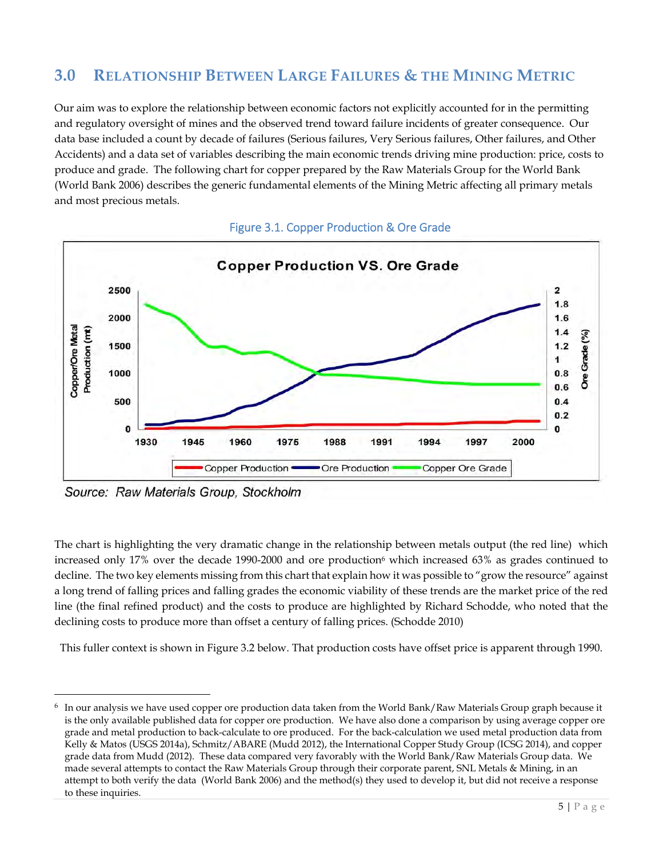# **3.0 RELATIONSHIP BETWEEN LARGE FAILURES & THE MINING METRIC**

Our aim was to explore the relationship between economic factors not explicitly accounted for in the permitting and regulatory oversight of mines and the observed trend toward failure incidents of greater consequence. Our data base included a count by decade of failures (Serious failures, Very Serious failures, Other failures, and Other Accidents) and a data set of variables describing the main economic trends driving mine production: price, costs to produce and grade. The following chart for copper prepared by the Raw Materials Group for the World Bank (World Bank 2006) describes the generic fundamental elements of the Mining Metric affecting all primary metals and most precious metals.





 $\overline{a}$ 

The chart is highlighting the very dramatic change in the relationship between metals output (the red line) which increased only 17% over the decade 1990-2000 and ore production<sup>6</sup> which increased 63% as grades continued to decline. The two key elements missing from this chart that explain how it was possible to "grow the resource" against a long trend of falling prices and falling grades the economic viability of these trends are the market price of the red line (the final refined product) and the costs to produce are highlighted by Richard Schodde, who noted that the declining costs to produce more than offset a century of falling prices. (Schodde 2010)

This fuller context is shown in Figure 3.2 below. That production costs have offset price is apparent through 1990.

Source: Raw Materials Group, Stockholm

 $6\;$  In our analysis we have used copper ore production data taken from the World Bank/Raw Materials Group graph because it is the only available published data for copper ore production. We have also done a comparison by using average copper ore grade and metal production to back-calculate to ore produced. For the back-calculation we used metal production data from Kelly & Matos (USGS 2014a), Schmitz/ABARE (Mudd 2012), the International Copper Study Group (ICSG 2014), and copper grade data from Mudd (2012). These data compared very favorably with the World Bank/Raw Materials Group data. We made several attempts to contact the Raw Materials Group through their corporate parent, SNL Metals & Mining, in an attempt to both verify the data (World Bank 2006) and the method(s) they used to develop it, but did not receive a response to these inquiries.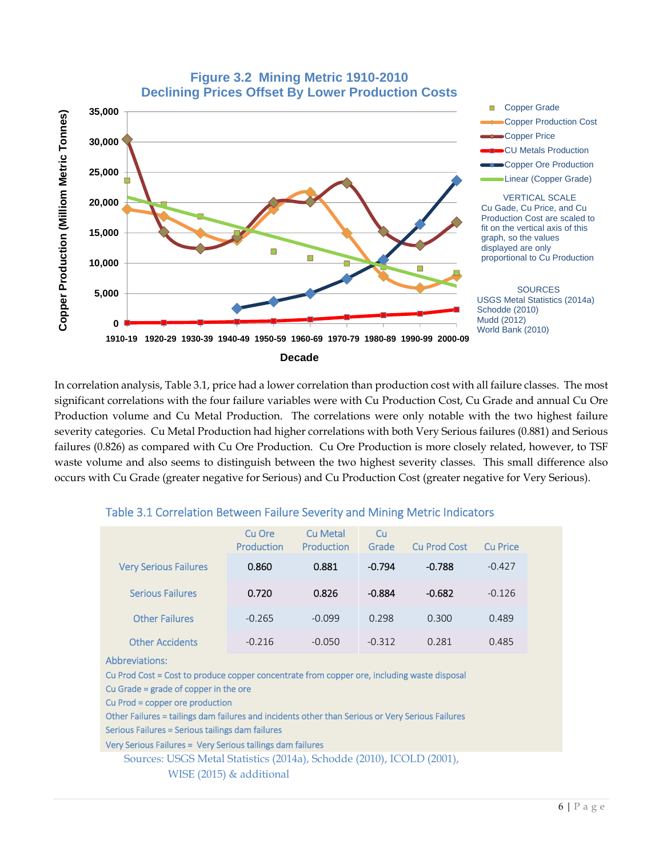

## **Figure 3.2 Mining Metric 1910-2010 Declining Prices Offset By Lower Production Costs**

In correlation analysis, Table 3.1, price had a lower correlation than production cost with all failure classes. The most significant correlations with the four failure variables were with Cu Production Cost, Cu Grade and annual Cu Ore Production volume and Cu Metal Production. The correlations were only notable with the two highest failure severity categories. Cu Metal Production had higher correlations with both Very Serious failures (0.881) and Serious failures (0.826) as compared with Cu Ore Production. Cu Ore Production is more closely related, however, to TSF waste volume and also seems to distinguish between the two highest severity classes. This small difference also occurs with Cu Grade (greater negative for Serious) and Cu Production Cost (greater negative for Very Serious).

|                                                                                                                                                                                                                                                                                                                                                                                                                   | Cu Ore<br>Production       | Cu Metal<br>Production | Cu<br>Grade | Cu Prod Cost | <b>Cu Price</b> |  |  |  |  |  |  |
|-------------------------------------------------------------------------------------------------------------------------------------------------------------------------------------------------------------------------------------------------------------------------------------------------------------------------------------------------------------------------------------------------------------------|----------------------------|------------------------|-------------|--------------|-----------------|--|--|--|--|--|--|
| <b>Very Serious Failures</b>                                                                                                                                                                                                                                                                                                                                                                                      | 0.860                      | 0.881                  | $-0.794$    | $-0.788$     | $-0.427$        |  |  |  |  |  |  |
| <b>Serious Failures</b>                                                                                                                                                                                                                                                                                                                                                                                           | 0.720                      | 0.826                  | $-0.884$    | $-0.682$     | $-0.126$        |  |  |  |  |  |  |
| <b>Other Failures</b>                                                                                                                                                                                                                                                                                                                                                                                             | $-0.265$                   | $-0.099$               | 0.298       | 0.300        | 0.489           |  |  |  |  |  |  |
| <b>Other Accidents</b>                                                                                                                                                                                                                                                                                                                                                                                            | $-0.216$                   | $-0.050$               | $-0.312$    | 0.281        | 0.485           |  |  |  |  |  |  |
| Abbreviations:<br>Cu Prod Cost = Cost to produce copper concentrate from copper ore, including waste disposal<br>Cu Grade = $grade$ of copper in the ore<br>Cu Prod = copper ore production<br>Other Failures = tailings dam failures and incidents other than Serious or Very Serious Failures<br>Serious Failures = Serious tailings dam failures<br>Very Serious Failures = Very Serious tailings dam failures |                            |                        |             |              |                 |  |  |  |  |  |  |
| Sources: USGS Metal Statistics (2014a), Schodde (2010), ICOLD (2001),                                                                                                                                                                                                                                                                                                                                             | WISE $(2015)$ & additional |                        |             |              |                 |  |  |  |  |  |  |

## Table 3.1 Correlation Between Failure Severity and Mining Metric Indicators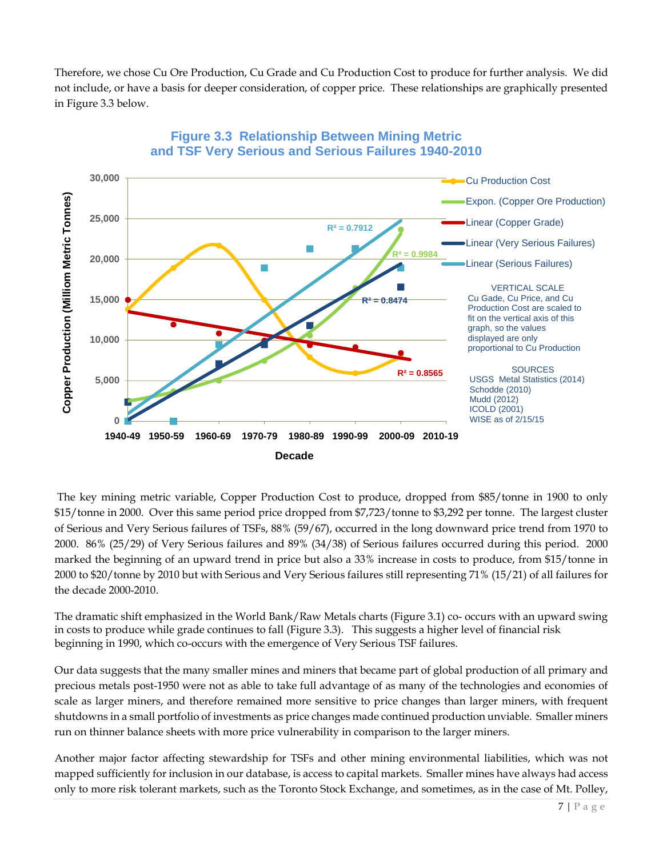Therefore, we chose Cu Ore Production, Cu Grade and Cu Production Cost to produce for further analysis. We did not include, or have a basis for deeper consideration, of copper price. These relationships are graphically presented in Figure 3.3 below.



#### **Figure 3.3 Relationship Between Mining Metric and TSF Very Serious and Serious Failures 1940-2010**

 The key mining metric variable, Copper Production Cost to produce, dropped from \$85/tonne in 1900 to only \$15/tonne in 2000. Over this same period price dropped from \$7,723/tonne to \$3,292 per tonne. The largest cluster of Serious and Very Serious failures of TSFs, 88% (59/67), occurred in the long downward price trend from 1970 to 2000. 86% (25/29) of Very Serious failures and 89% (34/38) of Serious failures occurred during this period. 2000 marked the beginning of an upward trend in price but also a 33% increase in costs to produce, from \$15/tonne in 2000 to \$20/tonne by 2010 but with Serious and Very Serious failures still representing 71% (15/21) of all failures for the decade 2000-2010.

The dramatic shift emphasized in the World Bank/Raw Metals charts (Figure 3.1) co- occurs with an upward swing in costs to produce while grade continues to fall (Figure 3.3). This suggests a higher level of financial risk beginning in 1990, which co-occurs with the emergence of Very Serious TSF failures.

Our data suggests that the many smaller mines and miners that became part of global production of all primary and precious metals post-1950 were not as able to take full advantage of as many of the technologies and economies of scale as larger miners, and therefore remained more sensitive to price changes than larger miners, with frequent shutdowns in a small portfolio of investments as price changes made continued production unviable. Smaller miners run on thinner balance sheets with more price vulnerability in comparison to the larger miners.

Another major factor affecting stewardship for TSFs and other mining environmental liabilities, which was not mapped sufficiently for inclusion in our database, is access to capital markets. Smaller mines have always had access only to more risk tolerant markets, such as the Toronto Stock Exchange, and sometimes, as in the case of Mt. Polley,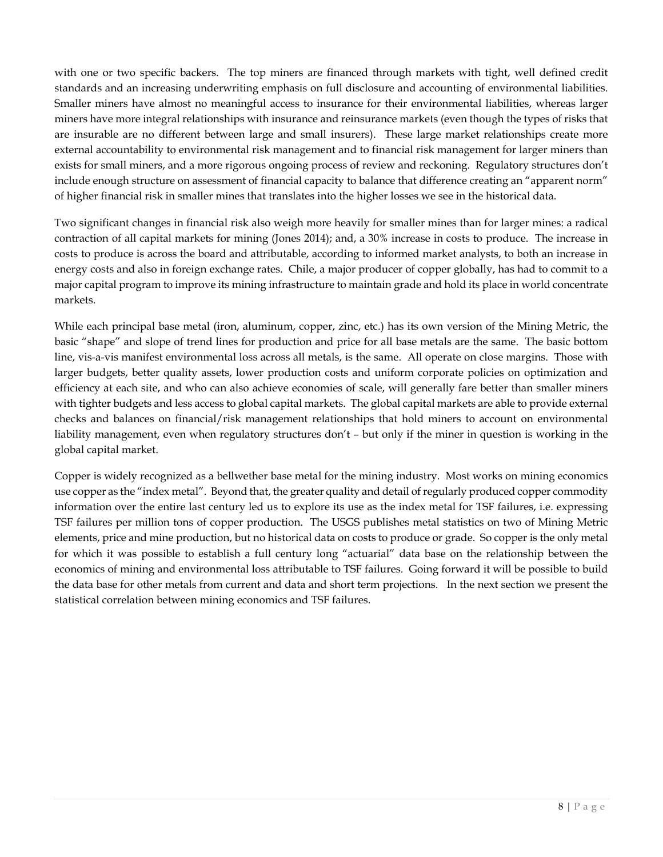with one or two specific backers. The top miners are financed through markets with tight, well defined credit standards and an increasing underwriting emphasis on full disclosure and accounting of environmental liabilities. Smaller miners have almost no meaningful access to insurance for their environmental liabilities, whereas larger miners have more integral relationships with insurance and reinsurance markets (even though the types of risks that are insurable are no different between large and small insurers). These large market relationships create more external accountability to environmental risk management and to financial risk management for larger miners than exists for small miners, and a more rigorous ongoing process of review and reckoning. Regulatory structures don't include enough structure on assessment of financial capacity to balance that difference creating an "apparent norm" of higher financial risk in smaller mines that translates into the higher losses we see in the historical data.

Two significant changes in financial risk also weigh more heavily for smaller mines than for larger mines: a radical contraction of all capital markets for mining (Jones 2014); and, a 30% increase in costs to produce. The increase in costs to produce is across the board and attributable, according to informed market analysts, to both an increase in energy costs and also in foreign exchange rates. Chile, a major producer of copper globally, has had to commit to a major capital program to improve its mining infrastructure to maintain grade and hold its place in world concentrate markets.

While each principal base metal (iron, aluminum, copper, zinc, etc.) has its own version of the Mining Metric, the basic "shape" and slope of trend lines for production and price for all base metals are the same. The basic bottom line, vis-a-vis manifest environmental loss across all metals, is the same. All operate on close margins. Those with larger budgets, better quality assets, lower production costs and uniform corporate policies on optimization and efficiency at each site, and who can also achieve economies of scale, will generally fare better than smaller miners with tighter budgets and less access to global capital markets. The global capital markets are able to provide external checks and balances on financial/risk management relationships that hold miners to account on environmental liability management, even when regulatory structures don't – but only if the miner in question is working in the global capital market.

Copper is widely recognized as a bellwether base metal for the mining industry. Most works on mining economics use copper as the "index metal". Beyond that, the greater quality and detail of regularly produced copper commodity information over the entire last century led us to explore its use as the index metal for TSF failures, i.e. expressing TSF failures per million tons of copper production. The USGS publishes metal statistics on two of Mining Metric elements, price and mine production, but no historical data on costs to produce or grade. So copper is the only metal for which it was possible to establish a full century long "actuarial" data base on the relationship between the economics of mining and environmental loss attributable to TSF failures. Going forward it will be possible to build the data base for other metals from current and data and short term projections. In the next section we present the statistical correlation between mining economics and TSF failures.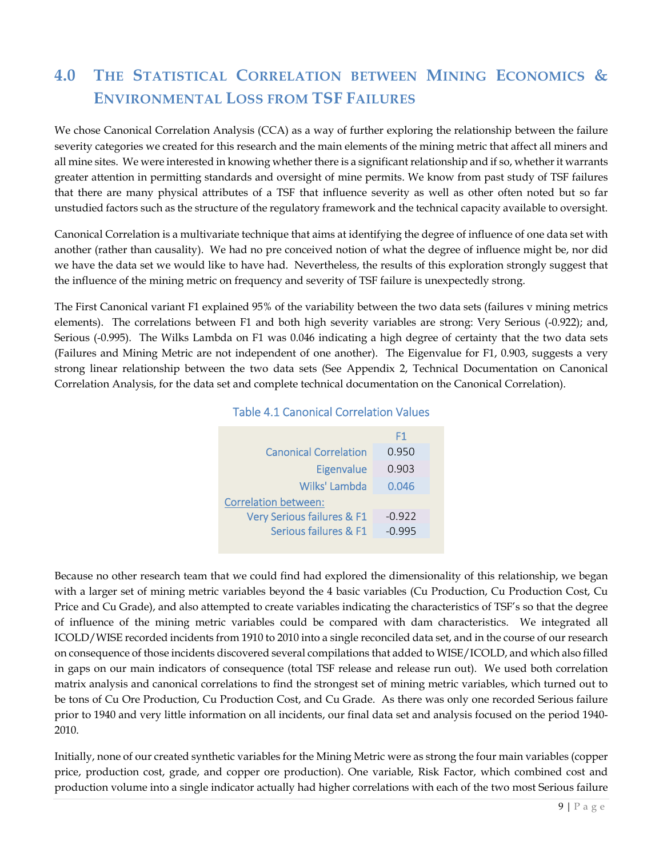# **4.0 THE STATISTICAL CORRELATION BETWEEN MINING ECONOMICS & ENVIRONMENTAL LOSS FROM TSF FAILURES**

We chose Canonical Correlation Analysis (CCA) as a way of further exploring the relationship between the failure severity categories we created for this research and the main elements of the mining metric that affect all miners and all mine sites. We were interested in knowing whether there is a significant relationship and if so, whether it warrants greater attention in permitting standards and oversight of mine permits. We know from past study of TSF failures that there are many physical attributes of a TSF that influence severity as well as other often noted but so far unstudied factors such as the structure of the regulatory framework and the technical capacity available to oversight.

Canonical Correlation is a multivariate technique that aims at identifying the degree of influence of one data set with another (rather than causality). We had no pre conceived notion of what the degree of influence might be, nor did we have the data set we would like to have had. Nevertheless, the results of this exploration strongly suggest that the influence of the mining metric on frequency and severity of TSF failure is unexpectedly strong.

The First Canonical variant F1 explained 95% of the variability between the two data sets (failures v mining metrics elements). The correlations between F1 and both high severity variables are strong: Very Serious (-0.922); and, Serious (-0.995). The Wilks Lambda on F1 was 0.046 indicating a high degree of certainty that the two data sets (Failures and Mining Metric are not independent of one another). The Eigenvalue for F1, 0.903, suggests a very strong linear relationship between the two data sets (See Appendix 2, Technical Documentation on Canonical Correlation Analysis, for the data set and complete technical documentation on the Canonical Correlation).

## Table 4.1 Canonical Correlation Values

|                                       | F1       |
|---------------------------------------|----------|
| <b>Canonical Correlation</b>          | 0.950    |
| <b>Eigenvalue</b>                     | 0.903    |
| Wilks' Lambda                         | 0.046    |
| <b>Correlation between:</b>           |          |
| <b>Very Serious failures &amp; F1</b> | $-0.922$ |
| Serious failures & F1                 | $-0.995$ |
|                                       |          |

Because no other research team that we could find had explored the dimensionality of this relationship, we began with a larger set of mining metric variables beyond the 4 basic variables (Cu Production, Cu Production Cost, Cu Price and Cu Grade), and also attempted to create variables indicating the characteristics of TSF's so that the degree of influence of the mining metric variables could be compared with dam characteristics. We integrated all ICOLD/WISE recorded incidents from 1910 to 2010 into a single reconciled data set, and in the course of our research on consequence of those incidents discovered several compilations that added to WISE/ICOLD, and which also filled in gaps on our main indicators of consequence (total TSF release and release run out). We used both correlation matrix analysis and canonical correlations to find the strongest set of mining metric variables, which turned out to be tons of Cu Ore Production, Cu Production Cost, and Cu Grade. As there was only one recorded Serious failure prior to 1940 and very little information on all incidents, our final data set and analysis focused on the period 1940- 2010.

Initially, none of our created synthetic variables for the Mining Metric were as strong the four main variables (copper price, production cost, grade, and copper ore production). One variable, Risk Factor, which combined cost and production volume into a single indicator actually had higher correlations with each of the two most Serious failure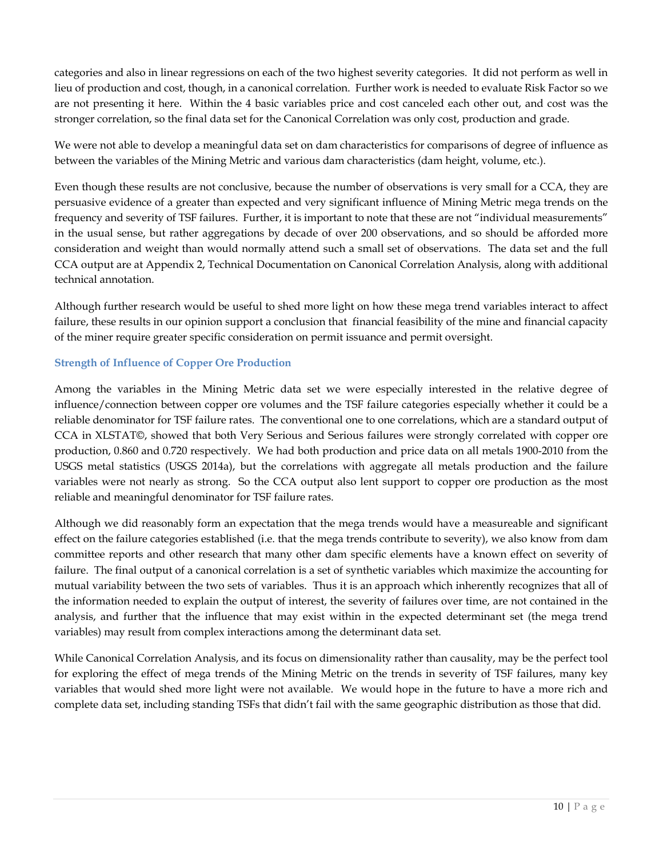categories and also in linear regressions on each of the two highest severity categories. It did not perform as well in lieu of production and cost, though, in a canonical correlation. Further work is needed to evaluate Risk Factor so we are not presenting it here. Within the 4 basic variables price and cost canceled each other out, and cost was the stronger correlation, so the final data set for the Canonical Correlation was only cost, production and grade.

We were not able to develop a meaningful data set on dam characteristics for comparisons of degree of influence as between the variables of the Mining Metric and various dam characteristics (dam height, volume, etc.).

Even though these results are not conclusive, because the number of observations is very small for a CCA, they are persuasive evidence of a greater than expected and very significant influence of Mining Metric mega trends on the frequency and severity of TSF failures. Further, it is important to note that these are not "individual measurements" in the usual sense, but rather aggregations by decade of over 200 observations, and so should be afforded more consideration and weight than would normally attend such a small set of observations. The data set and the full CCA output are at Appendix 2, Technical Documentation on Canonical Correlation Analysis, along with additional technical annotation.

Although further research would be useful to shed more light on how these mega trend variables interact to affect failure, these results in our opinion support a conclusion that financial feasibility of the mine and financial capacity of the miner require greater specific consideration on permit issuance and permit oversight.

## **Strength of Influence of Copper Ore Production**

Among the variables in the Mining Metric data set we were especially interested in the relative degree of influence/connection between copper ore volumes and the TSF failure categories especially whether it could be a reliable denominator for TSF failure rates. The conventional one to one correlations, which are a standard output of CCA in XLSTAT©, showed that both Very Serious and Serious failures were strongly correlated with copper ore production, 0.860 and 0.720 respectively. We had both production and price data on all metals 1900-2010 from the USGS metal statistics (USGS 2014a), but the correlations with aggregate all metals production and the failure variables were not nearly as strong. So the CCA output also lent support to copper ore production as the most reliable and meaningful denominator for TSF failure rates.

Although we did reasonably form an expectation that the mega trends would have a measureable and significant effect on the failure categories established (i.e. that the mega trends contribute to severity), we also know from dam committee reports and other research that many other dam specific elements have a known effect on severity of failure. The final output of a canonical correlation is a set of synthetic variables which maximize the accounting for mutual variability between the two sets of variables. Thus it is an approach which inherently recognizes that all of the information needed to explain the output of interest, the severity of failures over time, are not contained in the analysis, and further that the influence that may exist within in the expected determinant set (the mega trend variables) may result from complex interactions among the determinant data set.

While Canonical Correlation Analysis, and its focus on dimensionality rather than causality, may be the perfect tool for exploring the effect of mega trends of the Mining Metric on the trends in severity of TSF failures, many key variables that would shed more light were not available. We would hope in the future to have a more rich and complete data set, including standing TSFs that didn't fail with the same geographic distribution as those that did.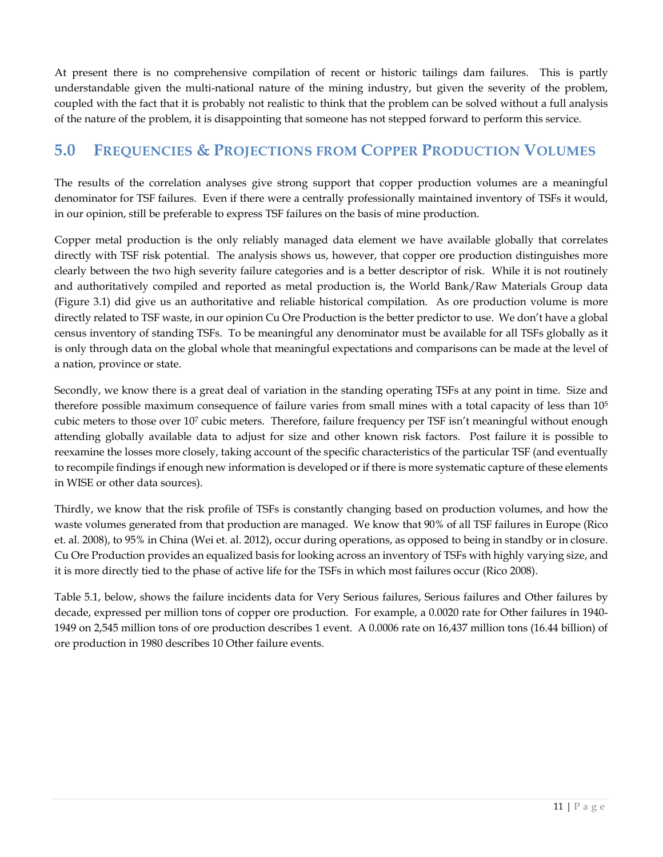At present there is no comprehensive compilation of recent or historic tailings dam failures. This is partly understandable given the multi-national nature of the mining industry, but given the severity of the problem, coupled with the fact that it is probably not realistic to think that the problem can be solved without a full analysis of the nature of the problem, it is disappointing that someone has not stepped forward to perform this service.

# **5.0 FREQUENCIES & PROJECTIONS FROM COPPER PRODUCTION VOLUMES**

The results of the correlation analyses give strong support that copper production volumes are a meaningful denominator for TSF failures. Even if there were a centrally professionally maintained inventory of TSFs it would, in our opinion, still be preferable to express TSF failures on the basis of mine production.

Copper metal production is the only reliably managed data element we have available globally that correlates directly with TSF risk potential. The analysis shows us, however, that copper ore production distinguishes more clearly between the two high severity failure categories and is a better descriptor of risk. While it is not routinely and authoritatively compiled and reported as metal production is, the World Bank/Raw Materials Group data (Figure 3.1) did give us an authoritative and reliable historical compilation. As ore production volume is more directly related to TSF waste, in our opinion Cu Ore Production is the better predictor to use. We don't have a global census inventory of standing TSFs. To be meaningful any denominator must be available for all TSFs globally as it is only through data on the global whole that meaningful expectations and comparisons can be made at the level of a nation, province or state.

Secondly, we know there is a great deal of variation in the standing operating TSFs at any point in time. Size and therefore possible maximum consequence of failure varies from small mines with a total capacity of less than 105 cubic meters to those over 107 cubic meters. Therefore, failure frequency per TSF isn't meaningful without enough attending globally available data to adjust for size and other known risk factors. Post failure it is possible to reexamine the losses more closely, taking account of the specific characteristics of the particular TSF (and eventually to recompile findings if enough new information is developed or if there is more systematic capture of these elements in WISE or other data sources).

Thirdly, we know that the risk profile of TSFs is constantly changing based on production volumes, and how the waste volumes generated from that production are managed. We know that 90% of all TSF failures in Europe (Rico et. al. 2008), to 95% in China (Wei et. al. 2012), occur during operations, as opposed to being in standby or in closure. Cu Ore Production provides an equalized basis for looking across an inventory of TSFs with highly varying size, and it is more directly tied to the phase of active life for the TSFs in which most failures occur (Rico 2008).

Table 5.1, below, shows the failure incidents data for Very Serious failures, Serious failures and Other failures by decade, expressed per million tons of copper ore production. For example, a 0.0020 rate for Other failures in 1940- 1949 on 2,545 million tons of ore production describes 1 event. A 0.0006 rate on 16,437 million tons (16.44 billion) of ore production in 1980 describes 10 Other failure events.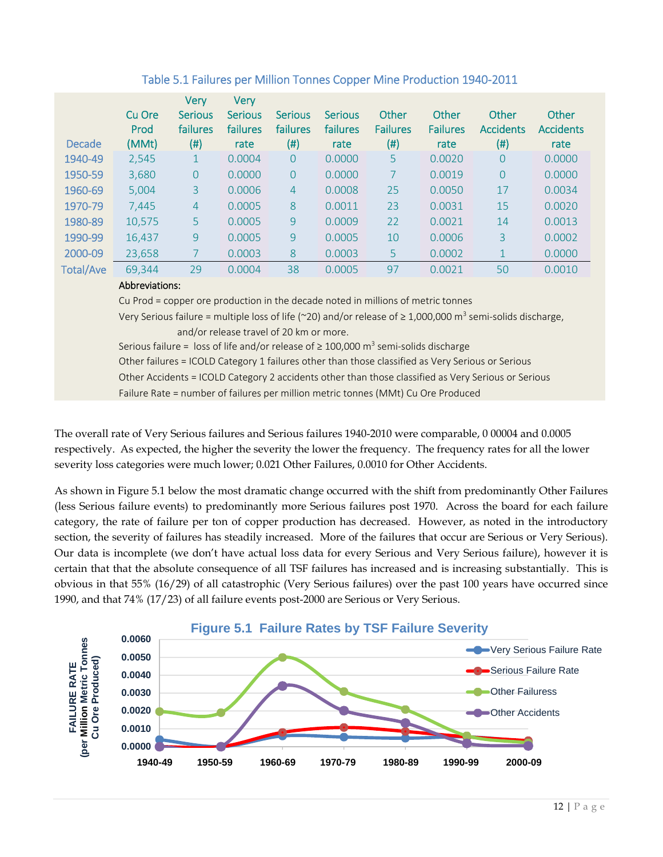| Decade           | Cu Ore<br>Prod<br>(MMt) | Very<br><b>Serious</b><br>failures<br>(# ) | Very<br><b>Serious</b><br>failures<br>rate | <b>Serious</b><br>failures<br>(# ) | <b>Serious</b><br>failures<br>rate | Other<br><b>Failures</b><br>$($ #) | Other<br><b>Failures</b><br>rate | Other<br><b>Accidents</b><br>(#) | Other<br><b>Accidents</b><br>rate |
|------------------|-------------------------|--------------------------------------------|--------------------------------------------|------------------------------------|------------------------------------|------------------------------------|----------------------------------|----------------------------------|-----------------------------------|
| 1940-49          | 2,545                   | 1                                          | 0.0004                                     | $\overline{0}$                     | 0.0000                             | 5                                  | 0.0020                           | 0                                | 0.0000                            |
| 1950-59          | 3,680                   | $\overline{0}$                             | 0.0000                                     | $\overline{0}$                     | 0.0000                             | 7                                  | 0.0019                           | $\overline{0}$                   | 0.0000                            |
| 1960-69          | 5,004                   | 3                                          | 0.0006                                     | $\overline{4}$                     | 0.0008                             | 25                                 | 0.0050                           | 17                               | 0.0034                            |
| 1970-79          | 7,445                   | $\overline{4}$                             | 0.0005                                     | 8                                  | 0.0011                             | 23                                 | 0.0031                           | 15                               | 0.0020                            |
| 1980-89          | 10,575                  | 5                                          | 0.0005                                     | 9                                  | 0.0009                             | 22                                 | 0.0021                           | 14                               | 0.0013                            |
| 1990-99          | 16,437                  | 9                                          | 0.0005                                     | 9                                  | 0.0005                             | 10                                 | 0.0006                           | 3                                | 0.0002                            |
| 2000-09          | 23,658                  |                                            | 0.0003                                     | 8                                  | 0.0003                             | 5                                  | 0.0002                           | $\mathbf{1}$                     | 0.0000                            |
| <b>Total/Ave</b> | 69,344                  | 29                                         | 0.0004                                     | 38                                 | 0.0005                             | 97                                 | 0.0021                           | 50                               | 0.0010                            |

## Table 5.1 Failures per Million Tonnes Copper Mine Production 1940‐2011

### Abbreviations:

Cu Prod = copper ore production in the decade noted in millions of metric tonnes

Very Serious failure = multiple loss of life (~20) and/or release of  $\geq 1,000,000$  m<sup>3</sup> semi-solids discharge, and/or release travel of 20 km or more.

Serious failure = loss of life and/or release of  $\geq 100,000$  m<sup>3</sup> semi-solids discharge Other failures = ICOLD Category 1 failures other than those classified as Very Serious or Serious Other Accidents = ICOLD Category 2 accidents other than those classified as Very Serious or Serious Failure Rate = number of failures per million metric tonnes (MMt) Cu Ore Produced

The overall rate of Very Serious failures and Serious failures 1940-2010 were comparable, 0 00004 and 0.0005 respectively. As expected, the higher the severity the lower the frequency. The frequency rates for all the lower severity loss categories were much lower; 0.021 Other Failures, 0.0010 for Other Accidents.

As shown in Figure 5.1 below the most dramatic change occurred with the shift from predominantly Other Failures (less Serious failure events) to predominantly more Serious failures post 1970. Across the board for each failure category, the rate of failure per ton of copper production has decreased. However, as noted in the introductory section, the severity of failures has steadily increased. More of the failures that occur are Serious or Very Serious). Our data is incomplete (we don't have actual loss data for every Serious and Very Serious failure), however it is certain that that the absolute consequence of all TSF failures has increased and is increasing substantially. This is obvious in that 55% (16/29) of all catastrophic (Very Serious failures) over the past 100 years have occurred since 1990, and that 74% (17/23) of all failure events post-2000 are Serious or Very Serious.

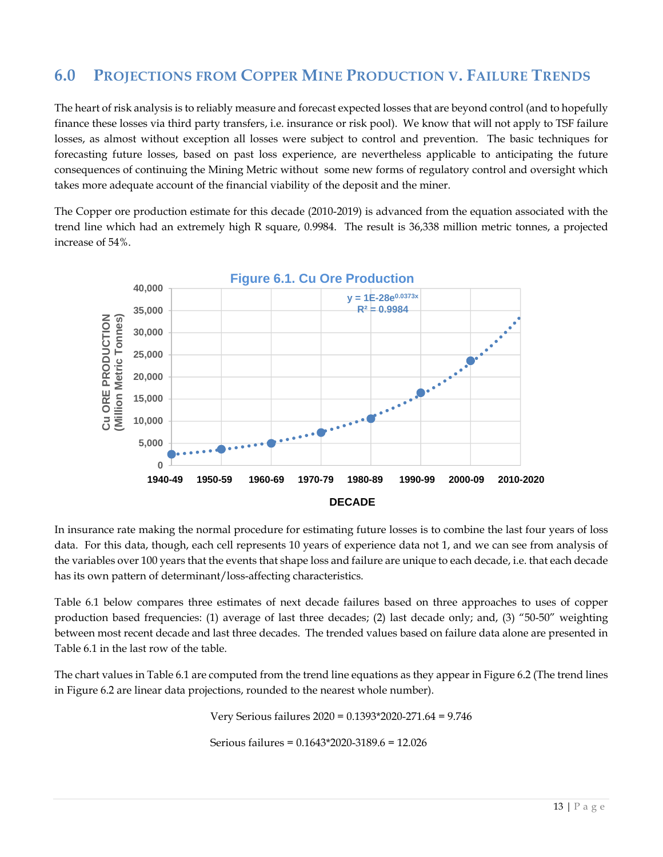# **6.0 PROJECTIONS FROM COPPER MINE PRODUCTION V. FAILURE TRENDS**

The heart of risk analysis is to reliably measure and forecast expected losses that are beyond control (and to hopefully finance these losses via third party transfers, i.e. insurance or risk pool). We know that will not apply to TSF failure losses, as almost without exception all losses were subject to control and prevention. The basic techniques for forecasting future losses, based on past loss experience, are nevertheless applicable to anticipating the future consequences of continuing the Mining Metric without some new forms of regulatory control and oversight which takes more adequate account of the financial viability of the deposit and the miner.

The Copper ore production estimate for this decade (2010-2019) is advanced from the equation associated with the trend line which had an extremely high R square, 0.9984. The result is 36,338 million metric tonnes, a projected increase of 54%.



In insurance rate making the normal procedure for estimating future losses is to combine the last four years of loss data. For this data, though, each cell represents 10 years of experience data not 1, and we can see from analysis of the variables over 100 years that the events that shape loss and failure are unique to each decade, i.e. that each decade has its own pattern of determinant/loss-affecting characteristics.

Table 6.1 below compares three estimates of next decade failures based on three approaches to uses of copper production based frequencies: (1) average of last three decades; (2) last decade only; and, (3) "50-50" weighting between most recent decade and last three decades. The trended values based on failure data alone are presented in Table 6.1 in the last row of the table.

The chart values in Table 6.1 are computed from the trend line equations as they appear in Figure 6.2 (The trend lines in Figure 6.2 are linear data projections, rounded to the nearest whole number).

Very Serious failures 2020 = 0.1393\*2020-271.64 = 9.746

Serious failures = 0.1643\*2020-3189.6 = 12.026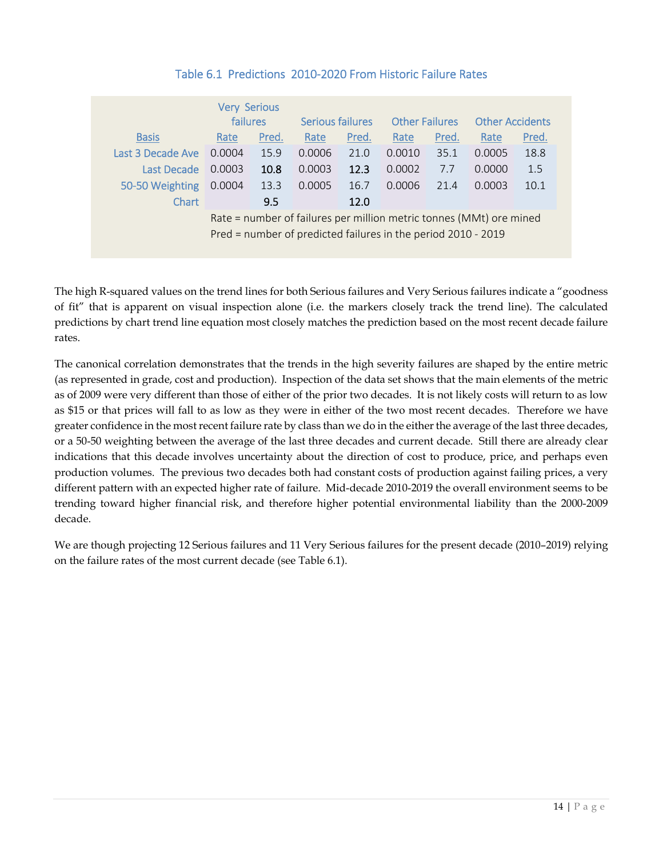# Table 6.1 Predictions 2010‐2020 From Historic Failure Rates

|                   | <b>Very Serious</b><br>failures                                                                                                      |       | Serious failures |       | <b>Other Failures</b> |       | <b>Other Accidents</b> |       |  |  |  |  |
|-------------------|--------------------------------------------------------------------------------------------------------------------------------------|-------|------------------|-------|-----------------------|-------|------------------------|-------|--|--|--|--|
| <b>Basis</b>      | Rate                                                                                                                                 | Pred. | Rate             | Pred. | Rate                  | Pred. | Rate                   | Pred. |  |  |  |  |
| Last 3 Decade Ave | 0.0004                                                                                                                               | 15.9  | 0.0006           | 21.0  | 0.0010                | 35.1  | 0.0005                 | 18.8  |  |  |  |  |
| Last Decade       | 0.0003                                                                                                                               | 10.8  | 0.0003           | 12.3  | 0.0002                | 7.7   | 0.0000                 | 1.5   |  |  |  |  |
| 50-50 Weighting   | 0.0004                                                                                                                               | 13.3  | 0.0005           | 16.7  | 0.0006                | 21.4  | 0.0003                 | 10.1  |  |  |  |  |
| Chart             |                                                                                                                                      | 9.5   |                  | 12.0  |                       |       |                        |       |  |  |  |  |
|                   | Rate = number of failures per million metric tonnes (MMt) ore mined<br>Pred = number of predicted failures in the period 2010 - 2019 |       |                  |       |                       |       |                        |       |  |  |  |  |

The high R-squared values on the trend lines for both Serious failures and Very Serious failures indicate a "goodness of fit" that is apparent on visual inspection alone (i.e. the markers closely track the trend line). The calculated predictions by chart trend line equation most closely matches the prediction based on the most recent decade failure rates.

The canonical correlation demonstrates that the trends in the high severity failures are shaped by the entire metric (as represented in grade, cost and production). Inspection of the data set shows that the main elements of the metric as of 2009 were very different than those of either of the prior two decades. It is not likely costs will return to as low as \$15 or that prices will fall to as low as they were in either of the two most recent decades. Therefore we have greater confidence in the most recent failure rate by class than we do in the either the average of the last three decades, or a 50-50 weighting between the average of the last three decades and current decade. Still there are already clear indications that this decade involves uncertainty about the direction of cost to produce, price, and perhaps even production volumes. The previous two decades both had constant costs of production against failing prices, a very different pattern with an expected higher rate of failure. Mid-decade 2010-2019 the overall environment seems to be trending toward higher financial risk, and therefore higher potential environmental liability than the 2000-2009 decade.

We are though projecting 12 Serious failures and 11 Very Serious failures for the present decade (2010–2019) relying on the failure rates of the most current decade (see Table 6.1).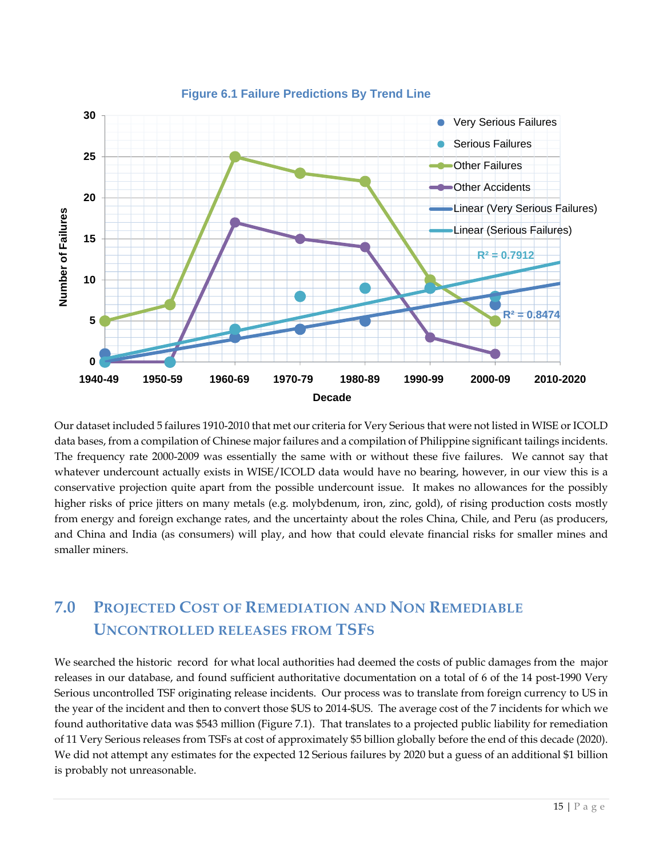

Our dataset included 5 failures 1910-2010 that met our criteria for Very Serious that were not listed in WISE or ICOLD data bases, from a compilation of Chinese major failures and a compilation of Philippine significant tailings incidents. The frequency rate 2000-2009 was essentially the same with or without these five failures. We cannot say that whatever undercount actually exists in WISE/ICOLD data would have no bearing, however, in our view this is a conservative projection quite apart from the possible undercount issue. It makes no allowances for the possibly higher risks of price jitters on many metals (e.g. molybdenum, iron, zinc, gold), of rising production costs mostly from energy and foreign exchange rates, and the uncertainty about the roles China, Chile, and Peru (as producers, and China and India (as consumers) will play, and how that could elevate financial risks for smaller mines and smaller miners.

# **7.0 PROJECTED COST OF REMEDIATION AND NON REMEDIABLE UNCONTROLLED RELEASES FROM TSFS**

We searched the historic record for what local authorities had deemed the costs of public damages from the major releases in our database, and found sufficient authoritative documentation on a total of 6 of the 14 post-1990 Very Serious uncontrolled TSF originating release incidents. Our process was to translate from foreign currency to US in the year of the incident and then to convert those \$US to 2014-\$US. The average cost of the 7 incidents for which we found authoritative data was \$543 million (Figure 7.1). That translates to a projected public liability for remediation of 11 Very Serious releases from TSFs at cost of approximately \$5 billion globally before the end of this decade (2020). We did not attempt any estimates for the expected 12 Serious failures by 2020 but a guess of an additional \$1 billion is probably not unreasonable.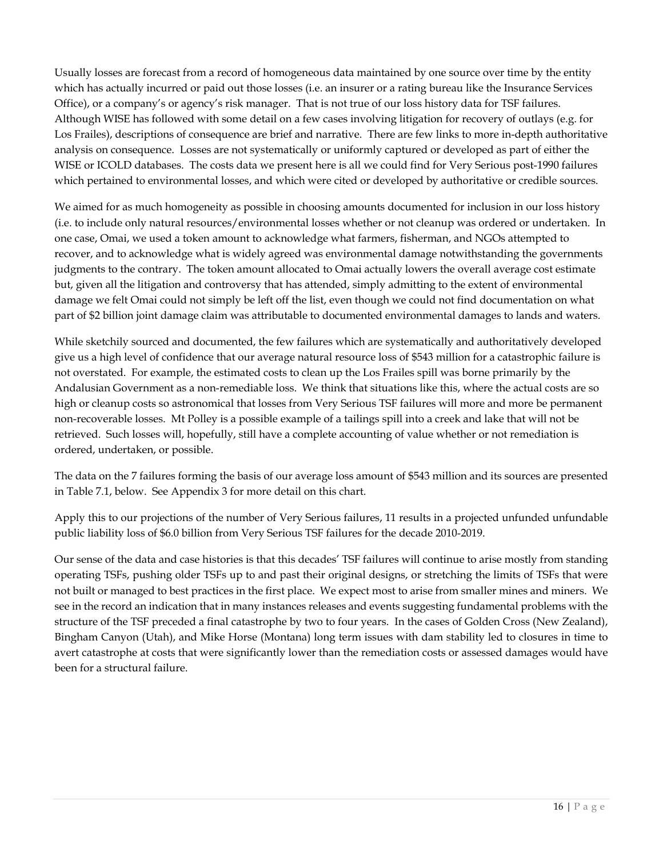Usually losses are forecast from a record of homogeneous data maintained by one source over time by the entity which has actually incurred or paid out those losses (i.e. an insurer or a rating bureau like the Insurance Services Office), or a company's or agency's risk manager. That is not true of our loss history data for TSF failures. Although WISE has followed with some detail on a few cases involving litigation for recovery of outlays (e.g. for Los Frailes), descriptions of consequence are brief and narrative. There are few links to more in-depth authoritative analysis on consequence. Losses are not systematically or uniformly captured or developed as part of either the WISE or ICOLD databases. The costs data we present here is all we could find for Very Serious post-1990 failures which pertained to environmental losses, and which were cited or developed by authoritative or credible sources.

We aimed for as much homogeneity as possible in choosing amounts documented for inclusion in our loss history (i.e. to include only natural resources/environmental losses whether or not cleanup was ordered or undertaken. In one case, Omai, we used a token amount to acknowledge what farmers, fisherman, and NGOs attempted to recover, and to acknowledge what is widely agreed was environmental damage notwithstanding the governments judgments to the contrary. The token amount allocated to Omai actually lowers the overall average cost estimate but, given all the litigation and controversy that has attended, simply admitting to the extent of environmental damage we felt Omai could not simply be left off the list, even though we could not find documentation on what part of \$2 billion joint damage claim was attributable to documented environmental damages to lands and waters.

While sketchily sourced and documented, the few failures which are systematically and authoritatively developed give us a high level of confidence that our average natural resource loss of \$543 million for a catastrophic failure is not overstated. For example, the estimated costs to clean up the Los Frailes spill was borne primarily by the Andalusian Government as a non-remediable loss. We think that situations like this, where the actual costs are so high or cleanup costs so astronomical that losses from Very Serious TSF failures will more and more be permanent non-recoverable losses. Mt Polley is a possible example of a tailings spill into a creek and lake that will not be retrieved. Such losses will, hopefully, still have a complete accounting of value whether or not remediation is ordered, undertaken, or possible.

The data on the 7 failures forming the basis of our average loss amount of \$543 million and its sources are presented in Table 7.1, below. See Appendix 3 for more detail on this chart.

Apply this to our projections of the number of Very Serious failures, 11 results in a projected unfunded unfundable public liability loss of \$6.0 billion from Very Serious TSF failures for the decade 2010-2019.

Our sense of the data and case histories is that this decades' TSF failures will continue to arise mostly from standing operating TSFs, pushing older TSFs up to and past their original designs, or stretching the limits of TSFs that were not built or managed to best practices in the first place. We expect most to arise from smaller mines and miners. We see in the record an indication that in many instances releases and events suggesting fundamental problems with the structure of the TSF preceded a final catastrophe by two to four years. In the cases of Golden Cross (New Zealand), Bingham Canyon (Utah), and Mike Horse (Montana) long term issues with dam stability led to closures in time to avert catastrophe at costs that were significantly lower than the remediation costs or assessed damages would have been for a structural failure.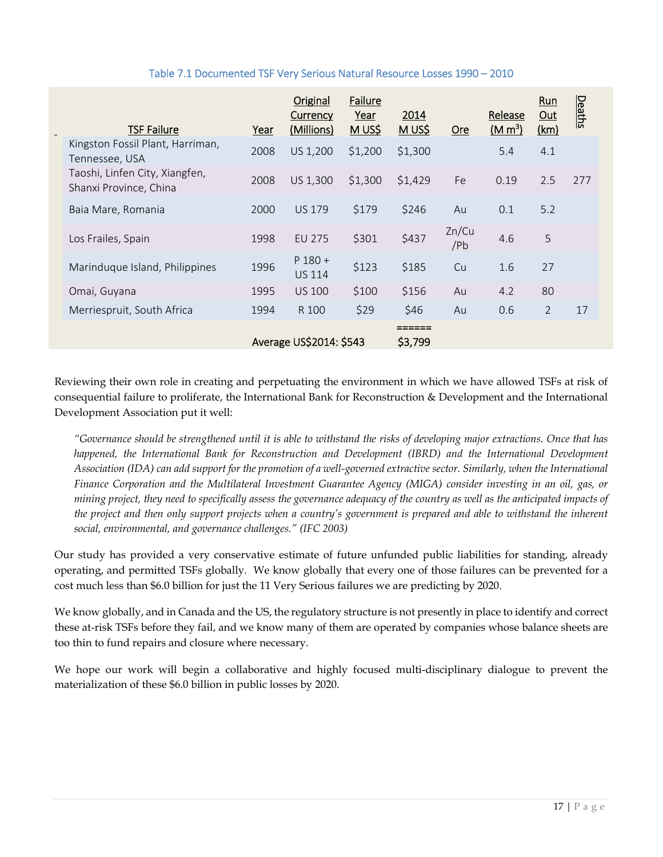### Table 7.1 Documented TSF Very Serious Natural Resource Losses 1990 – 2010

| <b>TSF Failure</b>                                       | Year | Original<br>Currency<br>(Millions) | Failure<br>Year<br>M US\$ | 2014<br>M US\$ | Ore          | Release<br>(M m <sup>3</sup> ) | Run<br>Out<br>(km) | Deaths |
|----------------------------------------------------------|------|------------------------------------|---------------------------|----------------|--------------|--------------------------------|--------------------|--------|
| Kingston Fossil Plant, Harriman,<br>Tennessee, USA       | 2008 | US 1,200                           | \$1,200                   | \$1,300        |              | 5.4                            | 4.1                |        |
| Taoshi, Linfen City, Xiangfen,<br>Shanxi Province, China | 2008 | US 1,300                           | \$1,300                   | \$1,429        | Fe           | 0.19                           | 2.5                | 277    |
| Baia Mare, Romania                                       | 2000 | <b>US 179</b>                      | \$179                     | \$246          | Au           | 0.1                            | 5.2                |        |
| Los Frailes, Spain                                       | 1998 | EU 275                             | \$301                     | \$437          | Zn/Cu<br>/Pb | 4.6                            | 5                  |        |
| Marinduque Island, Philippines                           | 1996 | $P$ 180 +<br>US 114                | \$123                     | \$185          | Cu           | 1.6                            | 27                 |        |
| Omai, Guyana                                             | 1995 | <b>US 100</b>                      | \$100                     | \$156          | Au           | 4.2                            | 80                 |        |
| Merriespruit, South Africa                               | 1994 | R 100                              | \$29                      | \$46           | Au           | 0.6                            | $\overline{2}$     | 17     |
|                                                          |      | Average US\$2014: \$543            |                           | \$3,799        |              |                                |                    |        |

Reviewing their own role in creating and perpetuating the environment in which we have allowed TSFs at risk of consequential failure to proliferate, the International Bank for Reconstruction & Development and the International Development Association put it well:

*"Governance should be strengthened until it is able to withstand the risks of developing major extractions. Once that has happened, the International Bank for Reconstruction and Development (IBRD) and the International Development Association (IDA) can add support for the promotion of a well-governed extractive sector. Similarly, when the International Finance Corporation and the Multilateral Investment Guarantee Agency (MIGA) consider investing in an oil, gas, or mining project, they need to specifically assess the governance adequacy of the country as well as the anticipated impacts of the project and then only support projects when a country's government is prepared and able to withstand the inherent social, environmental, and governance challenges." (IFC 2003)* 

Our study has provided a very conservative estimate of future unfunded public liabilities for standing, already operating, and permitted TSFs globally. We know globally that every one of those failures can be prevented for a cost much less than \$6.0 billion for just the 11 Very Serious failures we are predicting by 2020.

We know globally, and in Canada and the US, the regulatory structure is not presently in place to identify and correct these at-risk TSFs before they fail, and we know many of them are operated by companies whose balance sheets are too thin to fund repairs and closure where necessary.

We hope our work will begin a collaborative and highly focused multi-disciplinary dialogue to prevent the materialization of these \$6.0 billion in public losses by 2020.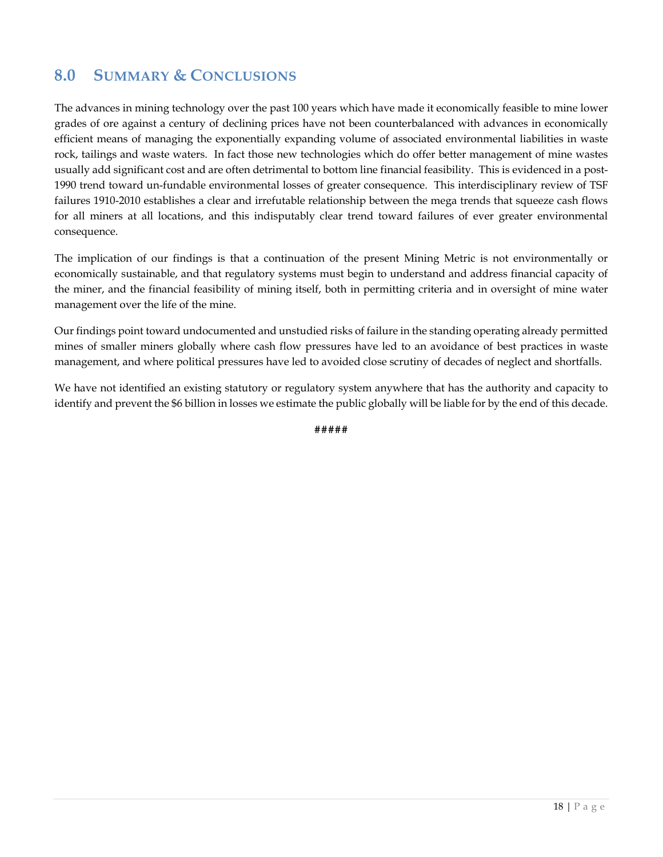# **8.0 SUMMARY & CONCLUSIONS**

The advances in mining technology over the past 100 years which have made it economically feasible to mine lower grades of ore against a century of declining prices have not been counterbalanced with advances in economically efficient means of managing the exponentially expanding volume of associated environmental liabilities in waste rock, tailings and waste waters. In fact those new technologies which do offer better management of mine wastes usually add significant cost and are often detrimental to bottom line financial feasibility. This is evidenced in a post-1990 trend toward un-fundable environmental losses of greater consequence. This interdisciplinary review of TSF failures 1910-2010 establishes a clear and irrefutable relationship between the mega trends that squeeze cash flows for all miners at all locations, and this indisputably clear trend toward failures of ever greater environmental consequence.

The implication of our findings is that a continuation of the present Mining Metric is not environmentally or economically sustainable, and that regulatory systems must begin to understand and address financial capacity of the miner, and the financial feasibility of mining itself, both in permitting criteria and in oversight of mine water management over the life of the mine.

Our findings point toward undocumented and unstudied risks of failure in the standing operating already permitted mines of smaller miners globally where cash flow pressures have led to an avoidance of best practices in waste management, and where political pressures have led to avoided close scrutiny of decades of neglect and shortfalls.

We have not identified an existing statutory or regulatory system anywhere that has the authority and capacity to identify and prevent the \$6 billion in losses we estimate the public globally will be liable for by the end of this decade.

**#####**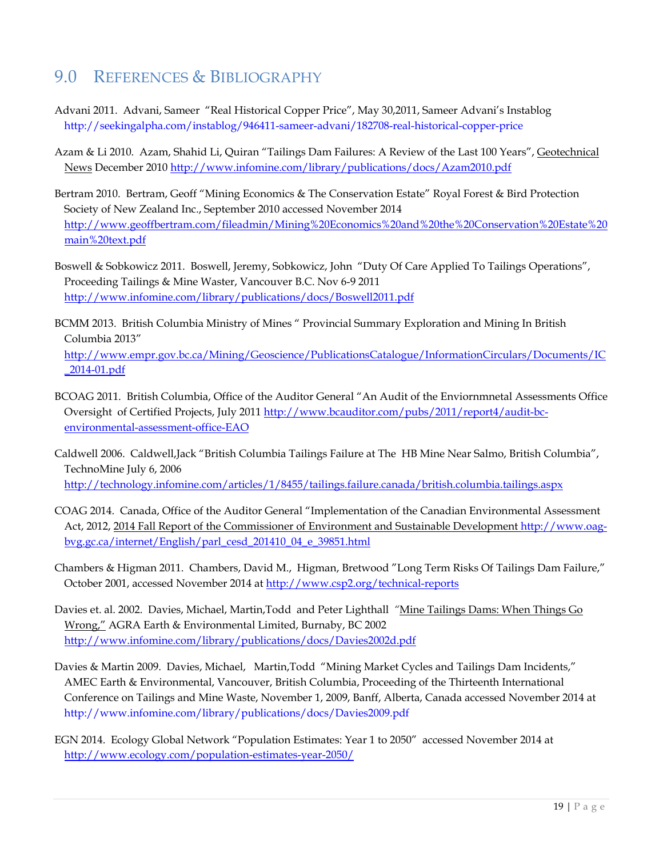# 9.0 REFERENCES & BIBLIOGRAPHY

- Advani 2011. Advani, Sameer "Real Historical Copper Price", May 30,2011, Sameer Advani's Instablog http://seekingalpha.com/instablog/946411-sameer-advani/182708-real-historical-copper-price
- Azam & Li 2010. Azam, Shahid Li, Quiran "Tailings Dam Failures: A Review of the Last 100 Years", Geotechnical News December 2010 http://www.infomine.com/library/publications/docs/Azam2010.pdf
- Bertram 2010. Bertram, Geoff "Mining Economics & The Conservation Estate" Royal Forest & Bird Protection Society of New Zealand Inc., September 2010 accessed November 2014 http://www.geoffbertram.com/fileadmin/Mining%20Economics%20and%20the%20Conservation%20Estate%20 main%20text.pdf
- Boswell & Sobkowicz 2011. Boswell, Jeremy, Sobkowicz, John "Duty Of Care Applied To Tailings Operations", Proceeding Tailings & Mine Waster, Vancouver B.C. Nov 6-9 2011 http://www.infomine.com/library/publications/docs/Boswell2011.pdf
- BCMM 2013. British Columbia Ministry of Mines " Provincial Summary Exploration and Mining In British Columbia 2013" http://www.empr.gov.bc.ca/Mining/Geoscience/PublicationsCatalogue/InformationCirculars/Documents/IC \_2014-01.pdf
- BCOAG 2011. British Columbia, Office of the Auditor General "An Audit of the Enviornmnetal Assessments Office Oversight of Certified Projects, July 2011 http://www.bcauditor.com/pubs/2011/report4/audit-bcenvironmental-assessment-office-EAO
- Caldwell 2006. Caldwell,Jack "British Columbia Tailings Failure at The HB Mine Near Salmo, British Columbia", TechnoMine July 6, 2006 http://technology.infomine.com/articles/1/8455/tailings.failure.canada/british.columbia.tailings.aspx
- COAG 2014. Canada, Office of the Auditor General "Implementation of the Canadian Environmental Assessment Act, 2012, 2014 Fall Report of the Commissioner of Environment and Sustainable Development http://www.oagbvg.gc.ca/internet/English/parl\_cesd\_201410\_04\_e\_39851.html
- Chambers & Higman 2011. Chambers, David M., Higman, Bretwood "Long Term Risks Of Tailings Dam Failure," October 2001, accessed November 2014 at http://www.csp2.org/technical-reports
- Davies et. al. 2002. Davies, Michael, Martin,Todd and Peter Lighthall *"*Mine Tailings Dams: When Things Go Wrong," AGRA Earth & Environmental Limited, Burnaby, BC 2002 http://www.infomine.com/library/publications/docs/Davies2002d.pdf
- Davies & Martin 2009. Davies, Michael, Martin,Todd "Mining Market Cycles and Tailings Dam Incidents," AMEC Earth & Environmental, Vancouver, British Columbia, Proceeding of the Thirteenth International Conference on Tailings and Mine Waste, November 1, 2009, Banff, Alberta, Canada accessed November 2014 at http://www.infomine.com/library/publications/docs/Davies2009.pdf
- EGN 2014. Ecology Global Network "Population Estimates: Year 1 to 2050" accessed November 2014 at http://www.ecology.com/population-estimates-year-2050/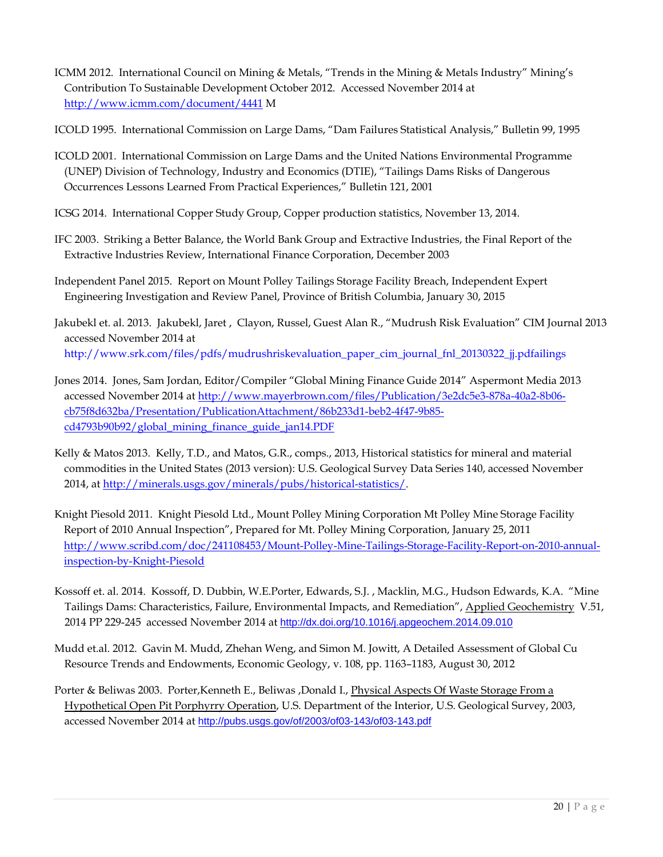- ICMM 2012. International Council on Mining & Metals, "Trends in the Mining & Metals Industry" Mining's Contribution To Sustainable Development October 2012. Accessed November 2014 at http://www.icmm.com/document/4441 M
- ICOLD 1995. International Commission on Large Dams, "Dam Failures Statistical Analysis," Bulletin 99, 1995
- ICOLD 2001. International Commission on Large Dams and the United Nations Environmental Programme (UNEP) Division of Technology, Industry and Economics (DTIE), "Tailings Dams Risks of Dangerous Occurrences Lessons Learned From Practical Experiences," Bulletin 121, 2001
- ICSG 2014. International Copper Study Group, Copper production statistics, November 13, 2014.
- IFC 2003. Striking a Better Balance, the World Bank Group and Extractive Industries, the Final Report of the Extractive Industries Review, International Finance Corporation, December 2003
- Independent Panel 2015. Report on Mount Polley Tailings Storage Facility Breach, Independent Expert Engineering Investigation and Review Panel, Province of British Columbia, January 30, 2015
- Jakubekl et. al. 2013. Jakubekl, Jaret , Clayon, Russel, Guest Alan R., "Mudrush Risk Evaluation" CIM Journal 2013 accessed November 2014 at http://www.srk.com/files/pdfs/mudrushriskevaluation\_paper\_cim\_journal\_fnl\_20130322\_jj.pdfailings
- Jones 2014. Jones, Sam Jordan, Editor/Compiler "Global Mining Finance Guide 2014" Aspermont Media 2013 accessed November 2014 at http://www.mayerbrown.com/files/Publication/3e2dc5e3-878a-40a2-8b06 cb75f8d632ba/Presentation/PublicationAttachment/86b233d1-beb2-4f47-9b85 cd4793b90b92/global\_mining\_finance\_guide\_jan14.PDF
- Kelly & Matos 2013. Kelly, T.D., and Matos, G.R., comps., 2013, Historical statistics for mineral and material commodities in the United States (2013 version): U.S. Geological Survey Data Series 140, accessed November 2014, at http://minerals.usgs.gov/minerals/pubs/historical-statistics/.
- Knight Piesold 2011. Knight Piesold Ltd., Mount Polley Mining Corporation Mt Polley Mine Storage Facility Report of 2010 Annual Inspection", Prepared for Mt. Polley Mining Corporation, January 25, 2011 http://www.scribd.com/doc/241108453/Mount-Polley-Mine-Tailings-Storage-Facility-Report-on-2010-annualinspection-by-Knight-Piesold
- Kossoff et. al. 2014. Kossoff, D. Dubbin, W.E.Porter, Edwards, S.J. , Macklin, M.G., Hudson Edwards, K.A. "Mine Tailings Dams: Characteristics, Failure, Environmental Impacts, and Remediation", Applied Geochemistry V.51, 2014 PP 229-245 accessed November 2014 at http://dx.doi.org/10.1016/j.apgeochem.2014.09.010
- Mudd et.al. 2012. Gavin M. Mudd, Zhehan Weng, and Simon M. Jowitt, A Detailed Assessment of Global Cu Resource Trends and Endowments, Economic Geology, v. 108, pp. 1163–1183, August 30, 2012
- Porter & Beliwas 2003. Porter,Kenneth E., Beliwas ,Donald I., Physical Aspects Of Waste Storage From a Hypothetical Open Pit Porphyrry Operation, U.S. Department of the Interior, U.S. Geological Survey, 2003, accessed November 2014 at http://pubs.usgs.gov/of/2003/of03-143/of03-143.pdf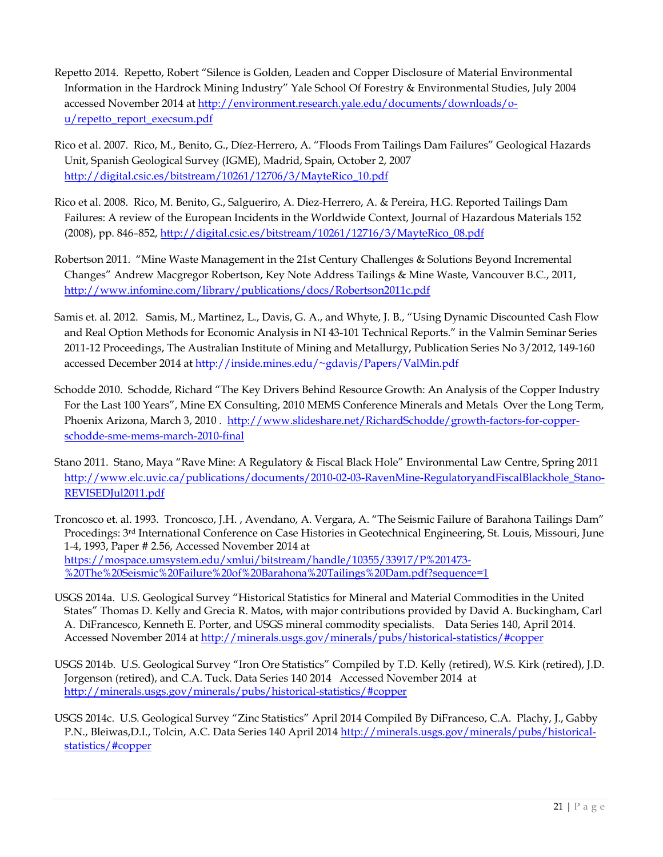- Repetto 2014. Repetto, Robert "Silence is Golden, Leaden and Copper Disclosure of Material Environmental Information in the Hardrock Mining Industry" Yale School Of Forestry & Environmental Studies, July 2004 accessed November 2014 at http://environment.research.yale.edu/documents/downloads/ou/repetto\_report\_execsum.pdf
- Rico et al. 2007. Rico, M., Benito, G., Díez-Herrero, A. "Floods From Tailings Dam Failures" Geological Hazards Unit, Spanish Geological Survey (IGME), Madrid, Spain, October 2, 2007 http://digital.csic.es/bitstream/10261/12706/3/MayteRico\_10.pdf
- Rico et al. 2008. Rico, M. Benito, G., Salgueriro, A. Diez-Herrero, A. & Pereira, H.G. Reported Tailings Dam Failures: A review of the European Incidents in the Worldwide Context, Journal of Hazardous Materials 152 (2008), pp. 846–852, http://digital.csic.es/bitstream/10261/12716/3/MayteRico\_08.pdf
- Robertson 2011. "Mine Waste Management in the 21st Century Challenges & Solutions Beyond Incremental Changes" Andrew Macgregor Robertson, Key Note Address Tailings & Mine Waste, Vancouver B.C., 2011, http://www.infomine.com/library/publications/docs/Robertson2011c.pdf
- Samis et. al. 2012. Samis, M., Martinez, L., Davis, G. A., and Whyte, J. B., "Using Dynamic Discounted Cash Flow and Real Option Methods for Economic Analysis in NI 43-101 Technical Reports." in the Valmin Seminar Series 2011-12 Proceedings, The Australian Institute of Mining and Metallurgy, Publication Series No 3/2012, 149-160 accessed December 2014 at http://inside.mines.edu/~gdavis/Papers/ValMin.pdf
- Schodde 2010. Schodde, Richard "The Key Drivers Behind Resource Growth: An Analysis of the Copper Industry For the Last 100 Years", Mine EX Consulting, 2010 MEMS Conference Minerals and Metals Over the Long Term, Phoenix Arizona, March 3, 2010. http://www.slideshare.net/RichardSchodde/growth-factors-for-copperschodde-sme-mems-march-2010-final
- Stano 2011. Stano, Maya "Rave Mine: A Regulatory & Fiscal Black Hole" Environmental Law Centre, Spring 2011 http://www.elc.uvic.ca/publications/documents/2010-02-03-RavenMine-RegulatoryandFiscalBlackhole\_Stano-REVISEDJul2011.pdf
- Troncosco et. al. 1993. Troncosco, J.H. , Avendano, A. Vergara, A. "The Seismic Failure of Barahona Tailings Dam" Procedings: 3rd International Conference on Case Histories in Geotechnical Engineering, St. Louis, Missouri, June 1-4, 1993, Paper # 2.56, Accessed November 2014 at https://mospace.umsystem.edu/xmlui/bitstream/handle/10355/33917/P%201473- %20The%20Seismic%20Failure%20of%20Barahona%20Tailings%20Dam.pdf?sequence=1
- USGS 2014a. U.S. Geological Survey "Historical Statistics for Mineral and Material Commodities in the United States" Thomas D. Kelly and Grecia R. Matos, with major contributions provided by David A. Buckingham, Carl A. DiFrancesco, Kenneth E. Porter, and USGS mineral commodity specialists. Data Series 140, April 2014. Accessed November 2014 at http://minerals.usgs.gov/minerals/pubs/historical-statistics/#copper
- USGS 2014b. U.S. Geological Survey "Iron Ore Statistics" Compiled by T.D. Kelly (retired), W.S. Kirk (retired), J.D. Jorgenson (retired), and C.A. Tuck. Data Series 140 2014 Accessed November 2014 at http://minerals.usgs.gov/minerals/pubs/historical-statistics/#copper
- USGS 2014c. U.S. Geological Survey "Zinc Statistics" April 2014 Compiled By DiFranceso, C.A. Plachy, J., Gabby P.N., Bleiwas, D.I., Tolcin, A.C. Data Series 140 April 2014 http://minerals.usgs.gov/minerals/pubs/historicalstatistics/#copper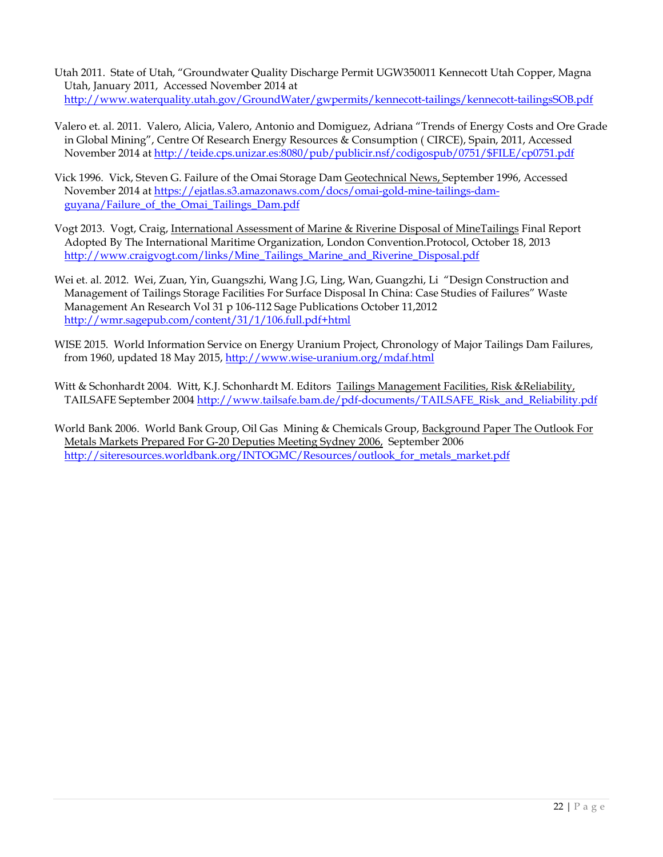- Utah 2011. State of Utah, "Groundwater Quality Discharge Permit UGW350011 Kennecott Utah Copper, Magna Utah, January 2011, Accessed November 2014 at http://www.waterquality.utah.gov/GroundWater/gwpermits/kennecott-tailings/kennecott-tailingsSOB.pdf
- Valero et. al. 2011. Valero, Alicia, Valero, Antonio and Domiguez, Adriana "Trends of Energy Costs and Ore Grade in Global Mining", Centre Of Research Energy Resources & Consumption ( CIRCE), Spain, 2011, Accessed November 2014 at http://teide.cps.unizar.es:8080/pub/publicir.nsf/codigospub/0751/\$FILE/cp0751.pdf
- Vick 1996. Vick, Steven G. Failure of the Omai Storage Dam Geotechnical News, September 1996, Accessed November 2014 at https://ejatlas.s3.amazonaws.com/docs/omai-gold-mine-tailings-damguyana/Failure\_of\_the\_Omai\_Tailings\_Dam.pdf
- Vogt 2013. Vogt, Craig, International Assessment of Marine & Riverine Disposal of MineTailings Final Report Adopted By The International Maritime Organization, London Convention.Protocol, October 18, 2013 http://www.craigvogt.com/links/Mine\_Tailings\_Marine\_and\_Riverine\_Disposal.pdf
- Wei et. al. 2012. Wei, Zuan, Yin, Guangszhi, Wang J.G, Ling, Wan, Guangzhi, Li "Design Construction and Management of Tailings Storage Facilities For Surface Disposal In China: Case Studies of Failures" Waste Management An Research Vol 31 p 106-112 Sage Publications October 11,2012 http://wmr.sagepub.com/content/31/1/106.full.pdf+html
- WISE 2015. World Information Service on Energy Uranium Project, Chronology of Major Tailings Dam Failures, from 1960, updated 18 May 2015, http://www.wise-uranium.org/mdaf.html
- Witt & Schonhardt 2004. Witt, K.J. Schonhardt M. Editors Tailings Management Facilities, Risk &Reliability, TAILSAFE September 2004 http://www.tailsafe.bam.de/pdf-documents/TAILSAFE\_Risk\_and\_Reliability.pdf
- World Bank 2006. World Bank Group, Oil Gas Mining & Chemicals Group, Background Paper The Outlook For Metals Markets Prepared For G-20 Deputies Meeting Sydney 2006, September 2006 http://siteresources.worldbank.org/INTOGMC/Resources/outlook\_for\_metals\_market.pdf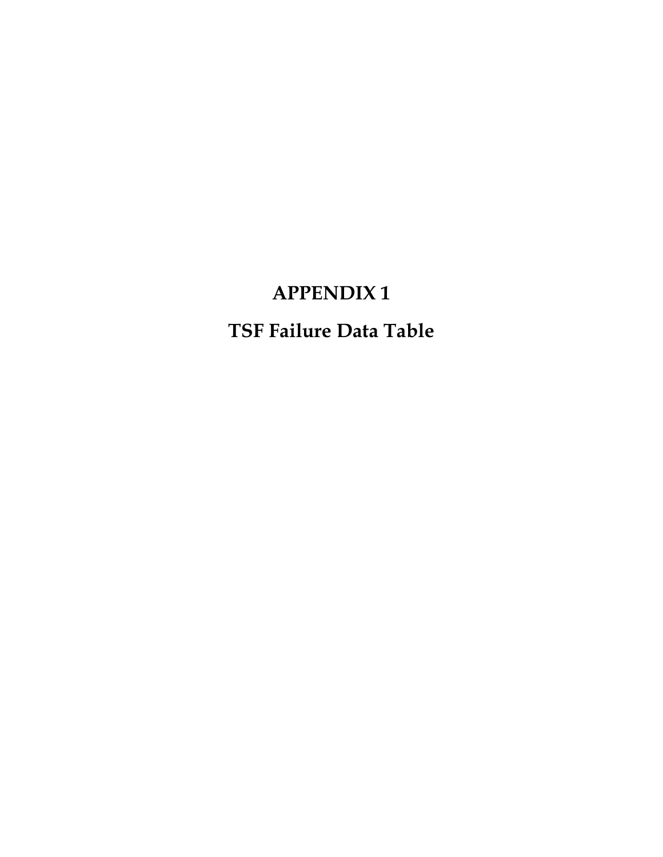# **APPENDIX 1**

# **TSF Failure Data Table**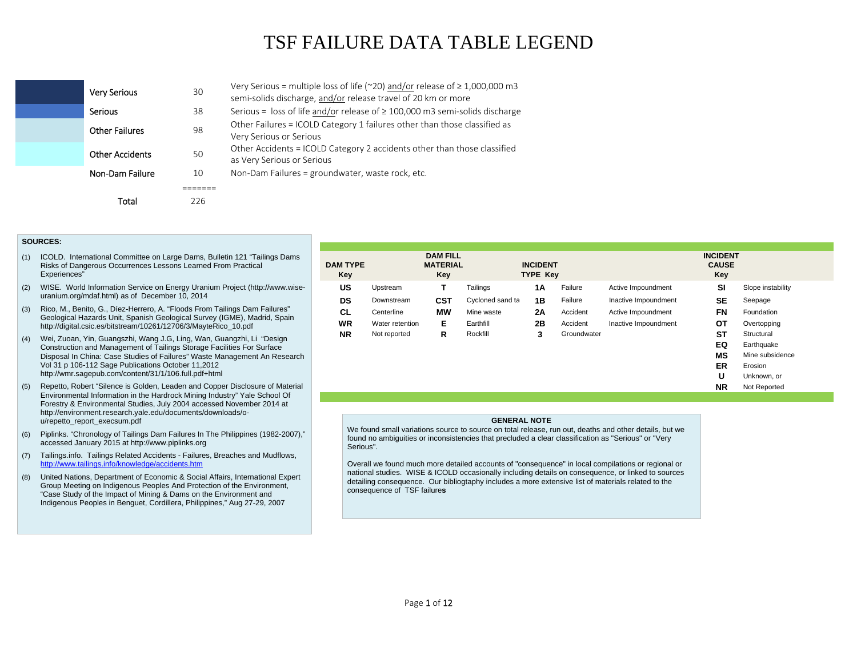# TSF FAILURE DATA TABLE LEGEND

| <b>Very Serious</b>    | 30  |
|------------------------|-----|
| Serious                | 38  |
| <b>Other Failures</b>  | 98  |
| <b>Other Accidents</b> | 50  |
| Non-Dam Failure        | 10  |
|                        |     |
| Total                  | 226 |

Very Serious = multiple loss of life (~20) and/or release of  $\geq 1,000,000$  m3 semi-solids discharge, and/or release travel of 20 km or more Serious <sup>=</sup> loss of life and/or release of ≥ 100,000 m3 semi‐solids discharge Other Failures = ICOLD Category 1 failures other than those classified as Very Serious or Serious Other Accidents <sup>=</sup> ICOLD Category <sup>2</sup> accidents other than those classified as Very Serious or Serious Non‐Dam Failures <sup>=</sup> groundwater, waste rock, etc.

#### **SOURCES:**

- (1) ICOLD. International Committee on Large Dams, Bulletin 121 "Tailings Dams Risks of Dangerous Occurrences Lessons Learned From Practical Experiences"
- (2) WISE. World Information Service on Energy Uranium Project (http://www.wiseuranium.org/mdaf.html) as of December 10, 2014
- (3) Rico, M., Benito, G., Díez-Herrero, A. "Floods From Tailings Dam Failures" Geological Hazards Unit, Spanish Geological Survey (IGME), Madrid, Spain http://digital.csic.es/bitstream/10261/12706/3/MayteRico\_10.pdf
- (4) Wei, Zuoan, Yin, Guangszhi, Wang J.G, Ling, Wan, Guangzhi, Li "Design Construction and Management of Tailings Storage Facilities For Surface Disposal In China: Case Studies of Failures" Waste Management An Research Vol 31 p 106-112 Sage Publications October 11,2012 http://wmr.sagepub.com/content/31/1/106.full.pdf+html
- (5) Repetto, Robert "Silence is Golden, Leaden and Copper Disclosure of Material Environmental Information in the Hardrock Mining Industry" Yale School Of Forestry & Environmental Studies, July 2004 accessed November 2014 at http://environment.research.yale.edu/documents/downloads/ou/repetto\_report\_execsum.pdf
- (6) Piplinks. "Chronology of Tailings Dam Failures In The Philippines (1982-2007)," accessed January 2015 at http://www.piplinks.org
- (7) Tailings.info. Tailings Related Accidents Failures, Breaches and Mudflows, http://www.tailings.info/knowledge/accidents.htm
- (8) United Nations, Department of Economic & Social Affairs, International Expert Group Meeting on Indigenous Peoples And Protection of the Environment, "Case Study of the Impact of Mining & Dams on the Environment and Indigenous Peoples in Benguet, Cordillera, Philippines," Aug 27-29, 2007

| DAM TYPE<br>Key |                 | <b>DAM FILL</b><br><b>MATERIAL</b><br>Key |                  | <b>INCIDENT</b><br><b>TYPE Key</b> |             |                      | <b>INCIDENT</b><br><b>CAUSE</b><br>Key |                   |
|-----------------|-----------------|-------------------------------------------|------------------|------------------------------------|-------------|----------------------|----------------------------------------|-------------------|
| US              | Upstream        | т                                         | Tailings         | 1Α                                 | Failure     | Active Impoundment   | <b>SI</b>                              | Slope instability |
| <b>DS</b>       | Downstream      | <b>CST</b>                                | Cycloned sand ta | 1Β                                 | Failure     | Inactive Impoundment | SE                                     | Seepage           |
| CL              | Centerline      | <b>MW</b>                                 | Mine waste       | 2A                                 | Accident    | Active Impoundment   | FN                                     | Foundation        |
| <b>WR</b>       | Water retention | Е                                         | Earthfill        | 2B                                 | Accident    | Inactive Impoundment | OT                                     | Overtopping       |
| <b>NR</b>       | Not reported    | R                                         | Rockfill         | 3                                  | Groundwater |                      | <b>ST</b>                              | Structural        |
|                 |                 |                                           |                  |                                    |             |                      | EQ                                     | Earthquake        |
|                 |                 |                                           |                  |                                    |             |                      | ΜS                                     | Mine subsidence   |
|                 |                 |                                           |                  |                                    |             |                      | ER                                     | Erosion           |

**U**

**NR**

Unknown, or

Not Reported

#### **GENERAL NOTE**

 We found small variations source to source on total release, run out, deaths and other details, but we found no ambiguities or inconsistencies that precluded a clear classification as "Serious" or "Very Serious".

Overall we found much more detailed accounts of "consequence" in local compilations or regional or national studies. WISE & ICOLD occasionally including details on consequence, or linked to sources detailing consequence. Our bibliogtaphy includes a more extensive list of materials related to the consequence of TSF failure**<sup>s</sup>**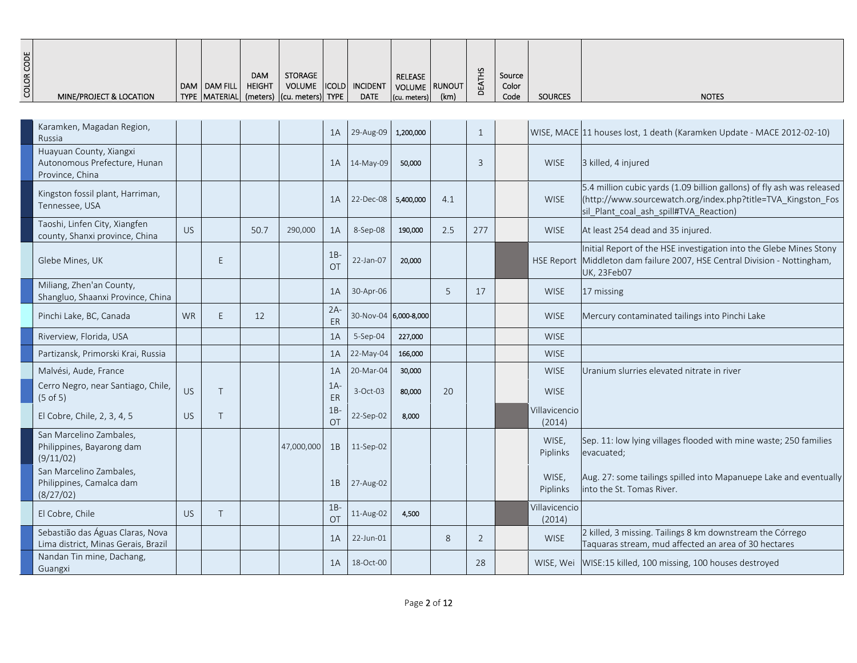| <b>COLOR CODE</b> | MINE/PROJECT & LOCATION |  | DAM   DAM FILL | <b>DAM</b><br><b>HEIGHT</b> | <b>STORAGE</b><br>VOLUME  ICOLD  INCIDENT   VOLUME   RUNOUT  <br>  TYPE  MATERIAL  (meters)  (cu. meters)  TYPE |  | <b>DATE</b> | <b>RELEASE</b><br>(cu. meters) | (km) |  | Source<br>Color<br>Code | <b>SOURCES</b> | <b>NOTES</b> |
|-------------------|-------------------------|--|----------------|-----------------------------|-----------------------------------------------------------------------------------------------------------------|--|-------------|--------------------------------|------|--|-------------------------|----------------|--------------|
|-------------------|-------------------------|--|----------------|-----------------------------|-----------------------------------------------------------------------------------------------------------------|--|-------------|--------------------------------|------|--|-------------------------|----------------|--------------|

| Karamken, Magadan Region,<br>Russia                                        |           |   |      |            | 1A                  | 29-Aug-09 1,200,000   |         |     | 1              |                         | WISE, MACE 11 houses lost, 1 death (Karamken Update - MACE 2012-02-10)                                                                                                           |
|----------------------------------------------------------------------------|-----------|---|------|------------|---------------------|-----------------------|---------|-----|----------------|-------------------------|----------------------------------------------------------------------------------------------------------------------------------------------------------------------------------|
| Huayuan County, Xiangxi<br>Autonomous Prefecture, Hunan<br>Province, China |           |   |      |            | 1A                  | 14-May-09             | 50,000  |     | 3              | <b>WISE</b>             | 3 killed, 4 injured                                                                                                                                                              |
| Kingston fossil plant, Harriman,<br>Tennessee, USA                         |           |   |      |            | 1A                  | 22-Dec-08 5,400,000   |         | 4.1 |                | <b>WISE</b>             | 5.4 million cubic yards (1.09 billion gallons) of fly ash was released<br>(http://www.sourcewatch.org/index.php?title=TVA Kingston Fos<br>sil Plant coal ash spill#TVA Reaction) |
| Taoshi, Linfen City, Xiangfen<br>county, Shanxi province, China            | <b>US</b> |   | 50.7 | 290,000    | 1A                  | 8-Sep-08              | 190,000 | 2.5 | 277            | <b>WISE</b>             | At least 254 dead and 35 injured.                                                                                                                                                |
| Glebe Mines, UK                                                            |           | E |      |            | $1B -$<br><b>OT</b> | 22-Jan-07             | 20,000  |     |                |                         | Initial Report of the HSE investigation into the Glebe Mines Stony<br>HSE Report Middleton dam failure 2007, HSE Central Division - Nottingham,<br><b>UK, 23Feb07</b>            |
| Miliang, Zhen'an County,<br>Shangluo, Shaanxi Province, China              |           |   |      |            | 1A                  | 30-Apr-06             |         | 5   | 17             | <b>WISE</b>             | 17 missing                                                                                                                                                                       |
| Pinchi Lake, BC, Canada                                                    | <b>WR</b> | E | 12   |            | $2A-$<br>ER         | 30-Nov-04 6,000-8,000 |         |     |                | <b>WISE</b>             | Mercury contaminated tailings into Pinchi Lake                                                                                                                                   |
| Riverview, Florida, USA                                                    |           |   |      |            | 1A                  | 5-Sep-04              | 227,000 |     |                | <b>WISE</b>             |                                                                                                                                                                                  |
| Partizansk, Primorski Krai, Russia                                         |           |   |      |            | 1A                  | 22-May-04             | 166,000 |     |                | <b>WISE</b>             |                                                                                                                                                                                  |
| Malvési, Aude, France                                                      |           |   |      |            | 1A                  | 20-Mar-04             | 30,000  |     |                | <b>WISE</b>             | Uranium slurries elevated nitrate in river                                                                                                                                       |
| Cerro Negro, near Santiago, Chile,<br>$(5 \text{ of } 5)$                  | <b>US</b> | Τ |      |            | $1A-$<br>ER         | 3-Oct-03              | 80,000  | 20  |                | <b>WISE</b>             |                                                                                                                                                                                  |
| El Cobre, Chile, 2, 3, 4, 5                                                | <b>US</b> | т |      |            | $1B-$<br><b>OT</b>  | 22-Sep-02             | 8,000   |     |                | Villavicencio<br>(2014) |                                                                                                                                                                                  |
| San Marcelino Zambales,<br>Philippines, Bayarong dam<br>(9/11/02)          |           |   |      | 47,000,000 | 1B                  | 11-Sep-02             |         |     |                | WISE,<br>Piplinks       | Sep. 11: low lying villages flooded with mine waste; 250 families<br>evacuated;                                                                                                  |
| San Marcelino Zambales,<br>Philippines, Camalca dam<br>(8/27/02)           |           |   |      |            | 1B                  | 27-Aug-02             |         |     |                | WISE,<br>Piplinks       | Aug. 27: some tailings spilled into Mapanuepe Lake and eventually<br>into the St. Tomas River.                                                                                   |
| El Cobre, Chile                                                            | <b>US</b> | Τ |      |            | $1B-$<br>OT         | 11-Aug-02             | 4,500   |     |                | Villavicencio<br>(2014) |                                                                                                                                                                                  |
| Sebastião das Águas Claras, Nova<br>Lima district, Minas Gerais, Brazil    |           |   |      |            | 1A                  | 22-Jun-01             |         | 8   | $\overline{2}$ | <b>WISE</b>             | 2 killed, 3 missing. Tailings 8 km downstream the Córrego<br>Taquaras stream, mud affected an area of 30 hectares                                                                |
| Nandan Tin mine, Dachang,<br>Guangxi                                       |           |   |      |            | 1A                  | 18-Oct-00             |         |     | 28             | WISE, Wei               | WISE:15 killed, 100 missing, 100 houses destroyed                                                                                                                                |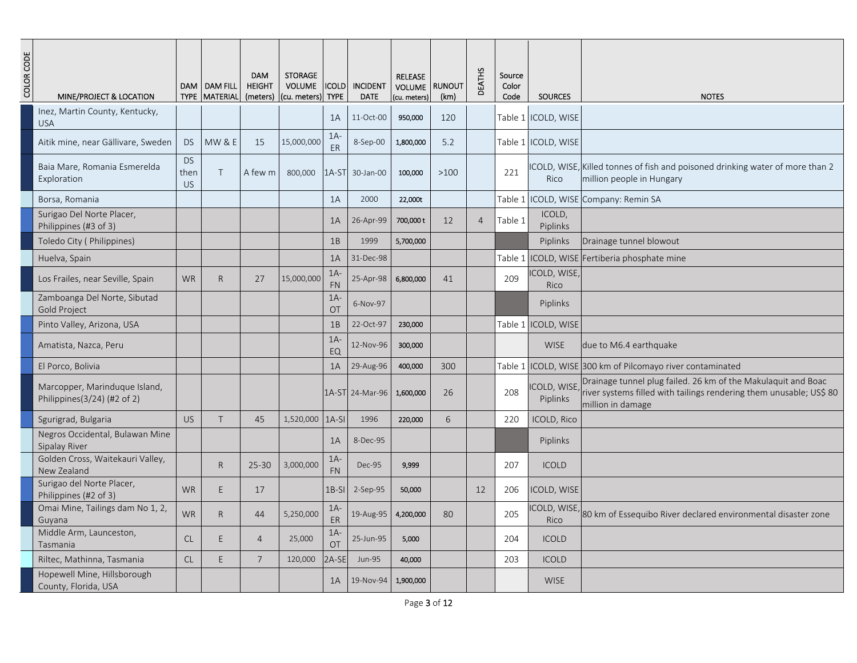| COLOR CODE | MINE/PROJECT & LOCATION                                      | <b>DAM</b>                     | <b>DAM FILL</b><br>TYPE   MATERIAL | <b>DAM</b><br><b>HEIGHT</b><br>(meters) | <b>STORAGE</b><br><b>VOLUME</b><br>(cu. meters) | <b>ICOLD</b><br><b>TYPE</b> | <b>INCIDENT</b><br><b>DATE</b> | <b>RELEASE</b><br><b>VOLUME</b><br>(cu. meters) | <b>RUNOUT</b><br>(km) | <b>DEATHS</b>            | Source<br>Color<br>Code | <b>SOURCES</b>          | <b>NOTES</b>                                                                                                                                              |
|------------|--------------------------------------------------------------|--------------------------------|------------------------------------|-----------------------------------------|-------------------------------------------------|-----------------------------|--------------------------------|-------------------------------------------------|-----------------------|--------------------------|-------------------------|-------------------------|-----------------------------------------------------------------------------------------------------------------------------------------------------------|
|            | Inez, Martin County, Kentucky,<br><b>USA</b>                 |                                |                                    |                                         |                                                 | 1A                          | 11-Oct-00                      | 950,000                                         | 120                   |                          |                         | Table 1 ICOLD, WISE     |                                                                                                                                                           |
|            | Aitik mine, near Gällivare, Sweden                           | <b>DS</b>                      | MW & E                             | 15                                      | 15,000,000                                      | $1A-$<br>ER                 | 8-Sep-00                       | 1,800,000                                       | 5.2                   |                          |                         | Table 1 ICOLD, WISE     |                                                                                                                                                           |
|            | Baia Mare, Romania Esmerelda<br>Exploration                  | <b>DS</b><br>then<br><b>US</b> | $\top$                             | A few m                                 | 800,000                                         | 1A-ST                       | 30-Jan-00                      | 100,000                                         | >100                  |                          | 221                     | Rico                    | ICOLD, WISE, Killed tonnes of fish and poisoned drinking water of more than 2<br>million people in Hungary                                                |
|            | Borsa, Romania                                               |                                |                                    |                                         |                                                 | 1A                          | 2000                           | 22,000t                                         |                       |                          | Table 1                 |                         | ICOLD, WISE Company: Remin SA                                                                                                                             |
|            | Surigao Del Norte Placer,<br>Philippines (#3 of 3)           |                                |                                    |                                         |                                                 | 1A                          | 26-Apr-99                      | 700,000 t                                       | 12                    | $\overline{\mathcal{L}}$ | Table 1                 | ICOLD,<br>Piplinks      |                                                                                                                                                           |
|            | Toledo City ( Philippines)                                   |                                |                                    |                                         |                                                 | 1B                          | 1999                           | 5,700,000                                       |                       |                          |                         | Piplinks                | Drainage tunnel blowout                                                                                                                                   |
|            | Huelva, Spain                                                |                                |                                    |                                         |                                                 | 1A                          | 31-Dec-98                      |                                                 |                       |                          | Table 1                 |                         | ICOLD, WISE Fertiberia phosphate mine                                                                                                                     |
|            | Los Frailes, near Seville, Spain                             | <b>WR</b>                      | R.                                 | 27                                      | 15,000,000                                      | $1A-$<br><b>FN</b>          | 25-Apr-98                      | 6,800,000                                       | 41                    |                          | 209                     | ICOLD, WISE,<br>Rico    |                                                                                                                                                           |
|            | Zamboanga Del Norte, Sibutad<br><b>Gold Project</b>          |                                |                                    |                                         |                                                 | $1A-$<br>OT                 | 6-Nov-97                       |                                                 |                       |                          |                         | Piplinks                |                                                                                                                                                           |
|            | Pinto Valley, Arizona, USA                                   |                                |                                    |                                         |                                                 | 1B                          | 22-Oct-97                      | 230,000                                         |                       |                          |                         | Table 1 ICOLD, WISE     |                                                                                                                                                           |
|            | Amatista, Nazca, Peru                                        |                                |                                    |                                         |                                                 | $1A-$<br>EQ                 | 12-Nov-96                      | 300,000                                         |                       |                          |                         | <b>WISE</b>             | due to M6.4 earthquake                                                                                                                                    |
|            | El Porco, Bolivia                                            |                                |                                    |                                         |                                                 | 1A                          | 29-Aug-96                      | 400,000                                         | 300                   |                          | Table 1                 |                         | ICOLD, WISE 300 km of Pilcomayo river contaminated                                                                                                        |
|            | Marcopper, Marinduque Island,<br>Philippines(3/24) (#2 of 2) |                                |                                    |                                         |                                                 |                             | 1A-ST 24-Mar-96                | 1,600,000                                       | 26                    |                          | 208                     | COLD, WISE,<br>Piplinks | Drainage tunnel plug failed. 26 km of the Makulaquit and Boac<br>river systems filled with tailings rendering them unusable; US\$ 80<br>million in damage |
|            | Sgurigrad, Bulgaria                                          | <b>US</b>                      | $\top$                             | 45                                      | 1,520,000                                       | $1A-SI$                     | 1996                           | 220,000                                         | 6                     |                          | 220                     | ICOLD, Rico             |                                                                                                                                                           |
|            | Negros Occidental, Bulawan Mine<br>Sipalay River             |                                |                                    |                                         |                                                 | 1A                          | 8-Dec-95                       |                                                 |                       |                          |                         | Piplinks                |                                                                                                                                                           |
|            | Golden Cross, Waitekauri Valley,<br>New Zealand              |                                | $\mathsf{R}$                       | $25 - 30$                               | 3,000,000                                       | $1A-$<br><b>FN</b>          | Dec-95                         | 9,999                                           |                       |                          | 207                     | <b>ICOLD</b>            |                                                                                                                                                           |
|            | Surigao del Norte Placer,<br>Philippines (#2 of 3)           | <b>WR</b>                      | E                                  | 17                                      |                                                 | $1B-SI$                     | 2-Sep-95                       | 50,000                                          |                       | 12                       | 206                     | ICOLD, WISE             |                                                                                                                                                           |
|            | Omai Mine, Tailings dam No 1, 2,<br>Guyana                   | <b>WR</b>                      | R                                  | 44                                      | 5,250,000                                       | $1A-$<br>ER                 | 19-Aug-95                      | 4,200,000                                       | 80                    |                          | 205                     | ICOLD, WISE,<br>Rico    | 80 km of Essequibo River declared environmental disaster zone                                                                                             |
|            | Middle Arm, Launceston,<br>Tasmania                          | <b>CL</b>                      | E.                                 | $\overline{4}$                          | 25,000                                          | $1A-$<br>OT                 | 25-Jun-95                      | 5,000                                           |                       |                          | 204                     | <b>ICOLD</b>            |                                                                                                                                                           |
|            | Riltec, Mathinna, Tasmania                                   | <b>CL</b>                      | E                                  | $\overline{7}$                          | 120,000                                         | 2A-SE                       | <b>Jun-95</b>                  | 40,000                                          |                       |                          | 203                     | <b>ICOLD</b>            |                                                                                                                                                           |
|            | Hopewell Mine, Hillsborough<br>County, Florida, USA          |                                |                                    |                                         |                                                 | 1A                          | 19-Nov-94                      | 1,900,000                                       |                       |                          |                         | <b>WISE</b>             |                                                                                                                                                           |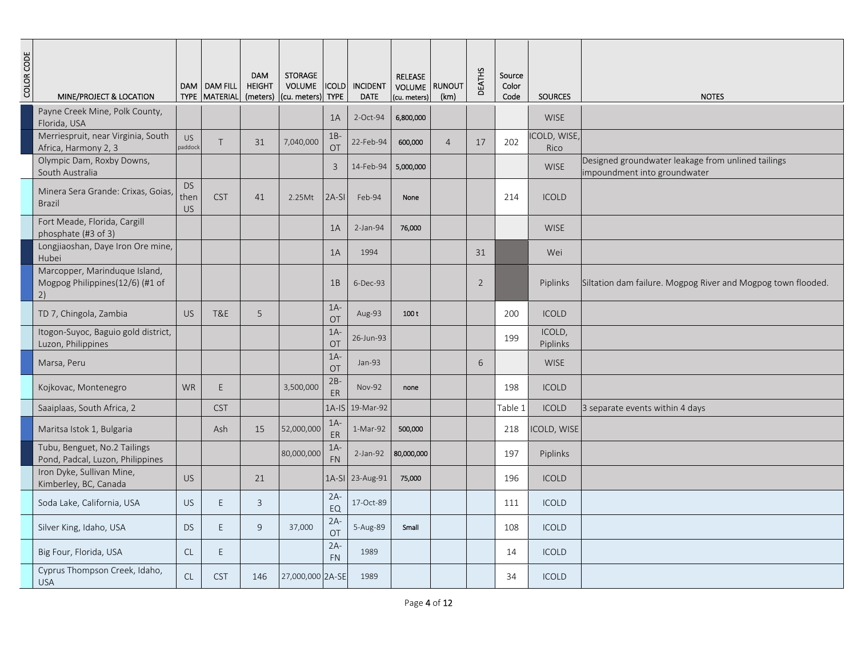| COLOR CODE | MINE/PROJECT & LOCATION                                                | <b>DAM</b>                     | DAM FILL<br>TYPE   MATERIAL | <b>DAM</b><br><b>HEIGHT</b><br>(meters) | <b>STORAGE</b><br><b>VOLUME</b><br>(cu. meters) | ICOLD<br><b>TYPE</b> | <b>INCIDENT</b><br><b>DATE</b> | <b>RELEASE</b><br><b>VOLUME</b><br>(cu. meters) | <b>RUNOUT</b><br>(km) | <b>DEATHS</b> | Source<br>Color<br>Code | <b>SOURCES</b>             | <b>NOTES</b>                                                                       |
|------------|------------------------------------------------------------------------|--------------------------------|-----------------------------|-----------------------------------------|-------------------------------------------------|----------------------|--------------------------------|-------------------------------------------------|-----------------------|---------------|-------------------------|----------------------------|------------------------------------------------------------------------------------|
|            | Payne Creek Mine, Polk County,<br>Florida, USA                         |                                |                             |                                         |                                                 | 1A                   | 2-Oct-94                       | 6,800,000                                       |                       |               |                         | <b>WISE</b>                |                                                                                    |
|            | Merriespruit, near Virginia, South<br>Africa, Harmony 2, 3             | <b>US</b><br>paddock           | $\top$                      | 31                                      | 7,040,000                                       | $1B -$<br><b>OT</b>  | 22-Feb-94                      | 600,000                                         | $\overline{4}$        | 17            | 202                     | <b>COLD, WISE,</b><br>Rico |                                                                                    |
|            | Olympic Dam, Roxby Downs,<br>South Australia                           |                                |                             |                                         |                                                 | $\overline{3}$       | 14-Feb-94                      | 5,000,000                                       |                       |               |                         | <b>WISE</b>                | Designed groundwater leakage from unlined tailings<br>impoundment into groundwater |
|            | Minera Sera Grande: Crixas, Goias,<br><b>Brazil</b>                    | <b>DS</b><br>then<br><b>US</b> | <b>CST</b>                  | 41                                      | 2.25Mt                                          | $2A-SI$              | Feb-94                         | None                                            |                       |               | 214                     | <b>ICOLD</b>               |                                                                                    |
|            | Fort Meade, Florida, Cargill<br>phosphate (#3 of 3)                    |                                |                             |                                         |                                                 | 1A                   | $2-Jan-94$                     | 76,000                                          |                       |               |                         | <b>WISE</b>                |                                                                                    |
|            | Longjiaoshan, Daye Iron Ore mine,<br>Hubei                             |                                |                             |                                         |                                                 | 1A                   | 1994                           |                                                 |                       | 31            |                         | Wei                        |                                                                                    |
|            | Marcopper, Marinduque Island,<br>Mogpog Philippines(12/6) (#1 of<br>2) |                                |                             |                                         |                                                 | 1B                   | $6$ -Dec-93                    |                                                 |                       | 2             |                         | <b>Piplinks</b>            | Siltation dam failure. Mogpog River and Mogpog town flooded.                       |
|            | TD 7, Chingola, Zambia                                                 | <b>US</b>                      | T&E                         | 5                                       |                                                 | $1A-$<br><b>OT</b>   | Aug-93                         | 100t                                            |                       |               | 200                     | <b>ICOLD</b>               |                                                                                    |
|            | Itogon-Suyoc, Baguio gold district,<br>Luzon, Philippines              |                                |                             |                                         |                                                 | $1A-$<br>OT          | 26-Jun-93                      |                                                 |                       |               | 199                     | ICOLD,<br>Piplinks         |                                                                                    |
|            | Marsa, Peru                                                            |                                |                             |                                         |                                                 | $1A-$<br>OT          | $Jan-93$                       |                                                 |                       | 6             |                         | <b>WISE</b>                |                                                                                    |
|            | Kojkovac, Montenegro                                                   | <b>WR</b>                      | E                           |                                         | 3,500,000                                       | $2B -$<br>ER         | Nov-92                         | none                                            |                       |               | 198                     | <b>ICOLD</b>               |                                                                                    |
|            | Saaiplaas, South Africa, 2                                             |                                | <b>CST</b>                  |                                         |                                                 | $1A-IS$              | 19-Mar-92                      |                                                 |                       |               | Table 1                 | <b>ICOLD</b>               | 3 separate events within 4 days                                                    |
|            | Maritsa Istok 1, Bulgaria                                              |                                | Ash                         | 15                                      | 52,000,000                                      | $1A-$<br>ER          | 1-Mar-92                       | 500,000                                         |                       |               | 218                     | ICOLD, WISE                |                                                                                    |
|            | Tubu, Benguet, No.2 Tailings<br>Pond, Padcal, Luzon, Philippines       |                                |                             |                                         | 80,000,000                                      | $1A-$<br><b>FN</b>   | $2-Jan-92$                     | 80,000,000                                      |                       |               | 197                     | Piplinks                   |                                                                                    |
|            | Iron Dyke, Sullivan Mine,<br>Kimberley, BC, Canada                     | <b>US</b>                      |                             | 21                                      |                                                 | $1A-SI$              | 23-Aug-91                      | 75,000                                          |                       |               | 196                     | <b>ICOLD</b>               |                                                                                    |
|            | Soda Lake, California, USA                                             | <b>US</b>                      | E                           | $\overline{3}$                          |                                                 | $2A-$<br>EQ          | 17-Oct-89                      |                                                 |                       |               | 111                     | <b>ICOLD</b>               |                                                                                    |
|            | Silver King, Idaho, USA                                                | <b>DS</b>                      | E.                          | 9                                       | 37,000                                          | $2A-$<br><b>OT</b>   | 5-Aug-89                       | Small                                           |                       |               | 108                     | <b>ICOLD</b>               |                                                                                    |
|            | Big Four, Florida, USA                                                 | CL                             | E                           |                                         |                                                 | $2A-$<br><b>FN</b>   | 1989                           |                                                 |                       |               | 14                      | <b>ICOLD</b>               |                                                                                    |
|            | Cyprus Thompson Creek, Idaho,<br><b>USA</b>                            | CL                             | <b>CST</b>                  | 146                                     | 27,000,000 2A-SE                                |                      | 1989                           |                                                 |                       |               | 34                      | <b>ICOLD</b>               |                                                                                    |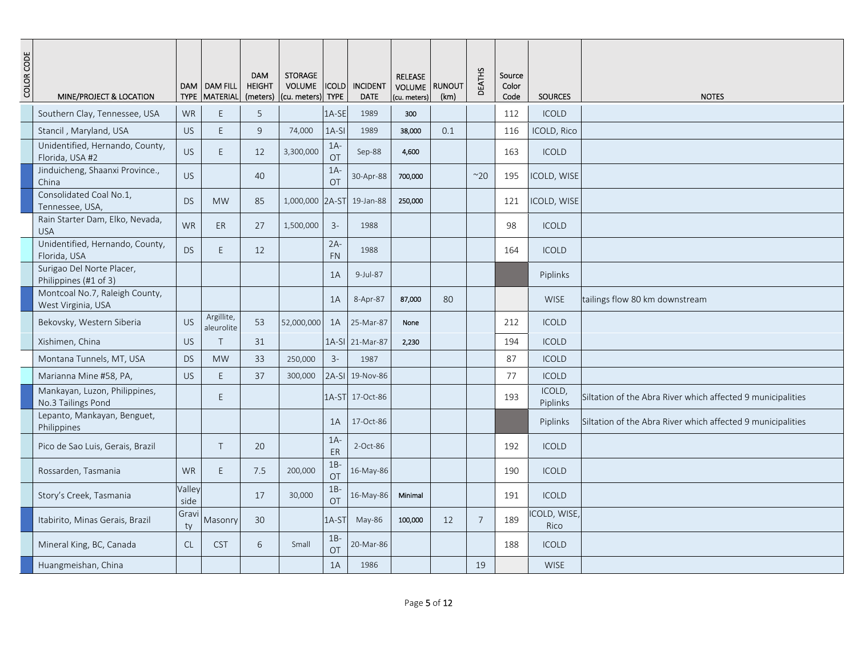| <b>COLOR CODE</b> | MINE/PROJECT & LOCATION                              |                | DAM   DAM FILL<br>TYPE MATERIAL | <b>DAM</b><br><b>HEIGHT</b><br>(meters) | <b>STORAGE</b><br><b>VOLUME</b><br>(cu. meters) | <b>ICOLD</b><br><b>TYPE</b> | <b>INCIDENT</b><br><b>DATE</b> | <b>RELEASE</b><br><b>VOLUME</b><br>(cu. meters) | <b>RUNOUT</b><br>(km) | <b>DEATHS</b>  | Source<br>Color<br>Code | <b>SOURCES</b>       | <b>NOTES</b>                                                |
|-------------------|------------------------------------------------------|----------------|---------------------------------|-----------------------------------------|-------------------------------------------------|-----------------------------|--------------------------------|-------------------------------------------------|-----------------------|----------------|-------------------------|----------------------|-------------------------------------------------------------|
|                   | Southern Clay, Tennessee, USA                        | <b>WR</b>      | E                               | 5                                       |                                                 | 1A-SE                       | 1989                           | 300                                             |                       |                | 112                     | <b>ICOLD</b>         |                                                             |
|                   | Stancil, Maryland, USA                               | <b>US</b>      | $\mathsf E$                     | 9                                       | 74,000                                          | $1A-SI$                     | 1989                           | 38,000                                          | 0.1                   |                | 116                     | ICOLD, Rico          |                                                             |
|                   | Unidentified, Hernando, County,<br>Florida, USA #2   | <b>US</b>      | E                               | 12                                      | 3,300,000                                       | $1A-$<br>OT                 | Sep-88                         | 4,600                                           |                       |                | 163                     | <b>ICOLD</b>         |                                                             |
|                   | Jinduicheng, Shaanxi Province.,<br>China             | <b>US</b>      |                                 | 40                                      |                                                 | $1A-$<br><b>OT</b>          | 30-Apr-88                      | 700,000                                         |                       | $^{\sim}20$    | 195                     | ICOLD, WISE          |                                                             |
|                   | Consolidated Coal No.1,<br>Tennessee, USA,           | <b>DS</b>      | <b>MW</b>                       | 85                                      | 1,000,000 2A-ST                                 |                             | 19-Jan-88                      | 250,000                                         |                       |                | 121                     | ICOLD, WISE          |                                                             |
|                   | Rain Starter Dam, Elko, Nevada,<br><b>USA</b>        | <b>WR</b>      | ER.                             | 27                                      | 1,500,000                                       | $3 -$                       | 1988                           |                                                 |                       |                | 98                      | <b>ICOLD</b>         |                                                             |
|                   | Unidentified, Hernando, County,<br>Florida, USA      | <b>DS</b>      | E                               | 12                                      |                                                 | $2A-$<br><b>FN</b>          | 1988                           |                                                 |                       |                | 164                     | <b>ICOLD</b>         |                                                             |
|                   | Surigao Del Norte Placer,<br>Philippines (#1 of 3)   |                |                                 |                                         |                                                 | 1A                          | 9-Jul-87                       |                                                 |                       |                |                         | Piplinks             |                                                             |
|                   | Montcoal No.7, Raleigh County,<br>West Virginia, USA |                |                                 |                                         |                                                 | 1A                          | 8-Apr-87                       | 87,000                                          | 80                    |                |                         | <b>WISE</b>          | tailings flow 80 km downstream                              |
|                   | Bekovsky, Western Siberia                            | <b>US</b>      | Argillite,<br>aleurolite        | 53                                      | 52,000,000                                      | 1A                          | 25-Mar-87                      | None                                            |                       |                | 212                     | <b>ICOLD</b>         |                                                             |
|                   | Xishimen, China                                      | <b>US</b>      | $\top$                          | 31                                      |                                                 | $1A-SI$                     | 21-Mar-87                      | 2,230                                           |                       |                | 194                     | <b>ICOLD</b>         |                                                             |
|                   | Montana Tunnels, MT, USA                             | <b>DS</b>      | <b>MW</b>                       | 33                                      | 250,000                                         | $3-$                        | 1987                           |                                                 |                       |                | 87                      | <b>ICOLD</b>         |                                                             |
|                   | Marianna Mine #58, PA,                               | <b>US</b>      | E                               | 37                                      | 300,000                                         | $2A-SI$                     | 19-Nov-86                      |                                                 |                       |                | 77                      | <b>ICOLD</b>         |                                                             |
|                   | Mankayan, Luzon, Philippines,<br>No.3 Tailings Pond  |                | E                               |                                         |                                                 |                             | 1A-ST 17-Oct-86                |                                                 |                       |                | 193                     | ICOLD,<br>Piplinks   | Siltation of the Abra River which affected 9 municipalities |
|                   | Lepanto, Mankayan, Benguet,<br>Philippines           |                |                                 |                                         |                                                 | 1A                          | 17-Oct-86                      |                                                 |                       |                |                         | Piplinks             | Siltation of the Abra River which affected 9 municipalities |
|                   | Pico de Sao Luis, Gerais, Brazil                     |                | $\top$                          | 20                                      |                                                 | $1A-$<br>ER                 | 2-Oct-86                       |                                                 |                       |                | 192                     | <b>ICOLD</b>         |                                                             |
|                   | Rossarden, Tasmania                                  | <b>WR</b>      | E                               | 7.5                                     | 200,000                                         | $1B-$<br>OT                 | 16-May-86                      |                                                 |                       |                | 190                     | <b>ICOLD</b>         |                                                             |
|                   | Story's Creek, Tasmania                              | Valley<br>side |                                 | 17                                      | 30,000                                          | $1B -$<br>OT                | 16-May-86                      | Minimal                                         |                       |                | 191                     | <b>ICOLD</b>         |                                                             |
|                   | Itabirito, Minas Gerais, Brazil                      | Gravi<br>tv    | Masonry                         | 30                                      |                                                 | 1A-ST                       | May-86                         | 100,000                                         | 12                    | $\overline{7}$ | 189                     | ICOLD, WISE,<br>Rico |                                                             |
|                   | Mineral King, BC, Canada                             | <b>CL</b>      | <b>CST</b>                      | 6                                       | Small                                           | $1B -$<br>OT                | 20-Mar-86                      |                                                 |                       |                | 188                     | <b>ICOLD</b>         |                                                             |
|                   | Huangmeishan, China                                  |                |                                 |                                         |                                                 | 1A                          | 1986                           |                                                 |                       | 19             |                         | <b>WISE</b>          |                                                             |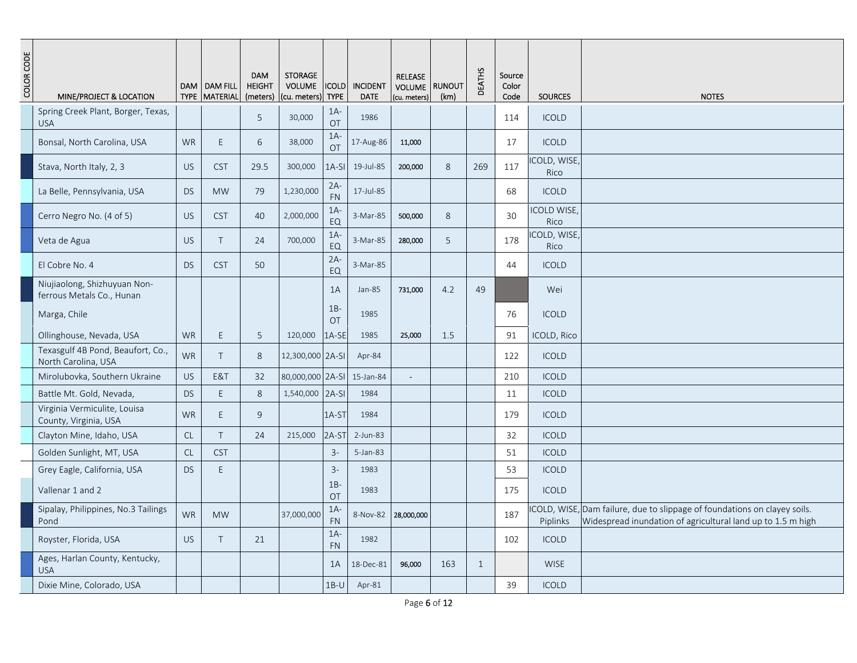| COLOR CODE | MINE/PROJECT & LOCATION                                   |           | DAM   DAM FILL<br>TYPE   MATERIAL | <b>DAM</b><br><b>HEIGHT</b><br>(meters) | <b>STORAGE</b><br><b>VOLUME</b><br>(cu. meters) | <b>ICOLD</b><br><b>TYPE</b> | <b>INCIDENT</b><br><b>DATE</b> | <b>RELEASE</b><br><b>VOLUME</b><br>(cu. meters) | <b>RUNOUT</b><br>(km) | <b>DEATHS</b> | Source<br>Color<br>Code | <b>SOURCES</b>       | <b>NOTES</b>                                                                                                                            |
|------------|-----------------------------------------------------------|-----------|-----------------------------------|-----------------------------------------|-------------------------------------------------|-----------------------------|--------------------------------|-------------------------------------------------|-----------------------|---------------|-------------------------|----------------------|-----------------------------------------------------------------------------------------------------------------------------------------|
|            | Spring Creek Plant, Borger, Texas,<br><b>USA</b>          |           |                                   | 5                                       | 30,000                                          | $1A-$<br>OT                 | 1986                           |                                                 |                       |               | 114                     | <b>ICOLD</b>         |                                                                                                                                         |
|            | Bonsal, North Carolina, USA                               | <b>WR</b> | E                                 | 6                                       | 38,000                                          | $1A-$<br>OT                 | 17-Aug-86                      | 11,000                                          |                       |               | 17                      | <b>ICOLD</b>         |                                                                                                                                         |
|            | Stava, North Italy, 2, 3                                  | <b>US</b> | <b>CST</b>                        | 29.5                                    | 300,000                                         | $1A-SI$                     | 19-Jul-85                      | 200,000                                         | 8                     | 269           | 117                     | ICOLD, WISE,<br>Rico |                                                                                                                                         |
|            | La Belle, Pennsylvania, USA                               | <b>DS</b> | <b>MW</b>                         | 79                                      | 1,230,000                                       | $2A-$<br><b>FN</b>          | 17-Jul-85                      |                                                 |                       |               | 68                      | <b>ICOLD</b>         |                                                                                                                                         |
|            | Cerro Negro No. (4 of 5)                                  | <b>US</b> | <b>CST</b>                        | 40                                      | 2,000,000                                       | $1A-$<br>EQ                 | 3-Mar-85                       | 500,000                                         | 8                     |               | 30                      | ICOLD WISE,<br>Rico  |                                                                                                                                         |
|            | Veta de Agua                                              | <b>US</b> | $\mathsf{T}$                      | 24                                      | 700,000                                         | $1A-$<br>EQ                 | 3-Mar-85                       | 280,000                                         | 5                     |               | 178                     | ICOLD, WISE,<br>Rico |                                                                                                                                         |
|            | El Cobre No. 4                                            | DS.       | <b>CST</b>                        | 50                                      |                                                 | $2A-$<br>EQ                 | 3-Mar-85                       |                                                 |                       |               | 44                      | <b>ICOLD</b>         |                                                                                                                                         |
|            | Niujiaolong, Shizhuyuan Non-<br>ferrous Metals Co., Hunan |           |                                   |                                         |                                                 | 1A                          | Jan-85                         | 731,000                                         | 4.2                   | 49            |                         | Wei                  |                                                                                                                                         |
|            | Marga, Chile                                              |           |                                   |                                         |                                                 | $1B -$<br><b>OT</b>         | 1985                           |                                                 |                       |               | 76                      | <b>ICOLD</b>         |                                                                                                                                         |
|            | Ollinghouse, Nevada, USA                                  | <b>WR</b> | E                                 | 5                                       | 120,000                                         | 1A-SE                       | 1985                           | 25,000                                          | 1.5                   |               | 91                      | ICOLD, Rico          |                                                                                                                                         |
|            | Texasgulf 4B Pond, Beaufort, Co.,<br>North Carolina, USA  | <b>WR</b> | $\top$                            | 8                                       | 12,300,000 2A-SI                                |                             | Apr-84                         |                                                 |                       |               | 122                     | <b>ICOLD</b>         |                                                                                                                                         |
|            | Mirolubovka, Southern Ukraine                             | US.       | E&T                               | 32                                      | 80,000,000 2A-SI                                |                             | 15-Jan-84                      |                                                 |                       |               | 210                     | <b>ICOLD</b>         |                                                                                                                                         |
|            | Battle Mt. Gold, Nevada,                                  | <b>DS</b> | E                                 | 8                                       | 1,540,000 2A-SI                                 |                             | 1984                           |                                                 |                       |               | 11                      | <b>ICOLD</b>         |                                                                                                                                         |
|            | Virginia Vermiculite, Louisa<br>County, Virginia, USA     | <b>WR</b> | E                                 | 9                                       |                                                 | 1A-ST                       | 1984                           |                                                 |                       |               | 179                     | <b>ICOLD</b>         |                                                                                                                                         |
|            | Clayton Mine, Idaho, USA                                  | <b>CL</b> | $\top$                            | 24                                      | 215,000                                         | $2A-ST$                     | 2-Jun-83                       |                                                 |                       |               | 32                      | <b>ICOLD</b>         |                                                                                                                                         |
|            | Golden Sunlight, MT, USA                                  | <b>CL</b> | <b>CST</b>                        |                                         |                                                 | $3-$                        | 5-Jan-83                       |                                                 |                       |               | 51                      | <b>ICOLD</b>         |                                                                                                                                         |
|            | Grey Eagle, California, USA                               | <b>DS</b> | E                                 |                                         |                                                 | $3-$                        | 1983                           |                                                 |                       |               | 53                      | <b>ICOLD</b>         |                                                                                                                                         |
|            | Vallenar 1 and 2                                          |           |                                   |                                         |                                                 | $1B-$<br><b>OT</b>          | 1983                           |                                                 |                       |               | 175                     | <b>ICOLD</b>         |                                                                                                                                         |
|            | Sipalay, Philippines, No.3 Tailings<br>Pond               | <b>WR</b> | <b>MW</b>                         |                                         | 37,000,000                                      | $1A-$<br><b>FN</b>          | 8-Nov-82                       | 28,000,000                                      |                       |               | 187                     | Piplinks             | COLD, WISE, Dam failure, due to slippage of foundations on clayey soils.<br>Widespread inundation of agricultural land up to 1.5 m high |
|            | Royster, Florida, USA                                     | <b>US</b> | $\top$                            | 21                                      |                                                 | $1A-$<br><b>FN</b>          | 1982                           |                                                 |                       |               | 102                     | <b>ICOLD</b>         |                                                                                                                                         |
|            | Ages, Harlan County, Kentucky,<br><b>USA</b>              |           |                                   |                                         |                                                 | 1A                          | 18-Dec-81                      | 96,000                                          | 163                   | $\mathbf{1}$  |                         | <b>WISE</b>          |                                                                                                                                         |
|            | Dixie Mine, Colorado, USA                                 |           |                                   |                                         |                                                 | $1B-U$                      | Apr-81                         |                                                 |                       |               | 39                      | <b>ICOLD</b>         |                                                                                                                                         |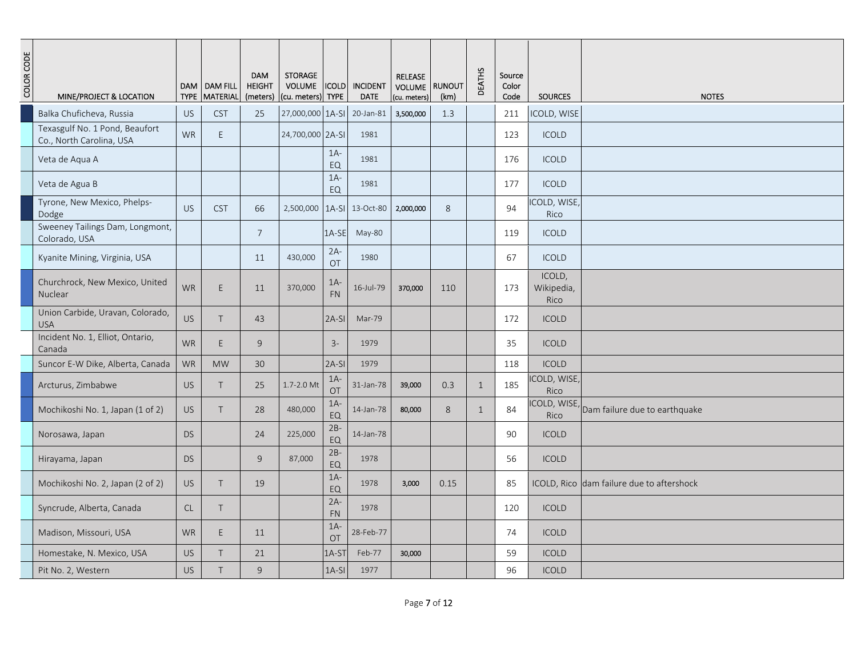| COLOR CODE | MINE/PROJECT & LOCATION                                    |           | DAM   DAM FILL<br>TYPE MATERIAL | <b>DAM</b><br><b>HEIGHT</b><br>(meters) | <b>STORAGE</b><br><b>VOLUME</b><br>(cu. meters) | ICOLD<br><b>TYPE</b> | <b>INCIDENT</b><br><b>DATE</b> | <b>RELEASE</b><br><b>VOLUME</b><br>(cu. meters) | <b>RUNOUT</b><br>(km) | <b>DEATHS</b> | Source<br>Color<br>Code | <b>SOURCES</b>               | <b>NOTES</b>                              |
|------------|------------------------------------------------------------|-----------|---------------------------------|-----------------------------------------|-------------------------------------------------|----------------------|--------------------------------|-------------------------------------------------|-----------------------|---------------|-------------------------|------------------------------|-------------------------------------------|
|            | Balka Chuficheva, Russia                                   | US.       | <b>CST</b>                      | 25                                      | 27,000,000 1A-SI                                |                      | 20-Jan-81                      | 3,500,000                                       | 1.3                   |               | 211                     | ICOLD, WISE                  |                                           |
|            | Texasgulf No. 1 Pond, Beaufort<br>Co., North Carolina, USA | <b>WR</b> | E                               |                                         | 24,700,000 2A-SI                                |                      | 1981                           |                                                 |                       |               | 123                     | <b>ICOLD</b>                 |                                           |
|            | Veta de Aqua A                                             |           |                                 |                                         |                                                 | $1A-$<br>EQ          | 1981                           |                                                 |                       |               | 176                     | <b>ICOLD</b>                 |                                           |
|            | Veta de Agua B                                             |           |                                 |                                         |                                                 | $1A-$<br>EQ          | 1981                           |                                                 |                       |               | 177                     | <b>ICOLD</b>                 |                                           |
|            | Tyrone, New Mexico, Phelps-<br>Dodge                       | US.       | <b>CST</b>                      | 66                                      | 2,500,000                                       |                      | 1A-SI 13-Oct-80                | 2,000,000                                       | 8                     |               | 94                      | ICOLD, WISE,<br>Rico         |                                           |
|            | Sweeney Tailings Dam, Longmont,<br>Colorado, USA           |           |                                 | $\overline{7}$                          |                                                 | $1A-SE$              | May-80                         |                                                 |                       |               | 119                     | <b>ICOLD</b>                 |                                           |
|            | Kyanite Mining, Virginia, USA                              |           |                                 | 11                                      | 430,000                                         | $2A-$<br>OT          | 1980                           |                                                 |                       |               | 67                      | <b>ICOLD</b>                 |                                           |
|            | Churchrock, New Mexico, United<br><b>Nuclear</b>           | <b>WR</b> | E                               | 11                                      | 370,000                                         | $1A-$<br>FN          | 16-Jul-79                      | 370,000                                         | 110                   |               | 173                     | ICOLD,<br>Wikipedia,<br>Rico |                                           |
|            | Union Carbide, Uravan, Colorado,<br><b>USA</b>             | US.       | $\mathsf{T}$                    | 43                                      |                                                 | $2A-SI$              | Mar-79                         |                                                 |                       |               | 172                     | <b>ICOLD</b>                 |                                           |
|            | Incident No. 1, Elliot, Ontario,<br>Canada                 | <b>WR</b> | E                               | 9                                       |                                                 | $3-$                 | 1979                           |                                                 |                       |               | 35                      | <b>ICOLD</b>                 |                                           |
|            | Suncor E-W Dike, Alberta, Canada                           | <b>WR</b> | <b>MW</b>                       | 30                                      |                                                 | $2A-SI$              | 1979                           |                                                 |                       |               | 118                     | <b>ICOLD</b>                 |                                           |
|            | Arcturus, Zimbabwe                                         | US.       | $\top$                          | 25                                      | 1.7-2.0 Mt                                      | $1A-$<br><b>OT</b>   | 31-Jan-78                      | 39,000                                          | 0.3                   | $\mathbf{1}$  | 185                     | ICOLD, WISE,<br>Rico         |                                           |
|            | Mochikoshi No. 1, Japan (1 of 2)                           | US.       | $\mathsf{T}$                    | 28                                      | 480,000                                         | $1A-$<br>EQ          | 14-Jan-78                      | 80,000                                          | 8                     | $\mathbf{1}$  | 84                      |                              | COLD, WISE, Dam failure due to earthquake |
|            | Norosawa, Japan                                            | <b>DS</b> |                                 | 24                                      | 225,000                                         | $2B -$<br>EQ         | 14-Jan-78                      |                                                 |                       |               | 90                      | <b>ICOLD</b>                 |                                           |
|            | Hirayama, Japan                                            | DS.       |                                 | 9                                       | 87,000                                          | $2B -$<br>EQ         | 1978                           |                                                 |                       |               | 56                      | <b>ICOLD</b>                 |                                           |
|            | Mochikoshi No. 2, Japan (2 of 2)                           | US.       | $\top$                          | 19                                      |                                                 | $1A-$<br>EQ          | 1978                           | 3.000                                           | 0.15                  |               | 85                      |                              | ICOLD, Rico dam failure due to aftershock |
|            | Syncrude, Alberta, Canada                                  | CL        | $\top$                          |                                         |                                                 | $2A-$<br><b>FN</b>   | 1978                           |                                                 |                       |               | 120                     | <b>ICOLD</b>                 |                                           |
|            | Madison, Missouri, USA                                     | <b>WR</b> | E                               | 11                                      |                                                 | $1A-$<br>OT          | 28-Feb-77                      |                                                 |                       |               | 74                      | <b>ICOLD</b>                 |                                           |
|            | Homestake, N. Mexico, USA                                  | US.       | $\top$                          | 21                                      |                                                 | $1A-ST$              | Feb-77                         | 30,000                                          |                       |               | 59                      | <b>ICOLD</b>                 |                                           |
|            | Pit No. 2, Western                                         | US.       | $\top$                          | 9                                       |                                                 | $1A-SI$              | 1977                           |                                                 |                       |               | 96                      | <b>ICOLD</b>                 |                                           |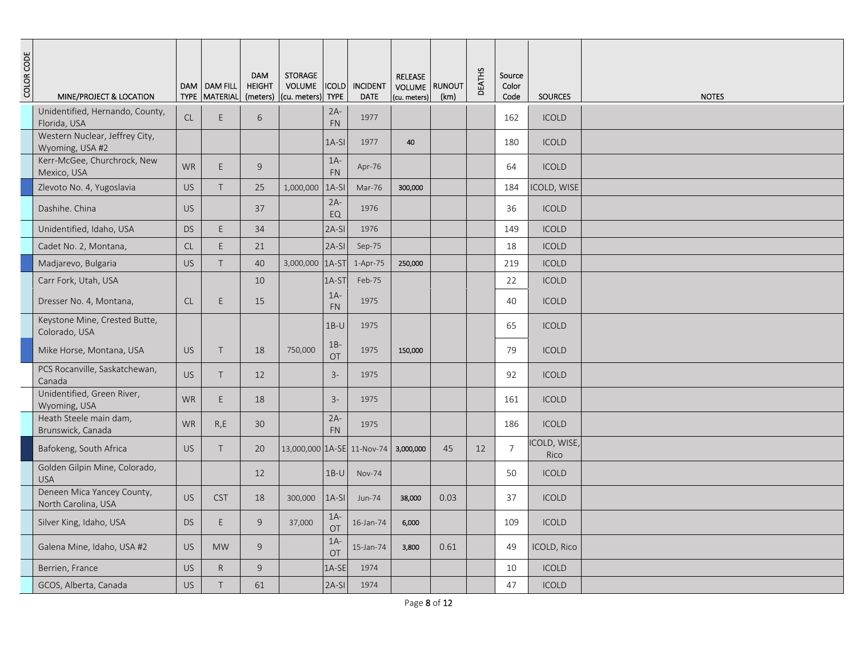| COLOR CODE | MINE/PROJECT & LOCATION                           |           | DAM   DAM FILL<br>TYPE MATERIAL            | <b>DAM</b><br><b>HEIGHT</b><br>(meters) | <b>STORAGE</b><br><b>VOLUME</b><br>(cu. meters) TYPE | <b>ICOLD</b>       | <b>INCIDENT</b><br><b>DATE</b> | <b>RELEASE</b><br><b>VOLUME</b><br>(cu. meters) | <b>RUNOUT</b><br>(km) | <b>DEATHS</b> | Source<br>Color<br>Code | <b>SOURCES</b>             | <b>NOTES</b> |
|------------|---------------------------------------------------|-----------|--------------------------------------------|-----------------------------------------|------------------------------------------------------|--------------------|--------------------------------|-------------------------------------------------|-----------------------|---------------|-------------------------|----------------------------|--------------|
|            | Unidentified, Hernando, County,<br>Florida, USA   | CL        | $\mathsf{E}% _{0}\left( \mathsf{E}\right)$ | 6                                       |                                                      | $2A-$<br><b>FN</b> | 1977                           |                                                 |                       |               | 162                     | <b>ICOLD</b>               |              |
|            | Western Nuclear, Jeffrey City,<br>Wyoming, USA #2 |           |                                            |                                         |                                                      | $1A-SI$            | 1977                           | 40                                              |                       |               | 180                     | <b>ICOLD</b>               |              |
|            | Kerr-McGee, Churchrock, New<br>Mexico, USA        | <b>WR</b> | E                                          | 9                                       |                                                      | $1A-$<br><b>FN</b> | Apr-76                         |                                                 |                       |               | 64                      | <b>ICOLD</b>               |              |
|            | Zlevoto No. 4, Yugoslavia                         | US.       | $\top$                                     | 25                                      | 1,000,000                                            | $1A-SI$            | Mar-76                         | 300,000                                         |                       |               | 184                     | ICOLD, WISE                |              |
|            | Dashihe. China                                    | US.       |                                            | 37                                      |                                                      | $2A-$<br>EQ        | 1976                           |                                                 |                       |               | 36                      | <b>ICOLD</b>               |              |
|            | Unidentified, Idaho, USA                          | <b>DS</b> | $\mathsf E$                                | 34                                      |                                                      | $2A-SI$            | 1976                           |                                                 |                       |               | 149                     | <b>ICOLD</b>               |              |
|            | Cadet No. 2, Montana,                             | <b>CL</b> | E.                                         | 21                                      |                                                      | $2A-SI$            | Sep-75                         |                                                 |                       |               | 18                      | <b>ICOLD</b>               |              |
|            | Madjarevo, Bulgaria                               | <b>US</b> | $\top$                                     | 40                                      | 3,000,000                                            | $1A-ST$            | 1-Apr-75                       | 250,000                                         |                       |               | 219                     | <b>ICOLD</b>               |              |
|            | Carr Fork, Utah, USA                              |           |                                            | 10                                      |                                                      | 1A-ST              | Feb-75                         |                                                 |                       |               | 22                      | <b>ICOLD</b>               |              |
|            | Dresser No. 4, Montana,                           | <b>CL</b> | $\mathsf{E}% _{0}\left( \mathsf{E}\right)$ | 15                                      |                                                      | $1A-$<br><b>FN</b> | 1975                           |                                                 |                       |               | 40                      | <b>ICOLD</b>               |              |
|            | Keystone Mine, Crested Butte,<br>Colorado, USA    |           |                                            |                                         |                                                      | $1B-U$             | 1975                           |                                                 |                       |               | 65                      | <b>ICOLD</b>               |              |
|            | Mike Horse, Montana, USA                          | US.       | $\top$                                     | 18                                      | 750,000                                              | $1B-$<br>OT        | 1975                           | 150,000                                         |                       |               | 79                      | <b>ICOLD</b>               |              |
|            | PCS Rocanville, Saskatchewan,<br>Canada           | <b>US</b> | $\top$                                     | 12                                      |                                                      | $3-$               | 1975                           |                                                 |                       |               | 92                      | <b>ICOLD</b>               |              |
|            | Unidentified, Green River,<br>Wyoming, USA        | <b>WR</b> | E                                          | 18                                      |                                                      | $3-$               | 1975                           |                                                 |                       |               | 161                     | <b>ICOLD</b>               |              |
|            | Heath Steele main dam,<br>Brunswick, Canada       | <b>WR</b> | R, E                                       | 30                                      |                                                      | $2A-$<br><b>FN</b> | 1975                           |                                                 |                       |               | 186                     | <b>ICOLD</b>               |              |
|            | Bafokeng, South Africa                            | US.       | $\top$                                     | 20                                      | 13,000,000 1A-SE 11-Nov-74                           |                    |                                | 3,000,000                                       | 45                    | 12            | $\overline{7}$          | <b>COLD, WISE,</b><br>Rico |              |
|            | Golden Gilpin Mine, Colorado,<br><b>USA</b>       |           |                                            | 12                                      |                                                      | $1B-U$             | <b>Nov-74</b>                  |                                                 |                       |               | 50                      | <b>ICOLD</b>               |              |
|            | Deneen Mica Yancey County,<br>North Carolina, USA | US.       | <b>CST</b>                                 | 18                                      | 300,000                                              | $1A-SI$            | <b>Jun-74</b>                  | 38,000                                          | 0.03                  |               | 37                      | <b>ICOLD</b>               |              |
|            | Silver King, Idaho, USA                           | DS.       | E                                          | 9                                       | 37,000                                               | $1A-$<br>OT        | 16-Jan-74                      | 6,000                                           |                       |               | 109                     | <b>ICOLD</b>               |              |
|            | Galena Mine, Idaho, USA #2                        | US.       | <b>MW</b>                                  | 9                                       |                                                      | $1A-$<br><b>OT</b> | 15-Jan-74                      | 3,800                                           | 0.61                  |               | 49                      | ICOLD, Rico                |              |
|            | Berrien, France                                   | US.       | ${\sf R}$                                  | 9                                       |                                                      | 1A-SE              | 1974                           |                                                 |                       |               | 10                      | <b>ICOLD</b>               |              |
|            | GCOS, Alberta, Canada                             | <b>US</b> | $\top$                                     | 61                                      |                                                      | $2A-SI$            | 1974                           |                                                 |                       |               | 47                      | ICOLD                      |              |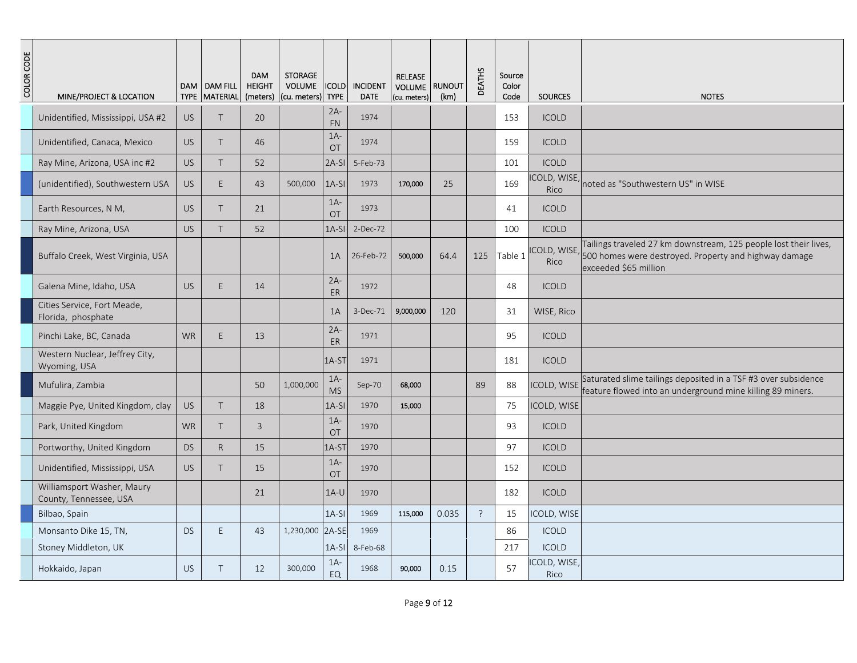| COLOR CODE | MINE/PROJECT & LOCATION                              |           | DAM   DAM FILL<br>TYPE   MATERIAL | <b>DAM</b><br><b>HEIGHT</b><br>(meters) | <b>STORAGE</b><br><b>VOLUME</b><br>(cu. meters) | <b>ICOLD</b><br><b>TYPE</b> | <b>INCIDENT</b><br><b>DATE</b> | <b>RELEASE</b><br><b>VOLUME</b><br>(cu. meters) | <b>RUNOUT</b><br>(km) | <b>DEATHS</b>  | Source<br>Color<br>Code | <b>SOURCES</b>             | <b>NOTES</b>                                                                                                                                       |
|------------|------------------------------------------------------|-----------|-----------------------------------|-----------------------------------------|-------------------------------------------------|-----------------------------|--------------------------------|-------------------------------------------------|-----------------------|----------------|-------------------------|----------------------------|----------------------------------------------------------------------------------------------------------------------------------------------------|
|            | Unidentified, Mississippi, USA #2                    | <b>US</b> | $\mathsf{T}$                      | 20                                      |                                                 | $2A-$<br><b>FN</b>          | 1974                           |                                                 |                       |                | 153                     | <b>ICOLD</b>               |                                                                                                                                                    |
|            | Unidentified, Canaca, Mexico                         | <b>US</b> | $\top$                            | 46                                      |                                                 | $1A-$<br><b>OT</b>          | 1974                           |                                                 |                       |                | 159                     | <b>ICOLD</b>               |                                                                                                                                                    |
|            | Ray Mine, Arizona, USA inc #2                        | <b>US</b> | $\top$                            | 52                                      |                                                 | $2A-SI$                     | 5-Feb-73                       |                                                 |                       |                | 101                     | <b>ICOLD</b>               |                                                                                                                                                    |
|            | (unidentified), Southwestern USA                     | <b>US</b> | E                                 | 43                                      | 500,000                                         | $1A-SI$                     | 1973                           | 170,000                                         | 25                    |                | 169                     | ICOLD, WISE,<br>Rico       | noted as "Southwestern US" in WISE                                                                                                                 |
|            | Earth Resources, N M,                                | <b>US</b> | $\top$                            | 21                                      |                                                 | $1A-$<br><b>OT</b>          | 1973                           |                                                 |                       |                | 41                      | <b>ICOLD</b>               |                                                                                                                                                    |
|            | Ray Mine, Arizona, USA                               | <b>US</b> | $\top$                            | 52                                      |                                                 | $1A-SI$                     | 2-Dec-72                       |                                                 |                       |                | 100                     | <b>ICOLD</b>               |                                                                                                                                                    |
|            | Buffalo Creek, West Virginia, USA                    |           |                                   |                                         |                                                 | 1A                          | 26-Feb-72                      | 500,000                                         | 64.4                  | 125            | Table 1                 | COLD, WISE,<br><b>Rico</b> | Tailings traveled 27 km downstream, 125 people lost their lives,<br>500 homes were destroyed. Property and highway damage<br>exceeded \$65 million |
|            | Galena Mine, Idaho, USA                              | <b>US</b> | E                                 | 14                                      |                                                 | $2A-$<br>ER                 | 1972                           |                                                 |                       |                | 48                      | <b>ICOLD</b>               |                                                                                                                                                    |
|            | Cities Service, Fort Meade,<br>Florida, phosphate    |           |                                   |                                         |                                                 | 1A                          | 3-Dec-71                       | 9,000,000                                       | 120                   |                | 31                      | WISE, Rico                 |                                                                                                                                                    |
|            | Pinchi Lake, BC, Canada                              | <b>WR</b> | E                                 | 13                                      |                                                 | $2A-$<br>ER                 | 1971                           |                                                 |                       |                | 95                      | <b>ICOLD</b>               |                                                                                                                                                    |
|            | Western Nuclear, Jeffrey City,<br>Wyoming, USA       |           |                                   |                                         |                                                 | $1A-ST$                     | 1971                           |                                                 |                       |                | 181                     | <b>ICOLD</b>               |                                                                                                                                                    |
|            | Mufulira, Zambia                                     |           |                                   | 50                                      | 1,000,000                                       | $1A-$<br><b>MS</b>          | Sep-70                         | 68,000                                          |                       | 89             | 88                      | ICOLD, WISE                | Saturated slime tailings deposited in a TSF #3 over subsidence<br>feature flowed into an underground mine killing 89 miners.                       |
|            | Maggie Pye, United Kingdom, clay                     | US.       | $\top$                            | 18                                      |                                                 | $1A-SI$                     | 1970                           | 15,000                                          |                       |                | 75                      | ICOLD, WISE                |                                                                                                                                                    |
|            | Park, United Kingdom                                 | <b>WR</b> | $\top$                            | $\overline{3}$                          |                                                 | $1A-$<br><b>OT</b>          | 1970                           |                                                 |                       |                | 93                      | <b>ICOLD</b>               |                                                                                                                                                    |
|            | Portworthy, United Kingdom                           | <b>DS</b> | $\mathsf{R}$                      | 15                                      |                                                 | $1A-S$                      | 1970                           |                                                 |                       |                | 97                      | <b>ICOLD</b>               |                                                                                                                                                    |
|            | Unidentified, Mississippi, USA                       | <b>US</b> | $\mathsf{T}$                      | 15                                      |                                                 | $1A-$<br><b>OT</b>          | 1970                           |                                                 |                       |                | 152                     | <b>ICOLD</b>               |                                                                                                                                                    |
|            | Williamsport Washer, Maury<br>County, Tennessee, USA |           |                                   | 21                                      |                                                 | $1A-U$                      | 1970                           |                                                 |                       |                | 182                     | <b>ICOLD</b>               |                                                                                                                                                    |
|            | Bilbao, Spain                                        |           |                                   |                                         |                                                 | $1A-SI$                     | 1969                           | 115,000                                         | 0.035                 | $\overline{?}$ | 15                      | ICOLD, WISE                |                                                                                                                                                    |
|            | Monsanto Dike 15, TN,                                | <b>DS</b> | E                                 | 43                                      | 1,230,000 2A-SE                                 |                             | 1969                           |                                                 |                       |                | 86                      | <b>ICOLD</b>               |                                                                                                                                                    |
|            | Stoney Middleton, UK                                 |           |                                   |                                         |                                                 | $1A-SI$                     | 8-Feb-68                       |                                                 |                       |                | 217                     | <b>ICOLD</b>               |                                                                                                                                                    |
|            | Hokkaido, Japan                                      | <b>US</b> | $\top$                            | 12                                      | 300,000                                         | $1A-$<br>EQ                 | 1968                           | 90,000                                          | 0.15                  |                | 57                      | ICOLD, WISE,<br>Rico       |                                                                                                                                                    |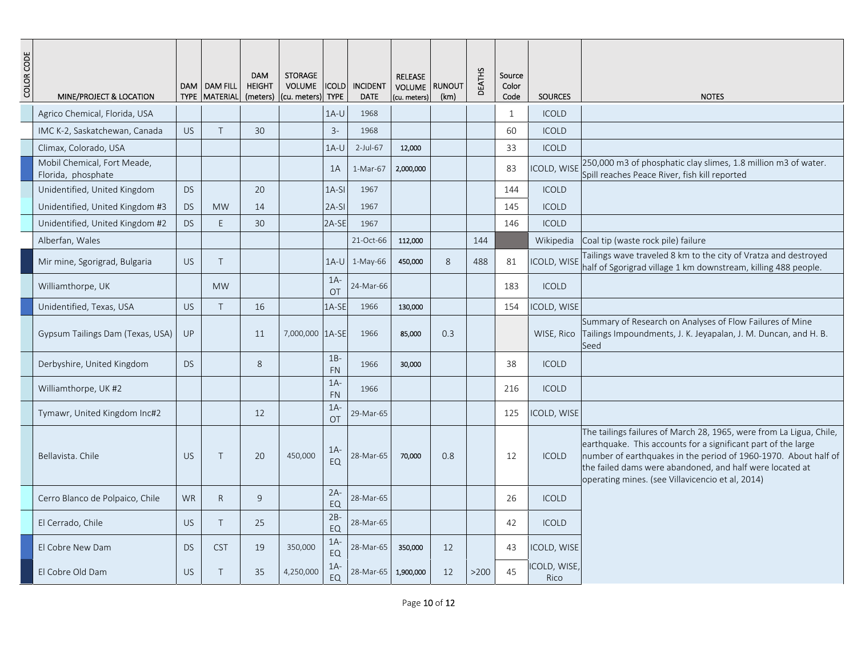| COLOR CODE | MINE/PROJECT & LOCATION                           |           | DAM   DAM FILL<br>TYPE   MATERIAL | <b>DAM</b><br><b>HEIGHT</b><br>(meters) | <b>STORAGE</b><br><b>VOLUME</b><br>(cu. meters) TYPE | <b>ICOLD</b>        | <b>INCIDENT</b><br><b>DATE</b> | <b>RELEASE</b><br><b>VOLUME</b><br>(cu. meters) | <b>RUNOUT</b><br>(km) | <b>DEATHS</b> | Source<br>Color<br>Code | <b>SOURCES</b>             | <b>NOTES</b>                                                                                                                                                                                                                                                                                                            |
|------------|---------------------------------------------------|-----------|-----------------------------------|-----------------------------------------|------------------------------------------------------|---------------------|--------------------------------|-------------------------------------------------|-----------------------|---------------|-------------------------|----------------------------|-------------------------------------------------------------------------------------------------------------------------------------------------------------------------------------------------------------------------------------------------------------------------------------------------------------------------|
|            | Agrico Chemical, Florida, USA                     |           |                                   |                                         |                                                      | $1A-U$              | 1968                           |                                                 |                       |               | $\mathbf{1}$            | <b>ICOLD</b>               |                                                                                                                                                                                                                                                                                                                         |
|            | IMC K-2, Saskatchewan, Canada                     | <b>US</b> | $\top$                            | 30                                      |                                                      | $3 -$               | 1968                           |                                                 |                       |               | 60                      | <b>ICOLD</b>               |                                                                                                                                                                                                                                                                                                                         |
|            | Climax, Colorado, USA                             |           |                                   |                                         |                                                      | $1A-U$              | $2$ -Jul-67                    | 12,000                                          |                       |               | 33                      | <b>ICOLD</b>               |                                                                                                                                                                                                                                                                                                                         |
|            | Mobil Chemical, Fort Meade,<br>Florida, phosphate |           |                                   |                                         |                                                      | 1A                  | 1-Mar-67                       | 2,000,000                                       |                       |               | 83                      | ICOLD, WISE                | 250,000 m3 of phosphatic clay slimes, 1.8 million m3 of water.<br>Spill reaches Peace River, fish kill reported                                                                                                                                                                                                         |
|            | Unidentified, United Kingdom                      | <b>DS</b> |                                   | 20                                      |                                                      | $1A-SI$             | 1967                           |                                                 |                       |               | 144                     | <b>ICOLD</b>               |                                                                                                                                                                                                                                                                                                                         |
|            | Unidentified, United Kingdom #3                   | <b>DS</b> | <b>MW</b>                         | 14                                      |                                                      | $2A-SI$             | 1967                           |                                                 |                       |               | 145                     | <b>ICOLD</b>               |                                                                                                                                                                                                                                                                                                                         |
|            | Unidentified, United Kingdom #2                   | <b>DS</b> | E                                 | 30                                      |                                                      | 2A-SE               | 1967                           |                                                 |                       |               | 146                     | <b>ICOLD</b>               |                                                                                                                                                                                                                                                                                                                         |
|            | Alberfan, Wales                                   |           |                                   |                                         |                                                      |                     | 21-Oct-66                      | 112,000                                         |                       | 144           |                         | Wikipedia                  | Coal tip (waste rock pile) failure                                                                                                                                                                                                                                                                                      |
|            | Mir mine, Sgorigrad, Bulgaria                     | <b>US</b> | $\top$                            |                                         |                                                      | $1A-U$              | $1-May-66$                     | 450,000                                         | 8                     | 488           | 81                      | ICOLD, WISE                | Tailings wave traveled 8 km to the city of Vratza and destroyed<br>half of Sgorigrad village 1 km downstream, killing 488 people.                                                                                                                                                                                       |
|            | Williamthorpe, UK                                 |           | <b>MW</b>                         |                                         |                                                      | $1A-$<br><b>OT</b>  | 24-Mar-66                      |                                                 |                       |               | 183                     | <b>ICOLD</b>               |                                                                                                                                                                                                                                                                                                                         |
|            | Unidentified, Texas, USA                          | <b>US</b> | $\top$                            | 16                                      |                                                      | 1A-SE               | 1966                           | 130,000                                         |                       |               | 154                     | ICOLD, WISE                |                                                                                                                                                                                                                                                                                                                         |
|            | Gypsum Tailings Dam (Texas, USA)                  | UP        |                                   | 11                                      | 7,000,000 1A-SE                                      |                     | 1966                           | 85,000                                          | 0.3                   |               |                         |                            | Summary of Research on Analyses of Flow Failures of Mine<br>WISE, Rico Tailings Impoundments, J. K. Jeyapalan, J. M. Duncan, and H. B.<br>Seed                                                                                                                                                                          |
|            | Derbyshire, United Kingdom                        | <b>DS</b> |                                   | 8                                       |                                                      | $1B -$<br><b>FN</b> | 1966                           | 30,000                                          |                       |               | 38                      | <b>ICOLD</b>               |                                                                                                                                                                                                                                                                                                                         |
|            | Williamthorpe, UK #2                              |           |                                   |                                         |                                                      | $1A-$<br><b>FN</b>  | 1966                           |                                                 |                       |               | 216                     | <b>ICOLD</b>               |                                                                                                                                                                                                                                                                                                                         |
|            | Tymawr, United Kingdom Inc#2                      |           |                                   | 12                                      |                                                      | $1A-$<br>OT         | 29-Mar-65                      |                                                 |                       |               | 125                     | ICOLD, WISE                |                                                                                                                                                                                                                                                                                                                         |
|            | Bellavista, Chile                                 | <b>US</b> | $\top$                            | 20                                      | 450,000                                              | $1A-$<br>EQ         | 28-Mar-65                      | 70,000                                          | 0.8                   |               | 12                      | <b>ICOLD</b>               | The tailings failures of March 28, 1965, were from La Ligua, Chile,<br>earthquake. This accounts for a significant part of the large<br>number of earthquakes in the period of 1960-1970. About half of<br>the failed dams were abandoned, and half were located at<br>operating mines. (see Villavicencio et al, 2014) |
|            | Cerro Blanco de Polpaico, Chile                   | WR        | $\mathsf{R}$                      | 9                                       |                                                      | $2A-$<br>EQ         | 28-Mar-65                      |                                                 |                       |               | 26                      | <b>ICOLD</b>               |                                                                                                                                                                                                                                                                                                                         |
|            | El Cerrado, Chile                                 | <b>US</b> | $\top$                            | 25                                      |                                                      | $2B -$<br>EQ        | 28-Mar-65                      |                                                 |                       |               | 42                      | <b>ICOLD</b>               |                                                                                                                                                                                                                                                                                                                         |
|            | El Cobre New Dam                                  | <b>DS</b> | <b>CST</b>                        | 19                                      | 350,000                                              | $1A-$<br>EQ         | 28-Mar-65                      | 350,000                                         | 12                    |               | 43                      | ICOLD, WISE                |                                                                                                                                                                                                                                                                                                                         |
|            | El Cobre Old Dam                                  | US.       | $\top$                            | 35                                      | 4,250,000                                            | $1A-$<br>EQ         | 28-Mar-65 1,900,000            |                                                 | 12                    | >200          | 45                      | <b>COLD, WISE,</b><br>Rico |                                                                                                                                                                                                                                                                                                                         |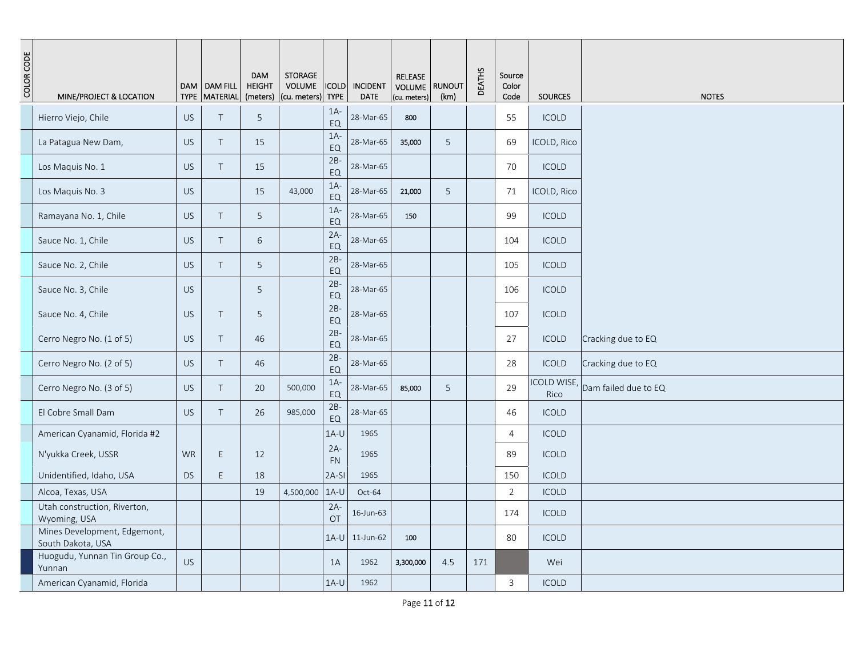| COLOR CODE | MINE/PROJECT & LOCATION                           |           | DAM   DAM FILL<br>TYPE MATERIAL | <b>DAM</b><br><b>HEIGHT</b><br>(meters) | <b>STORAGE</b><br><b>VOLUME</b><br>(cu. meters) | <b>ICOLD</b><br><b>TYPE</b> | <b>INCIDENT</b><br>DATE | <b>RELEASE</b><br><b>VOLUME</b><br>(cu. meters) | <b>RUNOUT</b><br>(km) | <b>DEATHS</b> | Source<br>Color<br>Code | <b>SOURCES</b>      | <b>NOTES</b>         |
|------------|---------------------------------------------------|-----------|---------------------------------|-----------------------------------------|-------------------------------------------------|-----------------------------|-------------------------|-------------------------------------------------|-----------------------|---------------|-------------------------|---------------------|----------------------|
|            | Hierro Viejo, Chile                               | <b>US</b> | $\top$                          | 5                                       |                                                 | $1A-$<br>EQ                 | 28-Mar-65               | 800                                             |                       |               | 55                      | <b>ICOLD</b>        |                      |
|            | La Patagua New Dam,                               | <b>US</b> | $\top$                          | 15                                      |                                                 | $1A-$<br>EQ                 | 28-Mar-65               | 35,000                                          | 5                     |               | 69                      | ICOLD, Rico         |                      |
|            | Los Maquis No. 1                                  | <b>US</b> | $\top$                          | 15                                      |                                                 | $2B -$<br>EQ                | 28-Mar-65               |                                                 |                       |               | 70                      | <b>ICOLD</b>        |                      |
|            | Los Maquis No. 3                                  | <b>US</b> |                                 | 15                                      | 43,000                                          | $1A-$<br>EQ                 | 28-Mar-65               | 21,000                                          | 5                     |               | 71                      | ICOLD, Rico         |                      |
|            | Ramayana No. 1, Chile                             | <b>US</b> | $\top$                          | 5                                       |                                                 | $1A-$<br>EQ                 | 28-Mar-65               | 150                                             |                       |               | 99                      | <b>ICOLD</b>        |                      |
|            | Sauce No. 1, Chile                                | US.       | $\top$                          | 6                                       |                                                 | $2A-$<br>EQ                 | 28-Mar-65               |                                                 |                       |               | 104                     | <b>ICOLD</b>        |                      |
|            | Sauce No. 2, Chile                                | <b>US</b> | $\top$                          | 5                                       |                                                 | $2B -$<br>EQ                | 28-Mar-65               |                                                 |                       |               | 105                     | <b>ICOLD</b>        |                      |
|            | Sauce No. 3, Chile                                | <b>US</b> |                                 | 5                                       |                                                 | $2B -$<br>EQ                | 28-Mar-65               |                                                 |                       |               | 106                     | <b>ICOLD</b>        |                      |
|            | Sauce No. 4, Chile                                | US.       | $\top$                          | 5                                       |                                                 | $2B -$<br>EQ                | 28-Mar-65               |                                                 |                       |               | 107                     | <b>ICOLD</b>        |                      |
|            | Cerro Negro No. (1 of 5)                          | US.       | $\top$                          | 46                                      |                                                 | $2B -$<br>EQ                | 28-Mar-65               |                                                 |                       |               | 27                      | <b>ICOLD</b>        | Cracking due to EQ   |
|            | Cerro Negro No. (2 of 5)                          | US.       | $\top$                          | 46                                      |                                                 | $2B -$<br>EQ                | 28-Mar-65               |                                                 |                       |               | 28                      | <b>ICOLD</b>        | Cracking due to EQ   |
|            | Cerro Negro No. (3 of 5)                          | US.       | $\top$                          | 20                                      | 500,000                                         | $1A-$<br>EQ                 | 28-Mar-65               | 85,000                                          | 5                     |               | 29                      | ICOLD WISE,<br>Rico | Dam failed due to EQ |
|            | El Cobre Small Dam                                | <b>US</b> | $\top$                          | 26                                      | 985,000                                         | $2B -$<br>EQ                | 28-Mar-65               |                                                 |                       |               | 46                      | <b>ICOLD</b>        |                      |
|            | American Cyanamid, Florida #2                     |           |                                 |                                         |                                                 | $1A-U$                      | 1965                    |                                                 |                       |               | $\overline{4}$          | <b>ICOLD</b>        |                      |
|            | N'yukka Creek, USSR                               | <b>WR</b> | E                               | 12                                      |                                                 | $2A-$<br><b>FN</b>          | 1965                    |                                                 |                       |               | 89                      | <b>ICOLD</b>        |                      |
|            | Unidentified, Idaho, USA                          | <b>DS</b> | E                               | 18                                      |                                                 | $2A-SI$                     | 1965                    |                                                 |                       |               | 150                     | <b>ICOLD</b>        |                      |
|            | Alcoa, Texas, USA                                 |           |                                 | 19                                      | 4,500,000                                       | $1A-U$                      | Oct-64                  |                                                 |                       |               | $\overline{2}$          | <b>ICOLD</b>        |                      |
|            | Utah construction, Riverton,<br>Wyoming, USA      |           |                                 |                                         |                                                 | $2A-$<br>OT                 | 16-Jun-63               |                                                 |                       |               | 174                     | <b>ICOLD</b>        |                      |
|            | Mines Development, Edgemont,<br>South Dakota, USA |           |                                 |                                         |                                                 | $1A-U$                      | 11-Jun-62               | 100                                             |                       |               | 80                      | <b>ICOLD</b>        |                      |
|            | Huogudu, Yunnan Tin Group Co.,<br>Yunnan          | <b>US</b> |                                 |                                         |                                                 | 1A                          | 1962                    | 3,300,000                                       | 4.5                   | 171           |                         | Wei                 |                      |
|            | American Cyanamid, Florida                        |           |                                 |                                         |                                                 | $1A-U$                      | 1962                    |                                                 |                       |               | 3                       | <b>ICOLD</b>        |                      |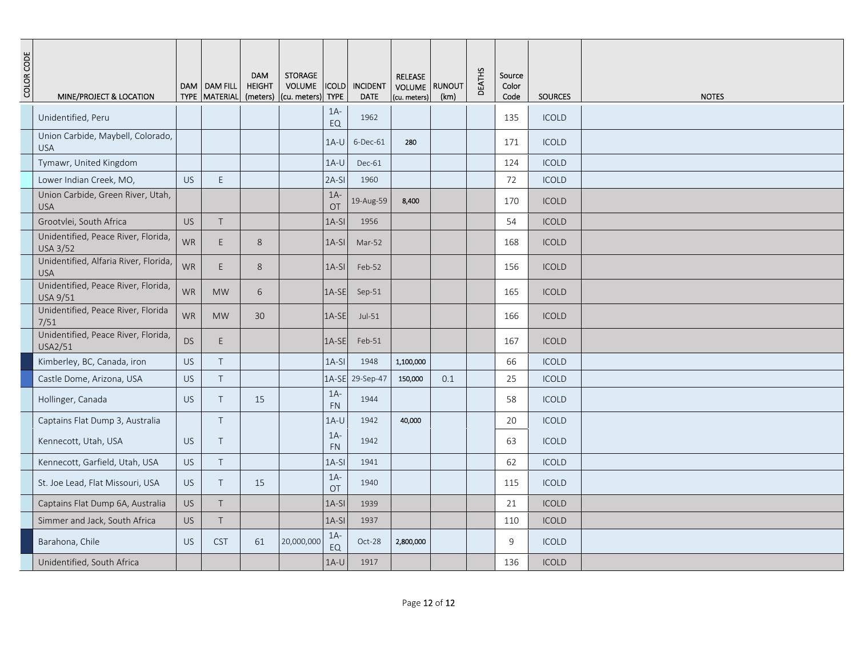| COLOR CODE | MINE/PROJECT & LOCATION                                |           | DAM   DAM FILL<br>TYPE MATERIAL | <b>DAM</b><br><b>HEIGHT</b><br>(meters) | <b>STORAGE</b><br><b>VOLUME</b><br>(cu. meters) TYPE | ICOLD              | <b>INCIDENT</b><br><b>DATE</b> | <b>RELEASE</b><br><b>VOLUME</b><br>(cu. meters) | <b>RUNOUT</b><br>(km) | <b>DEATHS</b> | Source<br>Color<br>Code | <b>SOURCES</b> | <b>NOTES</b> |
|------------|--------------------------------------------------------|-----------|---------------------------------|-----------------------------------------|------------------------------------------------------|--------------------|--------------------------------|-------------------------------------------------|-----------------------|---------------|-------------------------|----------------|--------------|
|            | Unidentified, Peru                                     |           |                                 |                                         |                                                      | $1A-$<br>EQ        | 1962                           |                                                 |                       |               | 135                     | <b>ICOLD</b>   |              |
|            | Union Carbide, Maybell, Colorado,<br><b>USA</b>        |           |                                 |                                         |                                                      | $1A-U$             | 6-Dec-61                       | 280                                             |                       |               | 171                     | <b>ICOLD</b>   |              |
|            | Tymawr, United Kingdom                                 |           |                                 |                                         |                                                      | $1A-U$             | Dec-61                         |                                                 |                       |               | 124                     | <b>ICOLD</b>   |              |
|            | Lower Indian Creek, MO,                                | <b>US</b> | $\mathsf E$                     |                                         |                                                      | $2A-SI$            | 1960                           |                                                 |                       |               | 72                      | ICOLD          |              |
|            | Union Carbide, Green River, Utah,<br><b>USA</b>        |           |                                 |                                         |                                                      | $1A-$<br><b>OT</b> | 19-Aug-59                      | 8,400                                           |                       |               | 170                     | <b>ICOLD</b>   |              |
|            | Grootvlei, South Africa                                | <b>US</b> | $\top$                          |                                         |                                                      | $1A-SI$            | 1956                           |                                                 |                       |               | 54                      | <b>ICOLD</b>   |              |
|            | Unidentified, Peace River, Florida,<br><b>USA 3/52</b> | <b>WR</b> | E                               | 8                                       |                                                      | $1A-SI$            | Mar-52                         |                                                 |                       |               | 168                     | <b>ICOLD</b>   |              |
|            | Unidentified, Alfaria River, Florida,<br><b>USA</b>    | <b>WR</b> | E                               | 8                                       |                                                      | $1A-SI$            | Feb-52                         |                                                 |                       |               | 156                     | <b>ICOLD</b>   |              |
|            | Unidentified, Peace River, Florida,<br><b>USA 9/51</b> | <b>WR</b> | <b>MW</b>                       | 6                                       |                                                      | $1A-SE$            | Sep-51                         |                                                 |                       |               | 165                     | <b>ICOLD</b>   |              |
|            | Unidentified, Peace River, Florida<br>7/51             | <b>WR</b> | <b>MW</b>                       | 30                                      |                                                      | 1A-SE              | $Jul-51$                       |                                                 |                       |               | 166                     | <b>ICOLD</b>   |              |
|            | Unidentified, Peace River, Florida,<br>USA2/51         | <b>DS</b> | E                               |                                         |                                                      | 1A-SE              | Feb-51                         |                                                 |                       |               | 167                     | <b>ICOLD</b>   |              |
|            | Kimberley, BC, Canada, iron                            | <b>US</b> | $\mathsf{T}$                    |                                         |                                                      | $1A-SI$            | 1948                           | 1,100,000                                       |                       |               | 66                      | <b>ICOLD</b>   |              |
|            | Castle Dome, Arizona, USA                              | US.       | $\top$                          |                                         |                                                      |                    | 1A-SE 29-Sep-47                | 150,000                                         | 0.1                   |               | 25                      | <b>ICOLD</b>   |              |
|            | Hollinger, Canada                                      | US.       | $\mathsf{T}$                    | 15                                      |                                                      | $1A-$<br><b>FN</b> | 1944                           |                                                 |                       |               | 58                      | <b>ICOLD</b>   |              |
|            | Captains Flat Dump 3, Australia                        |           | $\top$                          |                                         |                                                      | $1A-U$             | 1942                           | 40,000                                          |                       |               | 20                      | <b>ICOLD</b>   |              |
|            | Kennecott, Utah, USA                                   | US.       | $\top$                          |                                         |                                                      | $1A-$<br><b>FN</b> | 1942                           |                                                 |                       |               | 63                      | <b>ICOLD</b>   |              |
|            | Kennecott, Garfield, Utah, USA                         | <b>US</b> | $\top$                          |                                         |                                                      | $1A-SI$            | 1941                           |                                                 |                       |               | 62                      | <b>ICOLD</b>   |              |
|            | St. Joe Lead, Flat Missouri, USA                       | US.       | $\top$                          | 15                                      |                                                      | $1A-$<br><b>OT</b> | 1940                           |                                                 |                       |               | 115                     | <b>ICOLD</b>   |              |
|            | Captains Flat Dump 6A, Australia                       | US.       | $\mathsf{T}$                    |                                         |                                                      | $1A-SI$            | 1939                           |                                                 |                       |               | 21                      | <b>ICOLD</b>   |              |
|            | Simmer and Jack, South Africa                          | US.       | $\top$                          |                                         |                                                      | $1A-SI$            | 1937                           |                                                 |                       |               | 110                     | <b>ICOLD</b>   |              |
|            | Barahona, Chile                                        | <b>US</b> | <b>CST</b>                      | 61                                      | 20,000,000                                           | $1A-$<br>EQ        | Oct-28                         | 2,800,000                                       |                       |               | $\mathsf{q}$            | <b>ICOLD</b>   |              |
|            | Unidentified, South Africa                             |           |                                 |                                         |                                                      | $1A-U$             | 1917                           |                                                 |                       |               | 136                     | <b>ICOLD</b>   |              |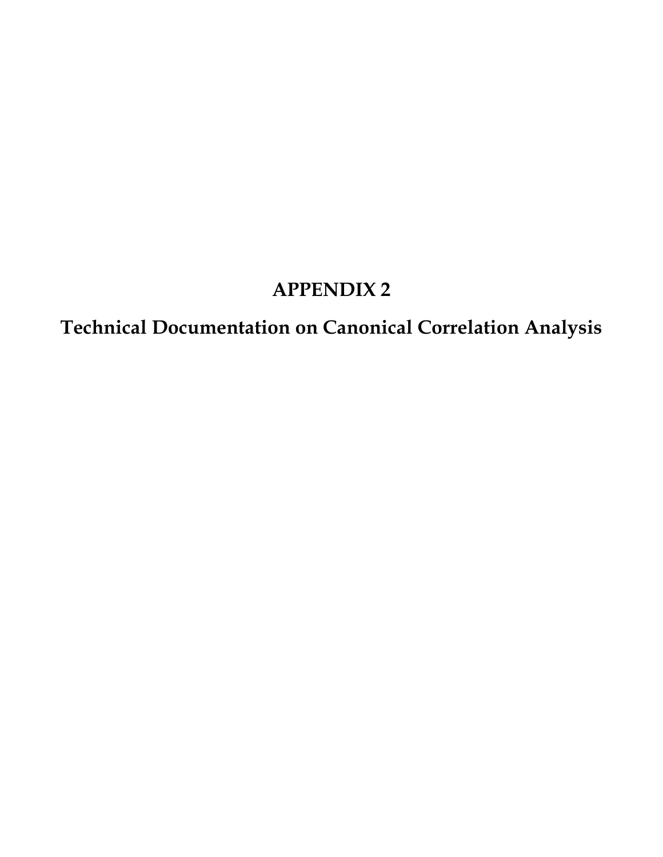# **APPENDIX 2**

**Technical Documentation on Canonical Correlation Analysis**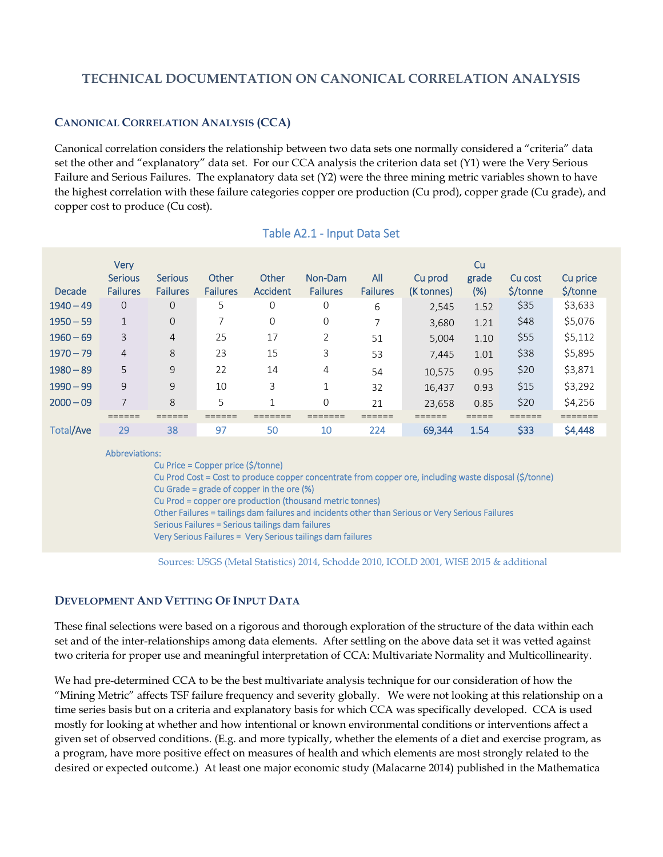# **TECHNICAL DOCUMENTATION ON CANONICAL CORRELATION ANALYSIS**

#### **CANONICAL CORRELATION ANALYSIS (CCA)**

Canonical correlation considers the relationship between two data sets one normally considered a "criteria" data set the other and "explanatory" data set. For our CCA analysis the criterion data set (Y1) were the Very Serious Failure and Serious Failures. The explanatory data set (Y2) were the three mining metric variables shown to have the highest correlation with these failure categories copper ore production (Cu prod), copper grade (Cu grade), and copper cost to produce (Cu cost).

|                  | <b>Very</b><br><b>Serious</b> | <b>Serious</b>  | Other           | Other           | Non-Dam         | All             | Cu prod    | <b>Cu</b><br>grade | Cu cost  | Cu price |
|------------------|-------------------------------|-----------------|-----------------|-----------------|-----------------|-----------------|------------|--------------------|----------|----------|
| Decade           | <b>Failures</b>               | <b>Failures</b> | <b>Failures</b> | <b>Accident</b> | <b>Failures</b> | <b>Failures</b> | (K tonnes) | (%)                | \$/tonne | \$/tonne |
| $1940 - 49$      | $\Omega$                      | $\Omega$        | 5               | $\Omega$        | $\Omega$        | 6               | 2,545      | 1.52               | \$35     | \$3,633  |
| $1950 - 59$      | $\mathbf{1}$                  | $\overline{0}$  | ⇁               | 0               | $\mathbf 0$     | 7               | 3,680      | 1.21               | \$48     | \$5,076  |
| $1960 - 69$      | 3                             | $\overline{4}$  | 25              | 17              | $\overline{2}$  | 51              | 5,004      | 1.10               | \$55     | \$5,112  |
| $1970 - 79$      | $\overline{4}$                | 8               | 23              | 15              | 3               | 53              | 7,445      | 1.01               | \$38     | \$5,895  |
| $1980 - 89$      | 5                             | 9               | 22              | 14              | 4               | 54              | 10,575     | 0.95               | \$20     | \$3,871  |
| $1990 - 99$      | 9                             | 9               | 10              | 3               | 1               | 32              | 16,437     | 0.93               | \$15     | \$3,292  |
| $2000 - 09$      | 7                             | 8               | 5               | ⊿               | $\mathbf 0$     | 21              | 23,658     | 0.85               | \$20     | \$4,256  |
|                  | -------                       | ------          | ------          | -------         | -------         | ------          | ------     | -----              | ------   | -------  |
| <b>Total/Ave</b> | 29                            | 38              | 97              | 50              | 10              | 224             | 69,344     | 1.54               | \$33     | \$4,448  |
|                  |                               |                 |                 |                 |                 |                 |            |                    |          |          |

#### Table A2.1 ‐ Input Data Set

Abbreviations:

Cu Price = Copper price (\$/tonne) Cu Prod Cost = Cost to produce copper concentrate from copper ore, including waste disposal (\$/tonne) Cu Grade =  $grade$  of copper in the ore  $%$ Cu Prod = copper ore production (thousand metric tonnes) Other Failures = tailings dam failures and incidents other than Serious or Very Serious Failures Serious Failures = Serious tailings dam failures Very Serious Failures = Very Serious tailings dam failures

Sources: USGS (Metal Statistics) 2014, Schodde 2010, ICOLD 2001, WISE 2015 & additional

#### **DEVELOPMENT AND VETTING OF INPUT DATA**

These final selections were based on a rigorous and thorough exploration of the structure of the data within each set and of the inter-relationships among data elements. After settling on the above data set it was vetted against two criteria for proper use and meaningful interpretation of CCA: Multivariate Normality and Multicollinearity.

We had pre-determined CCA to be the best multivariate analysis technique for our consideration of how the "Mining Metric" affects TSF failure frequency and severity globally. We were not looking at this relationship on a time series basis but on a criteria and explanatory basis for which CCA was specifically developed. CCA is used mostly for looking at whether and how intentional or known environmental conditions or interventions affect a given set of observed conditions. (E.g. and more typically, whether the elements of a diet and exercise program, as a program, have more positive effect on measures of health and which elements are most strongly related to the desired or expected outcome.) At least one major economic study (Malacarne 2014) published in the Mathematica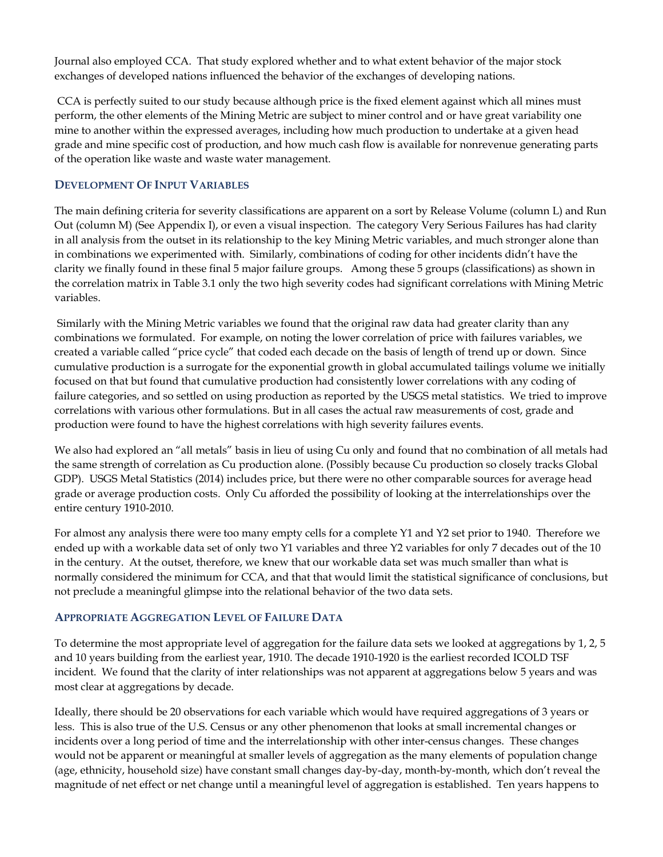Journal also employed CCA. That study explored whether and to what extent behavior of the major stock exchanges of developed nations influenced the behavior of the exchanges of developing nations.

 CCA is perfectly suited to our study because although price is the fixed element against which all mines must perform, the other elements of the Mining Metric are subject to miner control and or have great variability one mine to another within the expressed averages, including how much production to undertake at a given head grade and mine specific cost of production, and how much cash flow is available for nonrevenue generating parts of the operation like waste and waste water management.

### **DEVELOPMENT OF INPUT VARIABLES**

The main defining criteria for severity classifications are apparent on a sort by Release Volume (column L) and Run Out (column M) (See Appendix I), or even a visual inspection. The category Very Serious Failures has had clarity in all analysis from the outset in its relationship to the key Mining Metric variables, and much stronger alone than in combinations we experimented with. Similarly, combinations of coding for other incidents didn't have the clarity we finally found in these final 5 major failure groups. Among these 5 groups (classifications) as shown in the correlation matrix in Table 3.1 only the two high severity codes had significant correlations with Mining Metric variables.

 Similarly with the Mining Metric variables we found that the original raw data had greater clarity than any combinations we formulated. For example, on noting the lower correlation of price with failures variables, we created a variable called "price cycle" that coded each decade on the basis of length of trend up or down. Since cumulative production is a surrogate for the exponential growth in global accumulated tailings volume we initially focused on that but found that cumulative production had consistently lower correlations with any coding of failure categories, and so settled on using production as reported by the USGS metal statistics. We tried to improve correlations with various other formulations. But in all cases the actual raw measurements of cost, grade and production were found to have the highest correlations with high severity failures events.

We also had explored an "all metals" basis in lieu of using Cu only and found that no combination of all metals had the same strength of correlation as Cu production alone. (Possibly because Cu production so closely tracks Global GDP). USGS Metal Statistics (2014) includes price, but there were no other comparable sources for average head grade or average production costs. Only Cu afforded the possibility of looking at the interrelationships over the entire century 1910-2010.

For almost any analysis there were too many empty cells for a complete Y1 and Y2 set prior to 1940. Therefore we ended up with a workable data set of only two Y1 variables and three Y2 variables for only 7 decades out of the 10 in the century. At the outset, therefore, we knew that our workable data set was much smaller than what is normally considered the minimum for CCA, and that that would limit the statistical significance of conclusions, but not preclude a meaningful glimpse into the relational behavior of the two data sets.

#### **APPROPRIATE AGGREGATION LEVEL OF FAILURE DATA**

To determine the most appropriate level of aggregation for the failure data sets we looked at aggregations by 1, 2, 5 and 10 years building from the earliest year, 1910. The decade 1910-1920 is the earliest recorded ICOLD TSF incident. We found that the clarity of inter relationships was not apparent at aggregations below 5 years and was most clear at aggregations by decade.

Ideally, there should be 20 observations for each variable which would have required aggregations of 3 years or less. This is also true of the U.S. Census or any other phenomenon that looks at small incremental changes or incidents over a long period of time and the interrelationship with other inter-census changes. These changes would not be apparent or meaningful at smaller levels of aggregation as the many elements of population change (age, ethnicity, household size) have constant small changes day-by-day, month-by-month, which don't reveal the magnitude of net effect or net change until a meaningful level of aggregation is established. Ten years happens to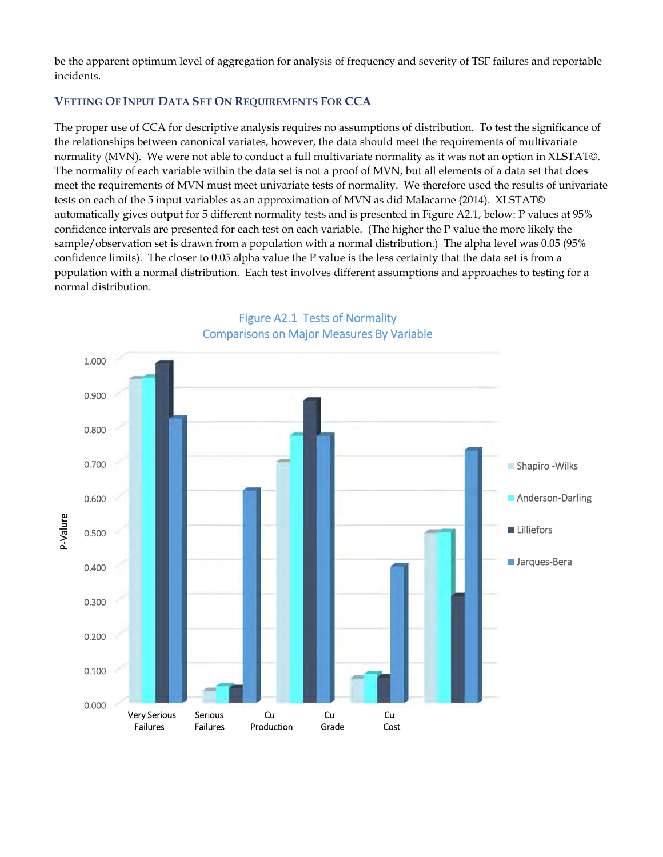be the apparent optimum level of aggregation for analysis of frequency and severity of TSF failures and reportable incidents.

# **VETTING OF INPUT DATA SET ON REQUIREMENTS FOR CCA**

The proper use of CCA for descriptive analysis requires no assumptions of distribution. To test the significance of the relationships between canonical variates, however, the data should meet the requirements of multivariate normality (MVN). We were not able to conduct a full multivariate normality as it was not an option in XLSTAT©. The normality of each variable within the data set is not a proof of MVN, but all elements of a data set that does meet the requirements of MVN must meet univariate tests of normality. We therefore used the results of univariate tests on each of the 5 input variables as an approximation of MVN as did Malacarne (2014). XLSTAT© automatically gives output for 5 different normality tests and is presented in Figure A2.1, below: P values at 95% confidence intervals are presented for each test on each variable. (The higher the P value the more likely the sample/observation set is drawn from a population with a normal distribution.) The alpha level was 0.05 (95% confidence limits). The closer to 0.05 alpha value the P value is the less certainty that the data set is from a population with a normal distribution. Each test involves different assumptions and approaches to testing for a normal distribution.



### Figure A2.1 Tests of Normality Comparisons on Major Measures By Variable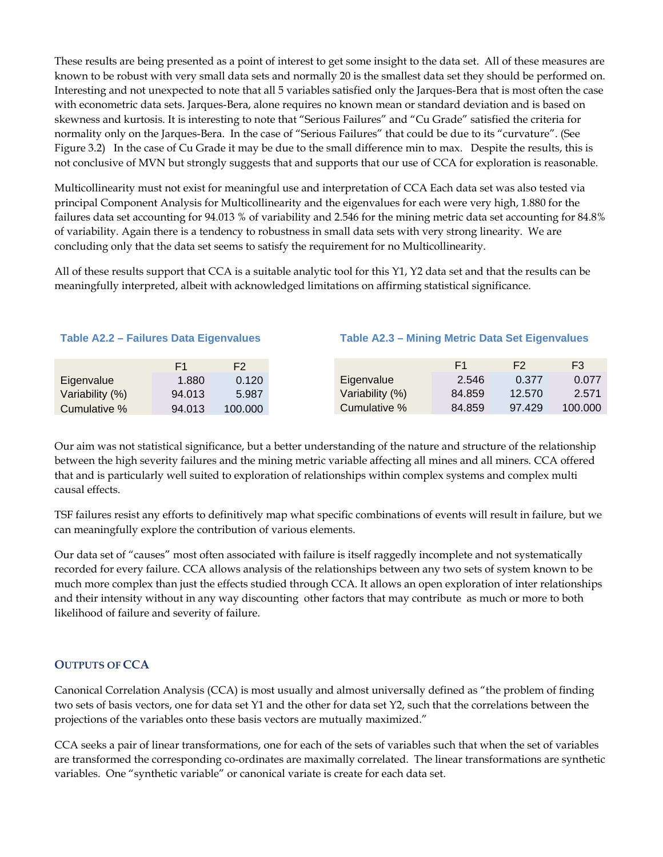These results are being presented as a point of interest to get some insight to the data set. All of these measures are known to be robust with very small data sets and normally 20 is the smallest data set they should be performed on. Interesting and not unexpected to note that all 5 variables satisfied only the Jarques-Bera that is most often the case with econometric data sets. Jarques-Bera, alone requires no known mean or standard deviation and is based on skewness and kurtosis. It is interesting to note that "Serious Failures" and "Cu Grade" satisfied the criteria for normality only on the Jarques-Bera. In the case of "Serious Failures" that could be due to its "curvature". (See Figure 3.2) In the case of Cu Grade it may be due to the small difference min to max. Despite the results, this is not conclusive of MVN but strongly suggests that and supports that our use of CCA for exploration is reasonable.

Multicollinearity must not exist for meaningful use and interpretation of CCA Each data set was also tested via principal Component Analysis for Multicollinearity and the eigenvalues for each were very high, 1.880 for the failures data set accounting for 94.013 % of variability and 2.546 for the mining metric data set accounting for 84.8% of variability. Again there is a tendency to robustness in small data sets with very strong linearity. We are concluding only that the data set seems to satisfy the requirement for no Multicollinearity.

All of these results support that CCA is a suitable analytic tool for this Y1, Y2 data set and that the results can be meaningfully interpreted, albeit with acknowledged limitations on affirming statistical significance.

|                 | F1     | F2      |                 | F1     | F2     |
|-----------------|--------|---------|-----------------|--------|--------|
| Eigenvalue      | 1.880  | 0.120   | Eigenvalue      | 2.546  | 0.377  |
| Variability (%) | 94.013 | 5.987   | Variability (%) | 84.859 | 12.570 |
| Cumulative %    | 94.013 | 100,000 | Cumulative %    | 84.859 | 97.429 |

**Table A2.3 – Mining Metric Data Set Eigenvalues**

#### **Table A2.2 – Failures Data Eigenvalues**

Our aim was not statistical significance, but a better understanding of the nature and structure of the relationship between the high severity failures and the mining metric variable affecting all mines and all miners. CCA offered that and is particularly well suited to exploration of relationships within complex systems and complex multi causal effects.

TSF failures resist any efforts to definitively map what specific combinations of events will result in failure, but we can meaningfully explore the contribution of various elements.

Our data set of "causes" most often associated with failure is itself raggedly incomplete and not systematically recorded for every failure. CCA allows analysis of the relationships between any two sets of system known to be much more complex than just the effects studied through CCA. It allows an open exploration of inter relationships and their intensity without in any way discounting other factors that may contribute as much or more to both likelihood of failure and severity of failure.

# **OUTPUTS OF CCA**

Canonical Correlation Analysis (CCA) is most usually and almost universally defined as "the problem of finding two sets of basis vectors, one for data set Y1 and the other for data set Y2, such that the correlations between the projections of the variables onto these basis vectors are mutually maximized."

CCA seeks a pair of linear transformations, one for each of the sets of variables such that when the set of variables are transformed the corresponding co-ordinates are maximally correlated. The linear transformations are synthetic variables. One "synthetic variable" or canonical variate is create for each data set.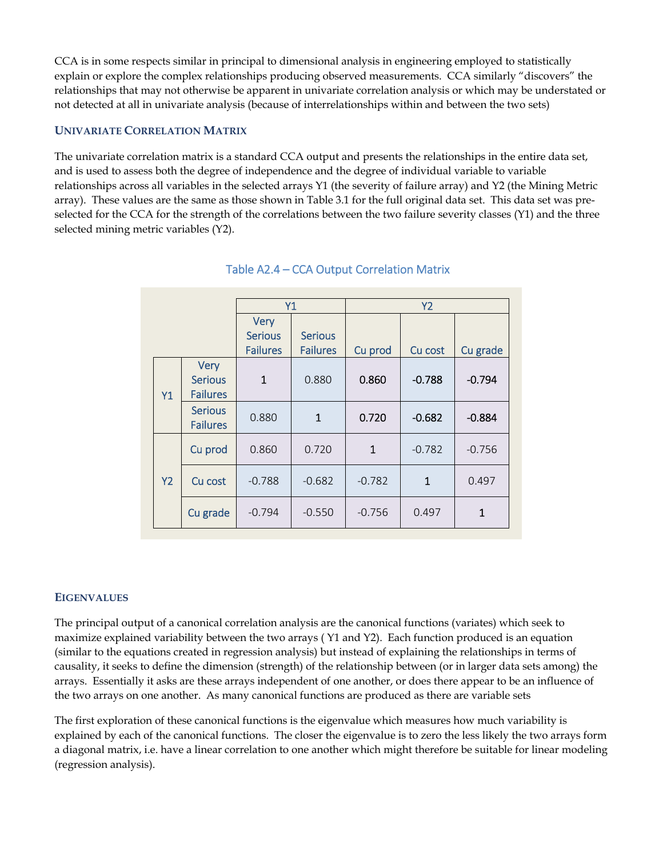CCA is in some respects similar in principal to dimensional analysis in engineering employed to statistically explain or explore the complex relationships producing observed measurements. CCA similarly "discovers" the relationships that may not otherwise be apparent in univariate correlation analysis or which may be understated or not detected at all in univariate analysis (because of interrelationships within and between the two sets)

### **UNIVARIATE CORRELATION MATRIX**

The univariate correlation matrix is a standard CCA output and presents the relationships in the entire data set, and is used to assess both the degree of independence and the degree of individual variable to variable relationships across all variables in the selected arrays Y1 (the severity of failure array) and Y2 (the Mining Metric array). These values are the same as those shown in Table 3.1 for the full original data set. This data set was preselected for the CCA for the strength of the correlations between the two failure severity classes (Y1) and the three selected mining metric variables (Y2).

|           |                                           | Y1              |                 |              | <b>Y2</b>    |              |
|-----------|-------------------------------------------|-----------------|-----------------|--------------|--------------|--------------|
|           |                                           | Very            |                 |              |              |              |
|           |                                           | <b>Serious</b>  | <b>Serious</b>  |              |              |              |
|           |                                           | <b>Failures</b> | <b>Failures</b> | Cu prod      | Cu cost      | Cu grade     |
| Y1        | Very<br><b>Serious</b><br><b>Failures</b> | $\mathbf{1}$    | 0.880           | 0.860        | $-0.788$     | $-0.794$     |
|           | <b>Serious</b><br><b>Failures</b>         | 0.880           | $\mathbf{1}$    | 0.720        | $-0.682$     | $-0.884$     |
|           | Cu prod                                   | 0.860           | 0.720           | $\mathbf{1}$ | $-0.782$     | $-0.756$     |
| <b>Y2</b> | Cu cost                                   | $-0.788$        | $-0.682$        | $-0.782$     | $\mathbf{1}$ | 0.497        |
|           | Cu grade                                  | $-0.794$        | $-0.550$        | $-0.756$     | 0.497        | $\mathbf{1}$ |

# Table A2.4 – CCA Output Correlation Matrix

## **EIGENVALUES**

The principal output of a canonical correlation analysis are the canonical functions (variates) which seek to maximize explained variability between the two arrays ( Y1 and Y2). Each function produced is an equation (similar to the equations created in regression analysis) but instead of explaining the relationships in terms of causality, it seeks to define the dimension (strength) of the relationship between (or in larger data sets among) the arrays. Essentially it asks are these arrays independent of one another, or does there appear to be an influence of the two arrays on one another. As many canonical functions are produced as there are variable sets

The first exploration of these canonical functions is the eigenvalue which measures how much variability is explained by each of the canonical functions. The closer the eigenvalue is to zero the less likely the two arrays form a diagonal matrix, i.e. have a linear correlation to one another which might therefore be suitable for linear modeling (regression analysis).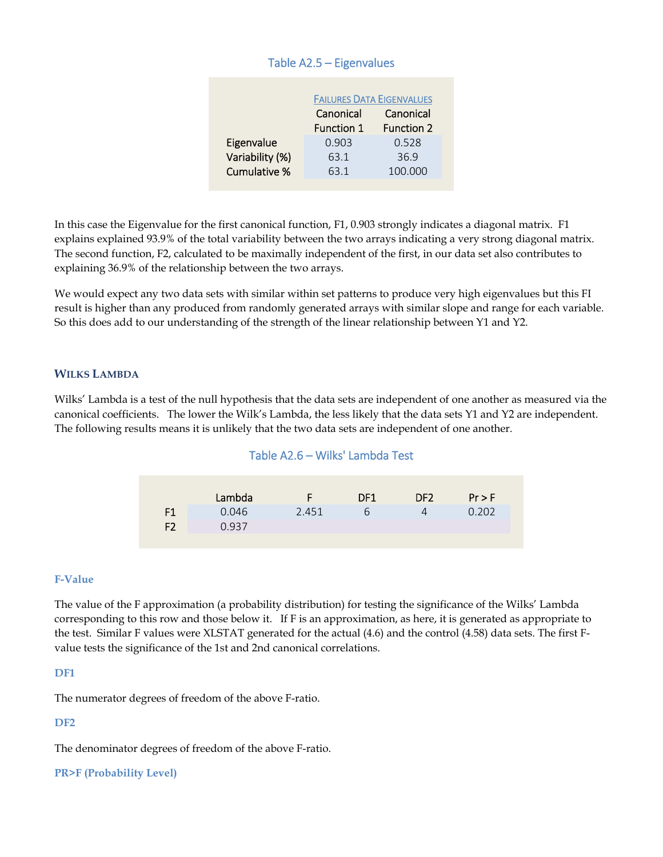## Table A2.5 – Eigenvalues

| <b>FAILURES DATA EIGENVALUES</b> |                   |
|----------------------------------|-------------------|
| Canonical                        | Canonical         |
| <b>Function 1</b>                | <b>Function 2</b> |
| 0.903                            | 0.528             |
| 63.1                             | 36.9              |
| 63.1                             | 100.000           |
|                                  |                   |

In this case the Eigenvalue for the first canonical function, F1, 0.903 strongly indicates a diagonal matrix. F1 explains explained 93.9% of the total variability between the two arrays indicating a very strong diagonal matrix. The second function, F2, calculated to be maximally independent of the first, in our data set also contributes to explaining 36.9% of the relationship between the two arrays.

We would expect any two data sets with similar within set patterns to produce very high eigenvalues but this FI result is higher than any produced from randomly generated arrays with similar slope and range for each variable. So this does add to our understanding of the strength of the linear relationship between Y1 and Y2.

#### **WILKS LAMBDA**

Wilks' Lambda is a test of the null hypothesis that the data sets are independent of one another as measured via the canonical coefficients. The lower the Wilk's Lambda, the less likely that the data sets Y1 and Y2 are independent. The following results means it is unlikely that the two data sets are independent of one another.

## Table A2.6 – Wilks' Lambda Test

|       | DF <sub>1</sub> | DF <sub>2</sub> | $Pr$ > F |
|-------|-----------------|-----------------|----------|
| 2.451 | $\mathsf{b}$    |                 | כחי      |
|       |                 |                 |          |
|       |                 |                 |          |

#### **F-Value**

The value of the F approximation (a probability distribution) for testing the significance of the Wilks' Lambda corresponding to this row and those below it. If F is an approximation, as here, it is generated as appropriate to the test. Similar F values were XLSTAT generated for the actual (4.6) and the control (4.58) data sets. The first Fvalue tests the significance of the 1st and 2nd canonical correlations.

#### **DF1**

The numerator degrees of freedom of the above F-ratio.

#### **DF2**

The denominator degrees of freedom of the above F-ratio.

#### **PR>F (Probability Level)**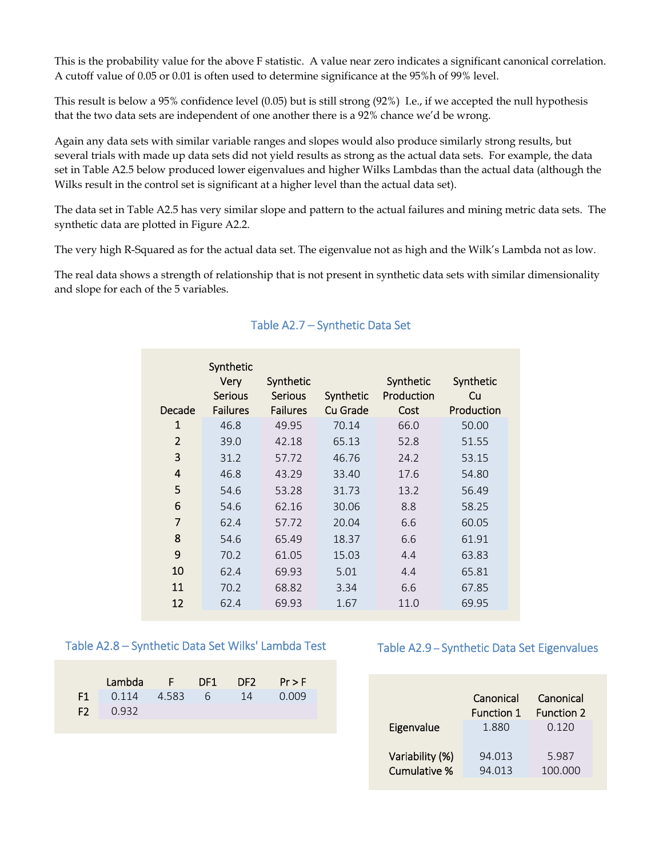This is the probability value for the above F statistic. A value near zero indicates a significant canonical correlation. A cutoff value of 0.05 or 0.01 is often used to determine significance at the 95%h of 99% level.

This result is below a 95% confidence level (0.05) but is still strong (92%) I.e., if we accepted the null hypothesis that the two data sets are independent of one another there is a 92% chance we'd be wrong.

Again any data sets with similar variable ranges and slopes would also produce similarly strong results, but several trials with made up data sets did not yield results as strong as the actual data sets. For example, the data set in Table A2.5 below produced lower eigenvalues and higher Wilks Lambdas than the actual data (although the Wilks result in the control set is significant at a higher level than the actual data set).

The data set in Table A2.5 has very similar slope and pattern to the actual failures and mining metric data sets. The synthetic data are plotted in Figure A2.2.

The very high R-Squared as for the actual data set. The eigenvalue not as high and the Wilk's Lambda not as low.

The real data shows a strength of relationship that is not present in synthetic data sets with similar dimensionality and slope for each of the 5 variables.

| Decade         | Synthetic<br>Very<br><b>Serious</b><br><b>Failures</b> | Synthetic<br>Serious<br><b>Failures</b> | Synthetic<br>Cu Grade | Synthetic<br>Production<br>Cost | Synthetic<br>Cu<br>Production |
|----------------|--------------------------------------------------------|-----------------------------------------|-----------------------|---------------------------------|-------------------------------|
| 1              | 46.8                                                   | 49.95                                   | 70.14                 | 66.0                            | 50.00                         |
| $\overline{2}$ | 39.0                                                   | 42.18                                   | 65.13                 | 52.8                            | 51.55                         |
| 3              | 31.2                                                   | 57.72                                   | 46.76                 | 24.2                            | 53.15                         |
| 4              | 46.8                                                   | 43.29                                   | 33.40                 | 17.6                            | 54.80                         |
| 5              | 54.6                                                   | 53.28                                   | 31.73                 | 13.2                            | 56.49                         |
| 6              | 54.6                                                   | 62.16                                   | 30.06                 | 8.8                             | 58.25                         |
| 7              | 62.4                                                   | 57.72                                   | 20.04                 | 6.6                             | 60.05                         |
| 8              | 54.6                                                   | 65.49                                   | 18.37                 | 6.6                             | 61.91                         |
| 9              | 70.2                                                   | 61.05                                   | 15.03                 | 4.4                             | 63.83                         |
| 10             | 62.4                                                   | 69.93                                   | 5.01                  | 4.4                             | 65.81                         |
| 11             | 70.2                                                   | 68.82                                   | 3.34                  | 6.6                             | 67.85                         |
| 12             | 62.4                                                   | 69.93                                   | 1.67                  | 11.0                            | 69.95                         |

# Table A2.7 – Synthetic Data Set

#### Table A2.8 – Synthetic Data Set Wilks' Lambda Test

|     | Lambda | - F - | DF1.         | DF <sub>2</sub> | $Pr$ > F |
|-----|--------|-------|--------------|-----------------|----------|
| F1. | 0.114  | 4.583 | $\mathsf{h}$ | 14              | 0.009    |
| F2. | 0.932  |       |              |                 |          |

#### Table A2.9 – Synthetic Data Set Eigenvalues

| Eigenvalue      | Canonical<br><b>Function 1</b><br>1.880 | Canonical<br><b>Function 2</b><br>0.120 |
|-----------------|-----------------------------------------|-----------------------------------------|
| Variability (%) | 94.013                                  | 5.987                                   |
| Cumulative %    | 94.013                                  | 100.000                                 |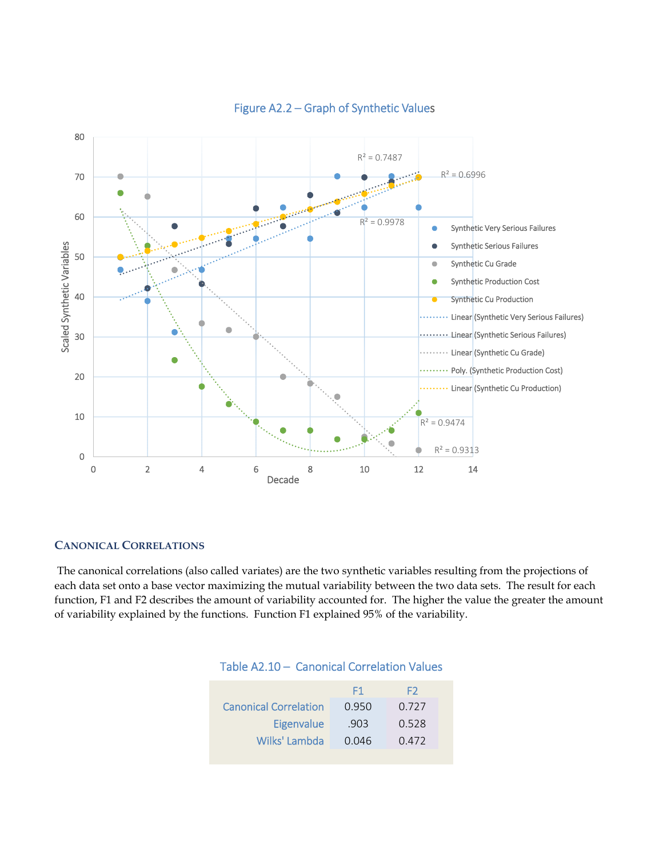

## Figure A2.2 – Graph of Synthetic Values

#### **CANONICAL CORRELATIONS**

 The canonical correlations (also called variates) are the two synthetic variables resulting from the projections of each data set onto a base vector maximizing the mutual variability between the two data sets. The result for each function, F1 and F2 describes the amount of variability accounted for. The higher the value the greater the amount of variability explained by the functions. Function F1 explained 95% of the variability.

|                              | F1    | F <sub>2</sub> |  |
|------------------------------|-------|----------------|--|
| <b>Canonical Correlation</b> | 0.950 | 0.727          |  |
| Eigenvalue                   | .903  | 0.528          |  |
| Wilks' Lambda                | 0.046 | 0.472          |  |
|                              |       |                |  |

# Table A2.10 – Canonical Correlation Values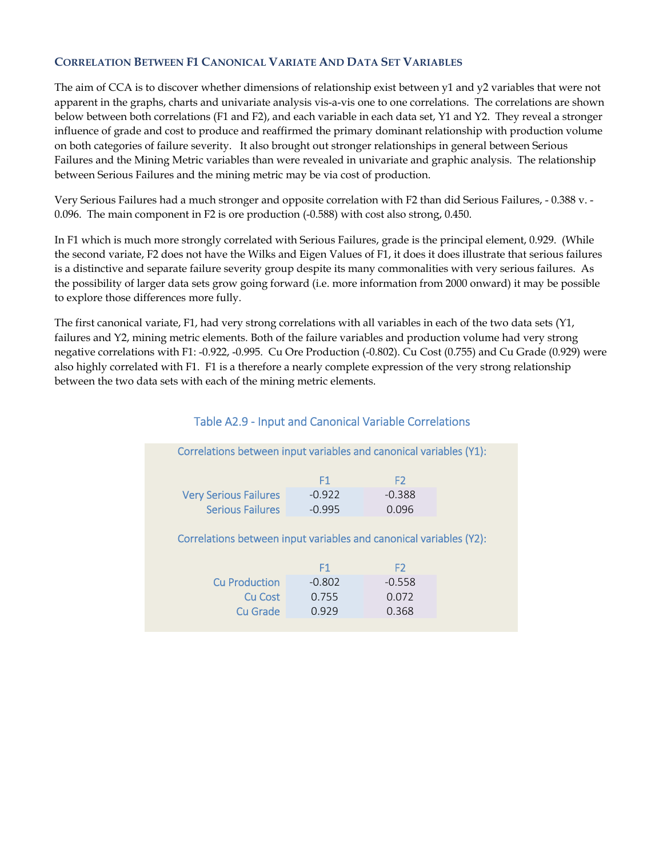### **CORRELATION BETWEEN F1 CANONICAL VARIATE AND DATA SET VARIABLES**

The aim of CCA is to discover whether dimensions of relationship exist between y1 and y2 variables that were not apparent in the graphs, charts and univariate analysis vis-a-vis one to one correlations. The correlations are shown below between both correlations (F1 and F2), and each variable in each data set, Y1 and Y2. They reveal a stronger influence of grade and cost to produce and reaffirmed the primary dominant relationship with production volume on both categories of failure severity. It also brought out stronger relationships in general between Serious Failures and the Mining Metric variables than were revealed in univariate and graphic analysis. The relationship between Serious Failures and the mining metric may be via cost of production.

Very Serious Failures had a much stronger and opposite correlation with F2 than did Serious Failures, - 0.388 v. - 0.096. The main component in F2 is ore production (-0.588) with cost also strong, 0.450.

In F1 which is much more strongly correlated with Serious Failures, grade is the principal element, 0.929. (While the second variate, F2 does not have the Wilks and Eigen Values of F1, it does it does illustrate that serious failures is a distinctive and separate failure severity group despite its many commonalities with very serious failures. As the possibility of larger data sets grow going forward (i.e. more information from 2000 onward) it may be possible to explore those differences more fully.

The first canonical variate, F1, had very strong correlations with all variables in each of the two data sets (Y1, failures and Y2, mining metric elements. Both of the failure variables and production volume had very strong negative correlations with F1: -0.922, -0.995. Cu Ore Production (-0.802). Cu Cost (0.755) and Cu Grade (0.929) were also highly correlated with F1. F1 is a therefore a nearly complete expression of the very strong relationship between the two data sets with each of the mining metric elements.

### Table A2.9 ‐ Input and Canonical Variable Correlations

| Correlations between input variables and canonical variables (Y1): |          |                |  |  |  |  |  |
|--------------------------------------------------------------------|----------|----------------|--|--|--|--|--|
|                                                                    | F1       | F <sub>2</sub> |  |  |  |  |  |
| <b>Very Serious Failures</b>                                       | $-0.922$ | $-0.388$       |  |  |  |  |  |
| <b>Serious Failures</b>                                            | $-0.995$ | 0.096          |  |  |  |  |  |
| Correlations between input variables and canonical variables (Y2): |          |                |  |  |  |  |  |
|                                                                    | F1       | F <sub>2</sub> |  |  |  |  |  |
| <b>Cu Production</b>                                               | $-0.802$ | $-0.558$       |  |  |  |  |  |
| <b>Cu Cost</b>                                                     | 0.755    | 0.072          |  |  |  |  |  |
| Cu Grade                                                           | 0.929    | 0.368          |  |  |  |  |  |
|                                                                    |          |                |  |  |  |  |  |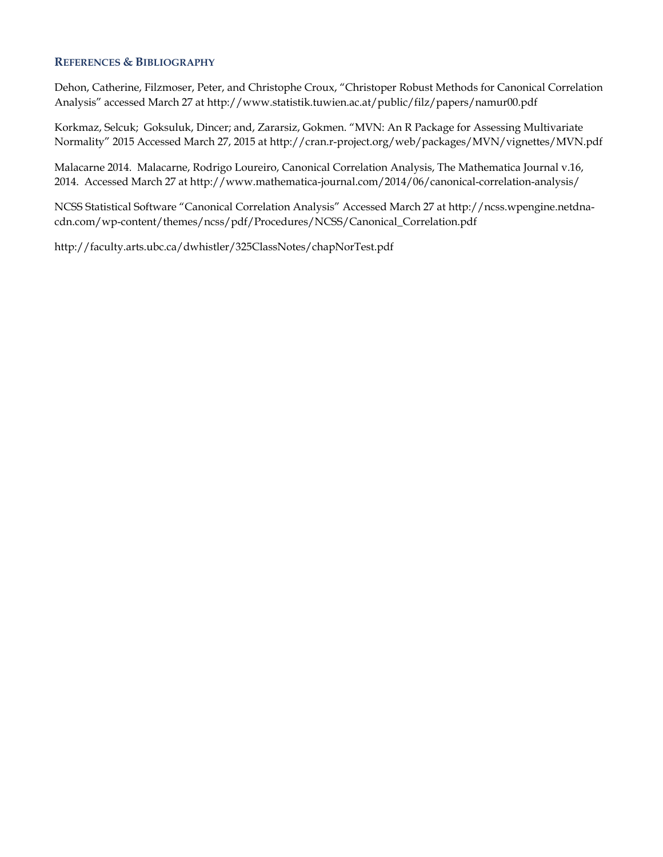#### **REFERENCES & BIBLIOGRAPHY**

Dehon, Catherine, Filzmoser, Peter, and Christophe Croux, "Christoper Robust Methods for Canonical Correlation Analysis" accessed March 27 at http://www.statistik.tuwien.ac.at/public/filz/papers/namur00.pdf

Korkmaz, Selcuk; Goksuluk, Dincer; and, Zararsiz, Gokmen. "MVN: An R Package for Assessing Multivariate Normality" 2015 Accessed March 27, 2015 at http://cran.r-project.org/web/packages/MVN/vignettes/MVN.pdf

Malacarne 2014. Malacarne, Rodrigo Loureiro, Canonical Correlation Analysis, The Mathematica Journal v.16, 2014. Accessed March 27 at http://www.mathematica-journal.com/2014/06/canonical-correlation-analysis/

NCSS Statistical Software "Canonical Correlation Analysis" Accessed March 27 at http://ncss.wpengine.netdnacdn.com/wp-content/themes/ncss/pdf/Procedures/NCSS/Canonical\_Correlation.pdf

http://faculty.arts.ubc.ca/dwhistler/325ClassNotes/chapNorTest.pdf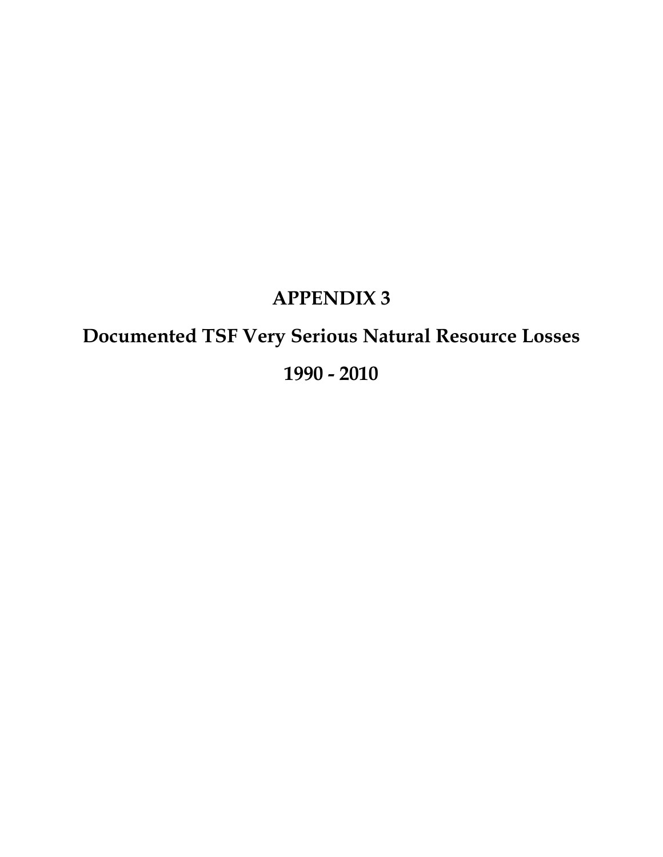# **APPENDIX 3**

# **Documented TSF Very Serious Natural Resource Losses**

# **1990 - 2010**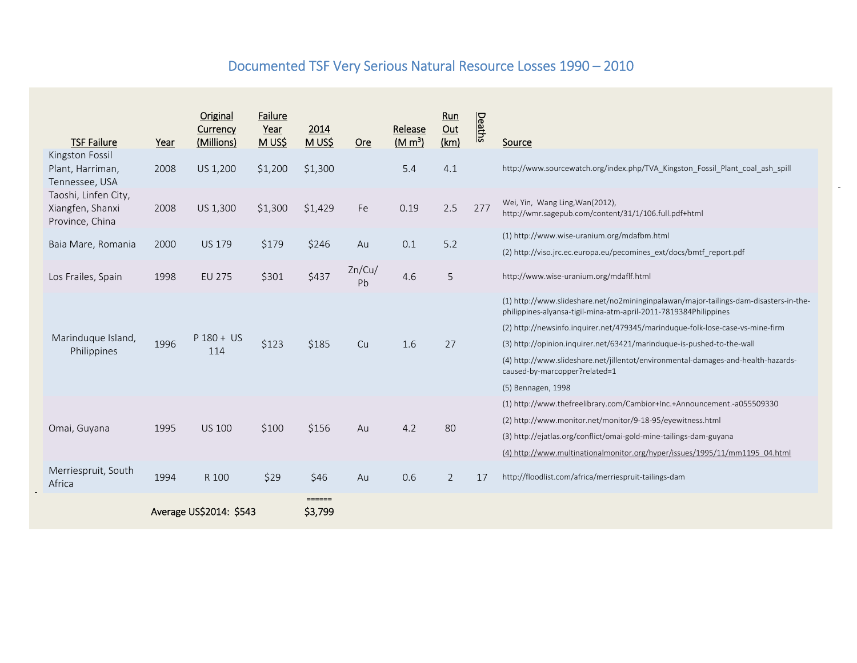# Documented TSF Very Serious Natural Resource Losses 1990 – 2010

| <b>TSF Failure</b>                                          | Year | Original<br>Currency<br>(Millions) | Failure<br>Year<br><u>M US\$</u> | 2014<br>$M$ US\$ | Ore          | Release<br>(M m <sup>3</sup> ) | Run<br>Out<br>(km) | <b>Deaths</b> | <b>Source</b>                                                                                                                                             |
|-------------------------------------------------------------|------|------------------------------------|----------------------------------|------------------|--------------|--------------------------------|--------------------|---------------|-----------------------------------------------------------------------------------------------------------------------------------------------------------|
| Kingston Fossil<br>Plant, Harriman,<br>Tennessee, USA       | 2008 | US 1,200                           | \$1,200                          | \$1,300          |              | 5.4                            | 4.1                |               | http://www.sourcewatch.org/index.php/TVA Kingston Fossil Plant coal ash spill                                                                             |
| Taoshi, Linfen City,<br>Xiangfen, Shanxi<br>Province, China | 2008 | US 1,300                           | \$1,300                          | \$1,429          | Fe           | 0.19                           | 2.5                | 277           | Wei, Yin, Wang Ling, Wan(2012),<br>http://wmr.sagepub.com/content/31/1/106.full.pdf+html                                                                  |
| Baia Mare, Romania                                          | 2000 | <b>US 179</b>                      | \$179                            | \$246            | Au           | 0.1                            | 5.2                |               | (1) http://www.wise-uranium.org/mdafbm.html<br>(2) http://viso.jrc.ec.europa.eu/pecomines_ext/docs/bmtf_report.pdf                                        |
| Los Frailes, Spain                                          | 1998 | EU 275                             | \$301                            | \$437            | Zn/Cu/<br>Pb | 4.6                            | 5                  |               | http://www.wise-uranium.org/mdaflf.html                                                                                                                   |
|                                                             |      |                                    |                                  |                  |              |                                |                    |               | (1) http://www.slideshare.net/no2mininginpalawan/major-tailings-dam-disasters-in-the-<br>philippines-alyansa-tigil-mina-atm-april-2011-7819384Philippines |
|                                                             |      |                                    |                                  |                  |              |                                |                    |               | (2) http://newsinfo.inquirer.net/479345/marinduque-folk-lose-case-vs-mine-firm                                                                            |
| Marinduque Island,<br>Philippines                           | 1996 | $P$ 180 + US<br>114                | \$123                            | \$185            | Cu           | 1.6                            | 27                 |               | (3) http://opinion.inquirer.net/63421/marinduque-is-pushed-to-the-wall                                                                                    |
|                                                             |      |                                    |                                  |                  |              |                                |                    |               | (4) http://www.slideshare.net/jillentot/environmental-damages-and-health-hazards-<br>caused-by-marcopper?related=1                                        |
|                                                             |      |                                    |                                  |                  |              |                                |                    |               | (5) Bennagen, 1998                                                                                                                                        |
|                                                             |      |                                    |                                  |                  |              |                                |                    |               | (1) http://www.thefreelibrary.com/Cambior+Inc.+Announcement.-a055509330                                                                                   |
| Omai, Guyana                                                | 1995 | <b>US 100</b>                      | \$100                            | \$156            | Au           | 4.2                            | 80                 |               | (2) http://www.monitor.net/monitor/9-18-95/eyewitness.html                                                                                                |
|                                                             |      |                                    |                                  |                  |              |                                |                    |               | (3) http://ejatlas.org/conflict/omai-gold-mine-tailings-dam-guyana                                                                                        |
|                                                             |      |                                    |                                  |                  |              |                                |                    |               | (4) http://www.multinationalmonitor.org/hyper/issues/1995/11/mm1195 04.html                                                                               |
| Merriespruit, South<br>Africa                               | 1994 | R 100                              | \$29                             | \$46             | Au           | 0.6                            | 2                  | 17            | http://floodlist.com/africa/merriespruit-tailings-dam                                                                                                     |
|                                                             |      | Average US\$2014: \$543            |                                  | \$3,799          |              |                                |                    |               |                                                                                                                                                           |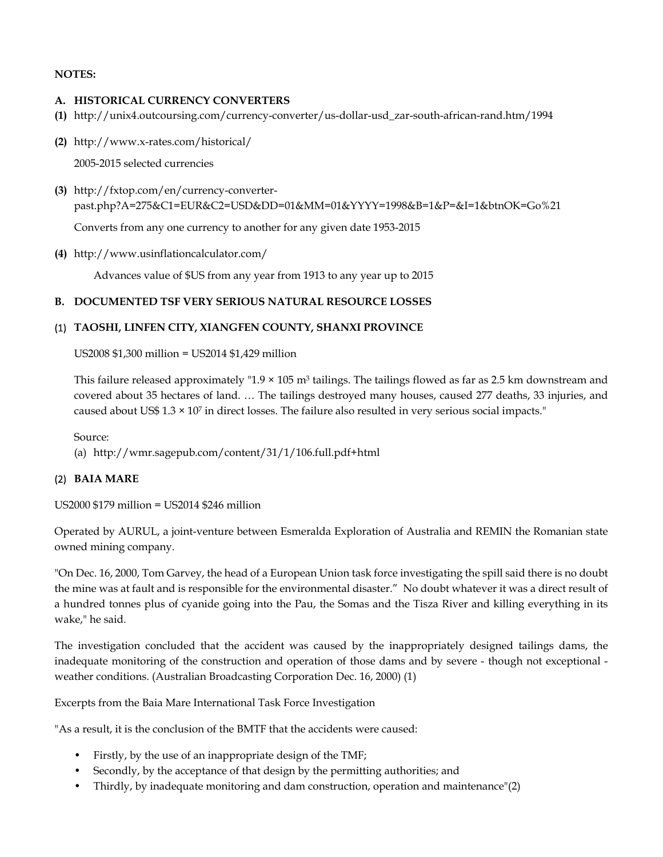#### **NOTES:**

#### **A. HISTORICAL CURRENCY CONVERTERS**

- **(1)** http://unix4.outcoursing.com/currency-converter/us-dollar-usd\_zar-south-african-rand.htm/1994
- **(2)** http://www.x-rates.com/historical/

2005-2015 selected currencies

**(3)** http://fxtop.com/en/currency-converterpast.php?A=275&C1=EUR&C2=USD&DD=01&MM=01&YYYY=1998&B=1&P=&I=1&btnOK=Go%21

Converts from any one currency to another for any given date 1953-2015

**(4)** http://www.usinflationcalculator.com/

Advances value of \$US from any year from 1913 to any year up to 2015

#### **B. DOCUMENTED TSF VERY SERIOUS NATURAL RESOURCE LOSSES**

#### (1) **TAOSHI, LINFEN CITY, XIANGFEN COUNTY, SHANXI PROVINCE**

US2008 \$1,300 million = US2014 \$1,429 million

This failure released approximately " $1.9 \times 105$  m<sup>3</sup> tailings. The tailings flowed as far as 2.5 km downstream and covered about 35 hectares of land. … The tailings destroyed many houses, caused 277 deaths, 33 injuries, and caused about US\$  $1.3 \times 10^7$  in direct losses. The failure also resulted in very serious social impacts."

Source:

(a) http://wmr.sagepub.com/content/31/1/106.full.pdf+html

#### (2) **BAIA MARE**

US2000 \$179 million = US2014 \$246 million

Operated by AURUL, a joint-venture between Esmeralda Exploration of Australia and REMIN the Romanian state owned mining company.

"On Dec. 16, 2000, Tom Garvey, the head of a European Union task force investigating the spill said there is no doubt the mine was at fault and is responsible for the environmental disaster." No doubt whatever it was a direct result of a hundred tonnes plus of cyanide going into the Pau, the Somas and the Tisza River and killing everything in its wake," he said.

The investigation concluded that the accident was caused by the inappropriately designed tailings dams, the inadequate monitoring of the construction and operation of those dams and by severe - though not exceptional weather conditions. (Australian Broadcasting Corporation Dec. 16, 2000) (1)

Excerpts from the Baia Mare International Task Force Investigation

"As a result, it is the conclusion of the BMTF that the accidents were caused:

- Firstly, by the use of an inappropriate design of the TMF;
- Secondly, by the acceptance of that design by the permitting authorities; and
- Thirdly, by inadequate monitoring and dam construction, operation and maintenance"(2)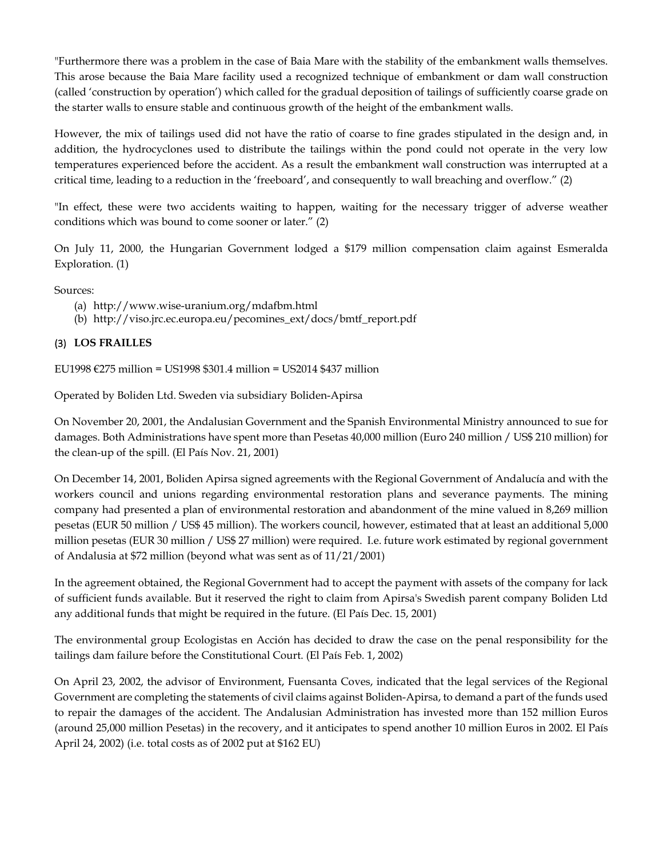"Furthermore there was a problem in the case of Baia Mare with the stability of the embankment walls themselves. This arose because the Baia Mare facility used a recognized technique of embankment or dam wall construction (called 'construction by operation') which called for the gradual deposition of tailings of sufficiently coarse grade on the starter walls to ensure stable and continuous growth of the height of the embankment walls.

However, the mix of tailings used did not have the ratio of coarse to fine grades stipulated in the design and, in addition, the hydrocyclones used to distribute the tailings within the pond could not operate in the very low temperatures experienced before the accident. As a result the embankment wall construction was interrupted at a critical time, leading to a reduction in the 'freeboard', and consequently to wall breaching and overflow." (2)

"In effect, these were two accidents waiting to happen, waiting for the necessary trigger of adverse weather conditions which was bound to come sooner or later." (2)

On July 11, 2000, the Hungarian Government lodged a \$179 million compensation claim against Esmeralda Exploration. (1)

Sources:

- (a) http://www.wise-uranium.org/mdafbm.html
- (b) http://viso.jrc.ec.europa.eu/pecomines\_ext/docs/bmtf\_report.pdf

## (3) **LOS FRAILLES**

EU1998 €275 million = US1998 \$301.4 million = US2014 \$437 million

Operated by Boliden Ltd. Sweden via subsidiary Boliden-Apirsa

On November 20, 2001, the Andalusian Government and the Spanish Environmental Ministry announced to sue for damages. Both Administrations have spent more than Pesetas 40,000 million (Euro 240 million / US\$ 210 million) for the clean-up of the spill. (El País Nov. 21, 2001)

On December 14, 2001, Boliden Apirsa signed agreements with the Regional Government of Andalucía and with the workers council and unions regarding environmental restoration plans and severance payments. The mining company had presented a plan of environmental restoration and abandonment of the mine valued in 8,269 million pesetas (EUR 50 million / US\$ 45 million). The workers council, however, estimated that at least an additional 5,000 million pesetas (EUR 30 million / US\$ 27 million) were required. I.e. future work estimated by regional government of Andalusia at \$72 million (beyond what was sent as of 11/21/2001)

In the agreement obtained, the Regional Government had to accept the payment with assets of the company for lack of sufficient funds available. But it reserved the right to claim from Apirsa's Swedish parent company Boliden Ltd any additional funds that might be required in the future. (El País Dec. 15, 2001)

The environmental group Ecologistas en Acción has decided to draw the case on the penal responsibility for the tailings dam failure before the Constitutional Court. (El País Feb. 1, 2002)

On April 23, 2002, the advisor of Environment, Fuensanta Coves, indicated that the legal services of the Regional Government are completing the statements of civil claims against Boliden-Apirsa, to demand a part of the funds used to repair the damages of the accident. The Andalusian Administration has invested more than 152 million Euros (around 25,000 million Pesetas) in the recovery, and it anticipates to spend another 10 million Euros in 2002. El País April 24, 2002) (i.e. total costs as of 2002 put at \$162 EU)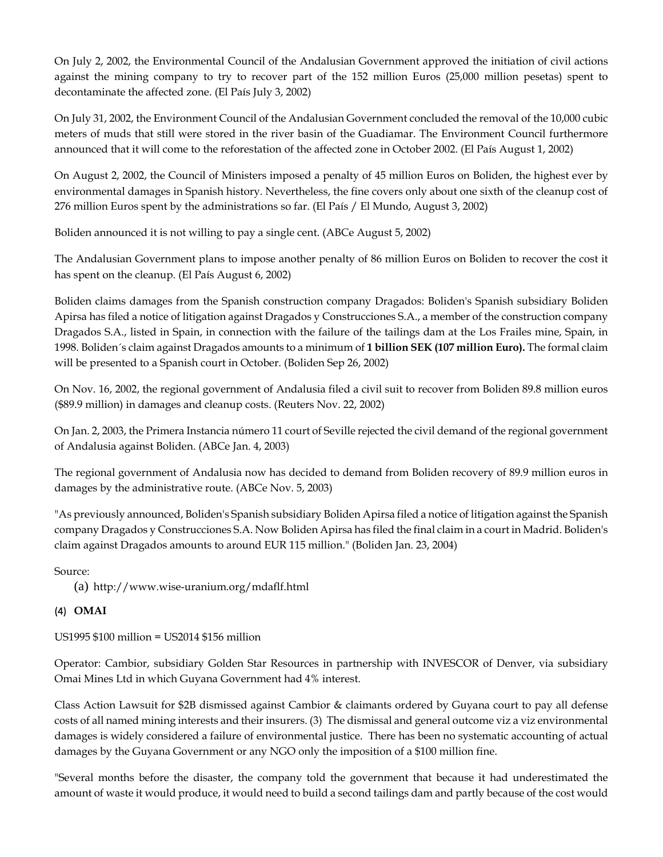On July 2, 2002, the Environmental Council of the Andalusian Government approved the initiation of civil actions against the mining company to try to recover part of the 152 million Euros (25,000 million pesetas) spent to decontaminate the affected zone. (El País July 3, 2002)

On July 31, 2002, the Environment Council of the Andalusian Government concluded the removal of the 10,000 cubic meters of muds that still were stored in the river basin of the Guadiamar. The Environment Council furthermore announced that it will come to the reforestation of the affected zone in October 2002. (El País August 1, 2002)

On August 2, 2002, the Council of Ministers imposed a penalty of 45 million Euros on Boliden, the highest ever by environmental damages in Spanish history. Nevertheless, the fine covers only about one sixth of the cleanup cost of 276 million Euros spent by the administrations so far. (El País / El Mundo, August 3, 2002)

Boliden announced it is not willing to pay a single cent. (ABCe August 5, 2002)

The Andalusian Government plans to impose another penalty of 86 million Euros on Boliden to recover the cost it has spent on the cleanup. (El País August 6, 2002)

Boliden claims damages from the Spanish construction company Dragados: Boliden's Spanish subsidiary Boliden Apirsa has filed a notice of litigation against Dragados y Construcciones S.A., a member of the construction company Dragados S.A., listed in Spain, in connection with the failure of the tailings dam at the Los Frailes mine, Spain, in 1998. Boliden´s claim against Dragados amounts to a minimum of **1 billion SEK (107 million Euro).** The formal claim will be presented to a Spanish court in October. (Boliden Sep 26, 2002)

On Nov. 16, 2002, the regional government of Andalusia filed a civil suit to recover from Boliden 89.8 million euros (\$89.9 million) in damages and cleanup costs. (Reuters Nov. 22, 2002)

On Jan. 2, 2003, the Primera Instancia número 11 court of Seville rejected the civil demand of the regional government of Andalusia against Boliden. (ABCe Jan. 4, 2003)

The regional government of Andalusia now has decided to demand from Boliden recovery of 89.9 million euros in damages by the administrative route. (ABCe Nov. 5, 2003)

"As previously announced, Boliden's Spanish subsidiary Boliden Apirsa filed a notice of litigation against the Spanish company Dragados y Construcciones S.A. Now Boliden Apirsa has filed the final claim in a court in Madrid. Boliden's claim against Dragados amounts to around EUR 115 million." (Boliden Jan. 23, 2004)

Source:

(a) http://www.wise-uranium.org/mdaflf.html

# (4) **OMAI**

US1995 \$100 million = US2014 \$156 million

Operator: Cambior, subsidiary Golden Star Resources in partnership with INVESCOR of Denver, via subsidiary Omai Mines Ltd in which Guyana Government had 4% interest.

Class Action Lawsuit for \$2B dismissed against Cambior & claimants ordered by Guyana court to pay all defense costs of all named mining interests and their insurers. (3) The dismissal and general outcome viz a viz environmental damages is widely considered a failure of environmental justice. There has been no systematic accounting of actual damages by the Guyana Government or any NGO only the imposition of a \$100 million fine.

"Several months before the disaster, the company told the government that because it had underestimated the amount of waste it would produce, it would need to build a second tailings dam and partly because of the cost would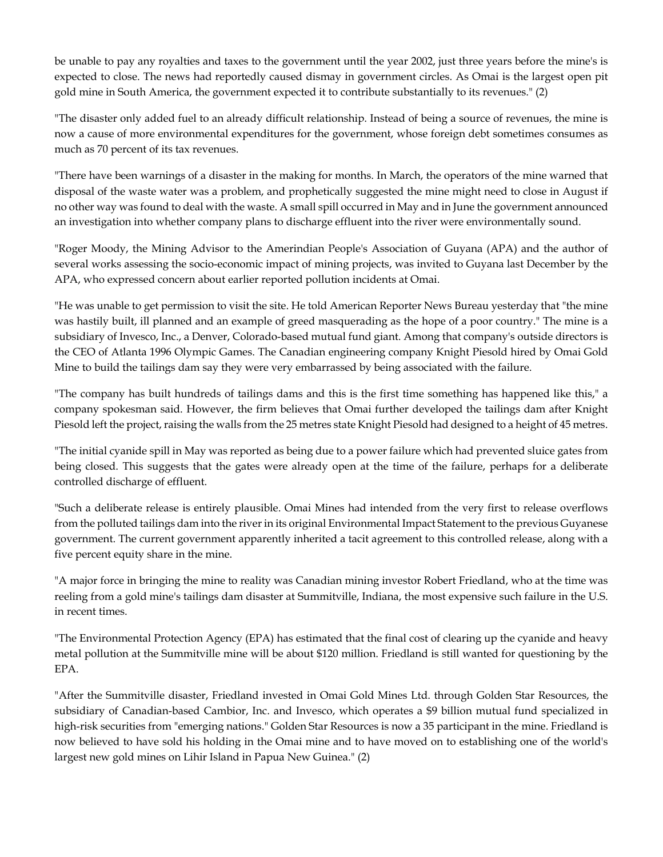be unable to pay any royalties and taxes to the government until the year 2002, just three years before the mine's is expected to close. The news had reportedly caused dismay in government circles. As Omai is the largest open pit gold mine in South America, the government expected it to contribute substantially to its revenues." (2)

"The disaster only added fuel to an already difficult relationship. Instead of being a source of revenues, the mine is now a cause of more environmental expenditures for the government, whose foreign debt sometimes consumes as much as 70 percent of its tax revenues.

"There have been warnings of a disaster in the making for months. In March, the operators of the mine warned that disposal of the waste water was a problem, and prophetically suggested the mine might need to close in August if no other way was found to deal with the waste. A small spill occurred in May and in June the government announced an investigation into whether company plans to discharge effluent into the river were environmentally sound.

"Roger Moody, the Mining Advisor to the Amerindian People's Association of Guyana (APA) and the author of several works assessing the socio-economic impact of mining projects, was invited to Guyana last December by the APA, who expressed concern about earlier reported pollution incidents at Omai.

"He was unable to get permission to visit the site. He told American Reporter News Bureau yesterday that "the mine was hastily built, ill planned and an example of greed masquerading as the hope of a poor country." The mine is a subsidiary of Invesco, Inc., a Denver, Colorado-based mutual fund giant. Among that company's outside directors is the CEO of Atlanta 1996 Olympic Games. The Canadian engineering company Knight Piesold hired by Omai Gold Mine to build the tailings dam say they were very embarrassed by being associated with the failure.

"The company has built hundreds of tailings dams and this is the first time something has happened like this," a company spokesman said. However, the firm believes that Omai further developed the tailings dam after Knight Piesold left the project, raising the walls from the 25 metres state Knight Piesold had designed to a height of 45 metres.

"The initial cyanide spill in May was reported as being due to a power failure which had prevented sluice gates from being closed. This suggests that the gates were already open at the time of the failure, perhaps for a deliberate controlled discharge of effluent.

"Such a deliberate release is entirely plausible. Omai Mines had intended from the very first to release overflows from the polluted tailings dam into the river in its original Environmental Impact Statement to the previous Guyanese government. The current government apparently inherited a tacit agreement to this controlled release, along with a five percent equity share in the mine.

"A major force in bringing the mine to reality was Canadian mining investor Robert Friedland, who at the time was reeling from a gold mine's tailings dam disaster at Summitville, Indiana, the most expensive such failure in the U.S. in recent times.

"The Environmental Protection Agency (EPA) has estimated that the final cost of clearing up the cyanide and heavy metal pollution at the Summitville mine will be about \$120 million. Friedland is still wanted for questioning by the EPA.

"After the Summitville disaster, Friedland invested in Omai Gold Mines Ltd. through Golden Star Resources, the subsidiary of Canadian-based Cambior, Inc. and Invesco, which operates a \$9 billion mutual fund specialized in high-risk securities from "emerging nations." Golden Star Resources is now a 35 participant in the mine. Friedland is now believed to have sold his holding in the Omai mine and to have moved on to establishing one of the world's largest new gold mines on Lihir Island in Papua New Guinea." (2)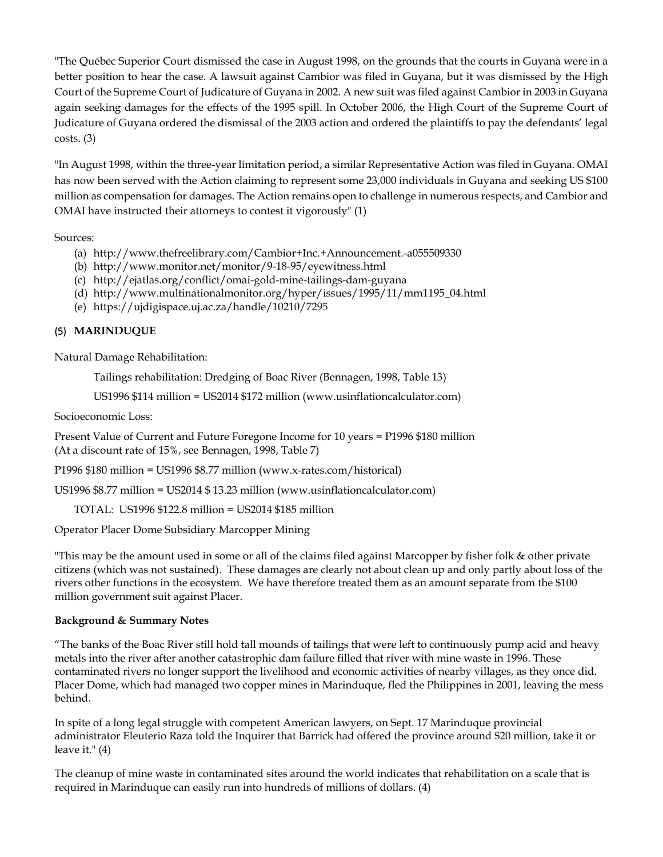"The Québec Superior Court dismissed the case in August 1998, on the grounds that the courts in Guyana were in a better position to hear the case. A lawsuit against Cambior was filed in Guyana, but it was dismissed by the High Court of the Supreme Court of Judicature of Guyana in 2002. A new suit was filed against Cambior in 2003 in Guyana again seeking damages for the effects of the 1995 spill. In October 2006, the High Court of the Supreme Court of Judicature of Guyana ordered the dismissal of the 2003 action and ordered the plaintiffs to pay the defendants' legal costs. (3)

"In August 1998, within the three-year limitation period, a similar Representative Action was filed in Guyana. OMAI has now been served with the Action claiming to represent some 23,000 individuals in Guyana and seeking US \$100 million as compensation for damages. The Action remains open to challenge in numerous respects, and Cambior and OMAI have instructed their attorneys to contest it vigorously" (1)

Sources:

- (a) http://www.thefreelibrary.com/Cambior+Inc.+Announcement.-a055509330
- (b) http://www.monitor.net/monitor/9-18-95/eyewitness.html
- (c) http://ejatlas.org/conflict/omai-gold-mine-tailings-dam-guyana
- (d) http://www.multinationalmonitor.org/hyper/issues/1995/11/mm1195\_04.html
- (e) https://ujdigispace.uj.ac.za/handle/10210/7295

### (5) **MARINDUQUE**

Natural Damage Rehabilitation:

Tailings rehabilitation: Dredging of Boac River (Bennagen, 1998, Table 13)

US1996 \$114 million = US2014 \$172 million (www.usinflationcalculator.com)

Socioeconomic Loss:

Present Value of Current and Future Foregone Income for 10 years = P1996 \$180 million (At a discount rate of 15%, see Bennagen, 1998, Table 7)

P1996 \$180 million = US1996 \$8.77 million (www.x-rates.com/historical)

US1996 \$8.77 million = US2014 \$ 13.23 million (www.usinflationcalculator.com)

TOTAL: US1996 \$122.8 million = US2014 \$185 million

Operator Placer Dome Subsidiary Marcopper Mining

"This may be the amount used in some or all of the claims filed against Marcopper by fisher folk & other private citizens (which was not sustained). These damages are clearly not about clean up and only partly about loss of the rivers other functions in the ecosystem. We have therefore treated them as an amount separate from the \$100 million government suit against Placer.

#### **Background & Summary Notes**

"The banks of the Boac River still hold tall mounds of tailings that were left to continuously pump acid and heavy metals into the river after another catastrophic dam failure filled that river with mine waste in 1996. These contaminated rivers no longer support the livelihood and economic activities of nearby villages, as they once did. Placer Dome, which had managed two copper mines in Marinduque, fled the Philippines in 2001, leaving the mess behind.

In spite of a long legal struggle with competent American lawyers, on Sept. 17 Marinduque provincial administrator Eleuterio Raza told the Inquirer that Barrick had offered the province around \$20 million, take it or leave it." (4)

The cleanup of mine waste in contaminated sites around the world indicates that rehabilitation on a scale that is required in Marinduque can easily run into hundreds of millions of dollars. (4)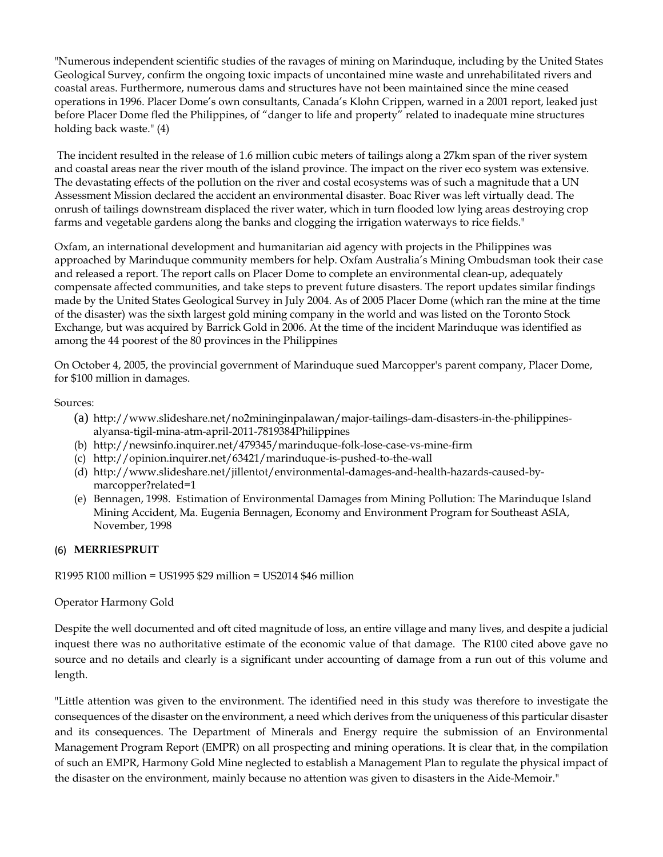"Numerous independent scientific studies of the ravages of mining on Marinduque, including by the United States Geological Survey, confirm the ongoing toxic impacts of uncontained mine waste and unrehabilitated rivers and coastal areas. Furthermore, numerous dams and structures have not been maintained since the mine ceased operations in 1996. Placer Dome's own consultants, Canada's Klohn Crippen, warned in a 2001 report, leaked just before Placer Dome fled the Philippines, of "danger to life and property" related to inadequate mine structures holding back waste." (4)

The incident resulted in the release of 1.6 million cubic meters of tailings along a 27km span of the river system and coastal areas near the river mouth of the island province. The impact on the river eco system was extensive. The devastating effects of the pollution on the river and costal ecosystems was of such a magnitude that a UN Assessment Mission declared the accident an environmental disaster. Boac River was left virtually dead. The onrush of tailings downstream displaced the river water, which in turn flooded low lying areas destroying crop farms and vegetable gardens along the banks and clogging the irrigation waterways to rice fields."

Oxfam, an international development and humanitarian aid agency with projects in the Philippines was approached by Marinduque community members for help. Oxfam Australia's Mining Ombudsman took their case and released a report. The report calls on Placer Dome to complete an environmental clean-up, adequately compensate affected communities, and take steps to prevent future disasters. The report updates similar findings made by the United States Geological Survey in July 2004. As of 2005 Placer Dome (which ran the mine at the time of the disaster) was the sixth largest gold mining company in the world and was listed on the Toronto Stock Exchange, but was acquired by Barrick Gold in 2006. At the time of the incident Marinduque was identified as among the 44 poorest of the 80 provinces in the Philippines

On October 4, 2005, the provincial government of Marinduque sued Marcopper's parent company, Placer Dome, for \$100 million in damages.

Sources:

- (a) http://www.slideshare.net/no2mininginpalawan/major-tailings-dam-disasters-in-the-philippinesalyansa-tigil-mina-atm-april-2011-7819384Philippines
- (b) http://newsinfo.inquirer.net/479345/marinduque-folk-lose-case-vs-mine-firm
- (c) http://opinion.inquirer.net/63421/marinduque-is-pushed-to-the-wall
- (d) http://www.slideshare.net/jillentot/environmental-damages-and-health-hazards-caused-bymarcopper?related=1
- (e) Bennagen, 1998. Estimation of Environmental Damages from Mining Pollution: The Marinduque Island Mining Accident, Ma. Eugenia Bennagen, Economy and Environment Program for Southeast ASIA, November, 1998

#### (6) **MERRIESPRUIT**

R1995 R100 million = US1995 \$29 million = US2014 \$46 million

Operator Harmony Gold

Despite the well documented and oft cited magnitude of loss, an entire village and many lives, and despite a judicial inquest there was no authoritative estimate of the economic value of that damage. The R100 cited above gave no source and no details and clearly is a significant under accounting of damage from a run out of this volume and length.

"Little attention was given to the environment. The identified need in this study was therefore to investigate the consequences of the disaster on the environment, a need which derives from the uniqueness of this particular disaster and its consequences. The Department of Minerals and Energy require the submission of an Environmental Management Program Report (EMPR) on all prospecting and mining operations. It is clear that, in the compilation of such an EMPR, Harmony Gold Mine neglected to establish a Management Plan to regulate the physical impact of the disaster on the environment, mainly because no attention was given to disasters in the Aide-Memoir."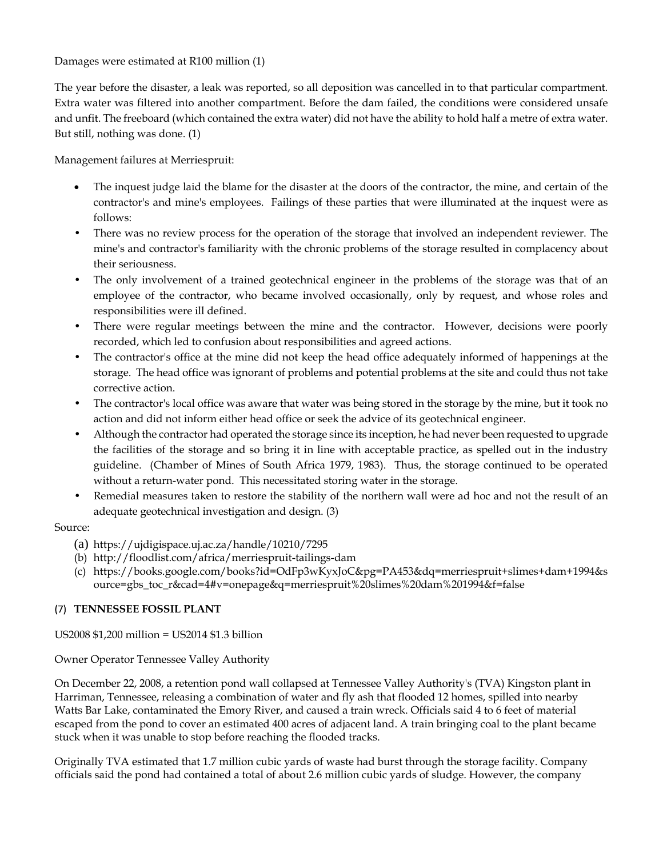Damages were estimated at R100 million (1)

The year before the disaster, a leak was reported, so all deposition was cancelled in to that particular compartment. Extra water was filtered into another compartment. Before the dam failed, the conditions were considered unsafe and unfit. The freeboard (which contained the extra water) did not have the ability to hold half a metre of extra water. But still, nothing was done. (1)

Management failures at Merriespruit:

- The inquest judge laid the blame for the disaster at the doors of the contractor, the mine, and certain of the contractor's and mine's employees. Failings of these parties that were illuminated at the inquest were as follows:
- There was no review process for the operation of the storage that involved an independent reviewer. The mine's and contractor's familiarity with the chronic problems of the storage resulted in complacency about their seriousness.
- The only involvement of a trained geotechnical engineer in the problems of the storage was that of an employee of the contractor, who became involved occasionally, only by request, and whose roles and responsibilities were ill defined.
- There were regular meetings between the mine and the contractor. However, decisions were poorly recorded, which led to confusion about responsibilities and agreed actions.
- The contractor's office at the mine did not keep the head office adequately informed of happenings at the storage. The head office was ignorant of problems and potential problems at the site and could thus not take corrective action.
- The contractor's local office was aware that water was being stored in the storage by the mine, but it took no action and did not inform either head office or seek the advice of its geotechnical engineer.
- Although the contractor had operated the storage since its inception, he had never been requested to upgrade the facilities of the storage and so bring it in line with acceptable practice, as spelled out in the industry guideline. (Chamber of Mines of South Africa 1979, 1983). Thus, the storage continued to be operated without a return-water pond. This necessitated storing water in the storage.
- Remedial measures taken to restore the stability of the northern wall were ad hoc and not the result of an adequate geotechnical investigation and design. (3)

#### Source:

- (a) https://ujdigispace.uj.ac.za/handle/10210/7295
- (b) http://floodlist.com/africa/merriespruit-tailings-dam
- (c) https://books.google.com/books?id=OdFp3wKyxJoC&pg=PA453&dq=merriespruit+slimes+dam+1994&s ource=gbs\_toc\_r&cad=4#v=onepage&q=merriespruit%20slimes%20dam%201994&f=false

## (7) **TENNESSEE FOSSIL PLANT**

US2008 \$1,200 million = US2014 \$1.3 billion

#### Owner Operator Tennessee Valley Authority

On December 22, 2008, a retention pond wall collapsed at Tennessee Valley Authority's (TVA) Kingston plant in Harriman, Tennessee, releasing a combination of water and fly ash that flooded 12 homes, spilled into nearby Watts Bar Lake, contaminated the Emory River, and caused a train wreck. Officials said 4 to 6 feet of material escaped from the pond to cover an estimated 400 acres of adjacent land. A train bringing coal to the plant became stuck when it was unable to stop before reaching the flooded tracks.

Originally TVA estimated that 1.7 million cubic yards of waste had burst through the storage facility. Company officials said the pond had contained a total of about 2.6 million cubic yards of sludge. However, the company